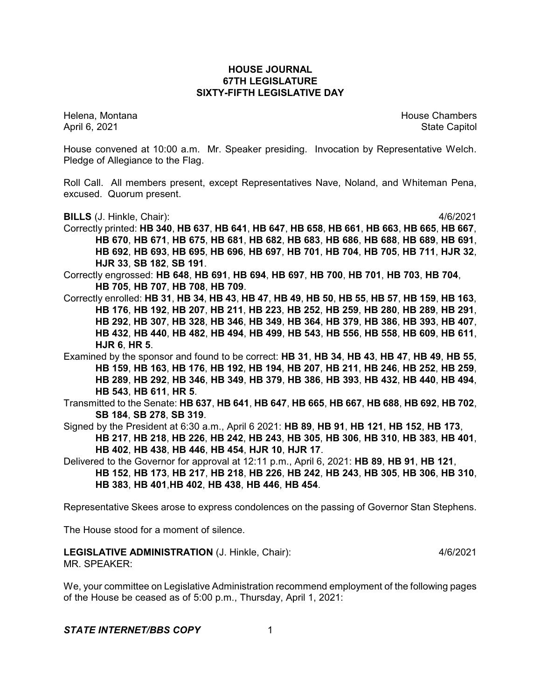## **HOUSE JOURNAL 67TH LEGISLATURE SIXTY-FIFTH LEGISLATIVE DAY**

Helena, Montana House Chambers Chambers Chambers and House Chambers Chambers Chambers Chambers Chambers Chambers Chambers Chambers Chambers Chambers Chambers Chambers Chambers Chambers Chambers Chambers Chambers Chambers C April 6, 2021 **State Capitol** 

House convened at 10:00 a.m. Mr. Speaker presiding. Invocation by Representative Welch. Pledge of Allegiance to the Flag.

Roll Call. All members present, except Representatives Nave, Noland, and Whiteman Pena, excused. Quorum present.

**BILLS** (J. Hinkle, Chair): 4/6/2021

Correctly printed: **HB 340**, **HB 637**, **HB 641**, **HB 647**, **HB 658**, **HB 661**, **HB 663**, **HB 665**, **HB 667**, **HB 670**, **HB 671**, **HB 675**, **HB 681**, **HB 682**, **HB 683**, **HB 686**, **HB 688**, **HB 689**, **HB 691**, **HB 692**, **HB 693**, **HB 695**, **HB 696**, **HB 697**, **HB 701**, **HB 704**, **HB 705**, **HB 711**, **HJR 32**, **HJR 33**, **SB 182**, **SB 191**.

Correctly engrossed: **HB 648**, **HB 691**, **HB 694**, **HB 697**, **HB 700**, **HB 701**, **HB 703**, **HB 704**, **HB 705**, **HB 707**, **HB 708**, **HB 709**.

Correctly enrolled: HB 31, HB 34, HB 43, HB 47, HB 49, HB 50, HB 55, HB 57, HB 159, HB 163, **HB 176**, **HB 192**, **HB 207**, **HB 211**, **HB 223**, **HB 252**, **HB 259**, **HB 280**, **HB 289**, **HB 291**, **HB 292**, **HB 307**, **HB 328**, **HB 346**, **HB 349**, **HB 364**, **HB 379**, **HB 386**, **HB 393**, **HB 407**, **HB 432**, **HB 440**, **HB 482**, **HB 494**, **HB 499**, **HB 543**, **HB 556**, **HB 558**, **HB 609**, **HB 611**, **HJR 6**, **HR 5**.

Examined by the sponsor and found to be correct: **HB 31**, **HB 34**, **HB 43**, **HB 47**, **HB 49**, **HB 55**, **HB 159**, **HB 163**, **HB 176**, **HB 192**, **HB 194**, **HB 207**, **HB 211**, **HB 246**, **HB 252**, **HB 259**, **HB 289**, **HB 292**, **HB 346**, **HB 349**, **HB 379**, **HB 386**, **HB 393**, **HB 432**, **HB 440**, **HB 494**, **HB 543**, **HB 611**, **HR 5**.

Transmitted to the Senate: **HB 637**, **HB 641**, **HB 647**, **HB 665**, **HB 667**, **HB 688**, **HB 692**, **HB 702**, **SB 184**, **SB 278**, **SB 319**.

Signed by the President at 6:30 a.m., April 6 2021: **HB 89**, **HB 91**, **HB 121**, **HB 152**, **HB 173**, **HB 217**, **HB 218**, **HB 226**, **HB 242**, **HB 243**, **HB 305**, **HB 306**, **HB 310**, **HB 383**, **HB 401**, **HB 402**, **HB 438**, **HB 446**, **HB 454**, **HJR 10**, **HJR 17**.

Delivered to the Governor for approval at 12:11 p.m., April 6, 2021: **HB 89**, **HB 91**, **HB 121**, **HB 152**, **HB 173**, **HB 217**, **HB 218**, **HB 226**, **HB 242**, **HB 243**, **HB 305**, **HB 306**, **HB 310**, **HB 383**, **HB 401**,**HB 402**, **HB 438**, **HB 446**, **HB 454**.

Representative Skees arose to express condolences on the passing of Governor Stan Stephens.

The House stood for a moment of silence.

# **LEGISLATIVE ADMINISTRATION** (J. Hinkle, Chair): 4/6/2021 MR. SPEAKER:

We, your committee on Legislative Administration recommend employment of the following pages of the House be ceased as of 5:00 p.m., Thursday, April 1, 2021: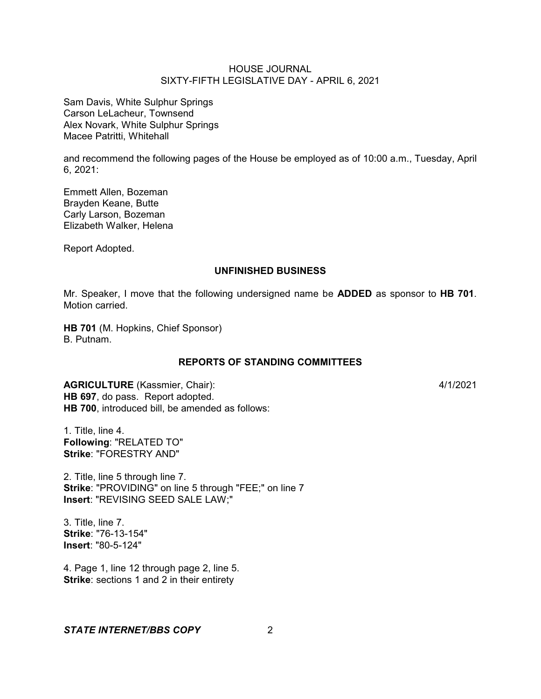Sam Davis, White Sulphur Springs Carson LeLacheur, Townsend Alex Novark, White Sulphur Springs Macee Patritti, Whitehall

and recommend the following pages of the House be employed as of 10:00 a.m., Tuesday, April 6, 2021:

Emmett Allen, Bozeman Brayden Keane, Butte Carly Larson, Bozeman Elizabeth Walker, Helena

Report Adopted.

## **UNFINISHED BUSINESS**

Mr. Speaker, I move that the following undersigned name be **ADDED** as sponsor to **HB 701**. Motion carried.

**HB 701** (M. Hopkins, Chief Sponsor) B. Putnam.

## **REPORTS OF STANDING COMMITTEES**

**AGRICULTURE** (Kassmier, Chair): 4/1/2021 **HB 697**, do pass. Report adopted. **HB 700**, introduced bill, be amended as follows:

1. Title, line 4. **Following**: "RELATED TO" **Strike**: "FORESTRY AND"

2. Title, line 5 through line 7. **Strike**: "PROVIDING" on line 5 through "FEE;" on line 7 **Insert**: "REVISING SEED SALE LAW;"

3. Title, line 7. **Strike**: "76-13-154" **Insert**: "80-5-124"

4. Page 1, line 12 through page 2, line 5. **Strike:** sections 1 and 2 in their entirety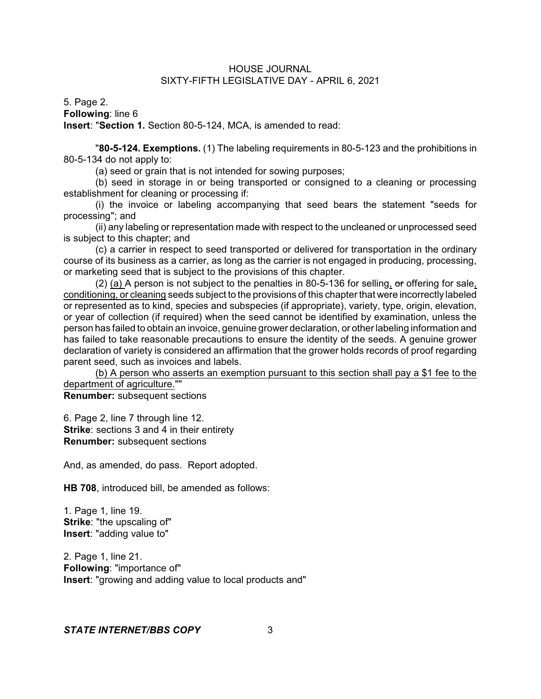5. Page 2. **Following**: line 6 **Insert**: "**Section 1.** Section 80-5-124, MCA, is amended to read:

"**80-5-124. Exemptions.** (1) The labeling requirements in 80-5-123 and the prohibitions in 80-5-134 do not apply to:

(a) seed or grain that is not intended for sowing purposes;

(b) seed in storage in or being transported or consigned to a cleaning or processing establishment for cleaning or processing if:

(i) the invoice or labeling accompanying that seed bears the statement "seeds for processing"; and

(ii) any labeling or representation made with respect to the uncleaned or unprocessed seed is subject to this chapter; and

(c) a carrier in respect to seed transported or delivered for transportation in the ordinary course of its business as a carrier, as long as the carrier is not engaged in producing, processing, or marketing seed that is subject to the provisions of this chapter.

 $(2)$  (a) A person is not subject to the penalties in 80-5-136 for selling, or offering for sale, conditioning, or cleaning seeds subject to the provisions of this chapter that were incorrectly labeled or represented as to kind, species and subspecies (if appropriate), variety, type, origin, elevation, or year of collection (if required) when the seed cannot be identified by examination, unless the person has failed to obtain an invoice, genuine grower declaration, or other labeling information and has failed to take reasonable precautions to ensure the identity of the seeds. A genuine grower declaration of variety is considered an affirmation that the grower holds records of proof regarding parent seed, such as invoices and labels.

(b) A person who asserts an exemption pursuant to this section shall pay a \$1 fee to the department of agriculture.""

**Renumber:** subsequent sections

6. Page 2, line 7 through line 12. **Strike:** sections 3 and 4 in their entirety **Renumber:** subsequent sections

And, as amended, do pass. Report adopted.

**HB 708**, introduced bill, be amended as follows:

1. Page 1, line 19. **Strike**: "the upscaling of" **Insert**: "adding value to"

2. Page 1, line 21. **Following**: "importance of" **Insert**: "growing and adding value to local products and"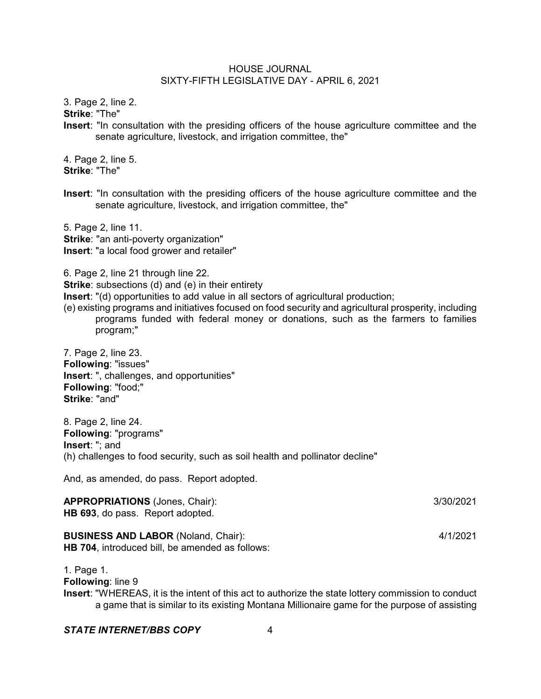3. Page 2, line 2.

**Strike**: "The"

**Insert**: "In consultation with the presiding officers of the house agriculture committee and the senate agriculture, livestock, and irrigation committee, the"

4. Page 2, line 5. **Strike**: "The"

**Insert**: "In consultation with the presiding officers of the house agriculture committee and the senate agriculture, livestock, and irrigation committee, the"

5. Page 2, line 11. **Strike**: "an anti-poverty organization" **Insert**: "a local food grower and retailer"

6. Page 2, line 21 through line 22.

- **Strike**: subsections (d) and (e) in their entirety
- **Insert**: "(d) opportunities to add value in all sectors of agricultural production;
- (e) existing programs and initiatives focused on food security and agricultural prosperity, including programs funded with federal money or donations, such as the farmers to families program;"

7. Page 2, line 23. **Following**: "issues" **Insert**: ", challenges, and opportunities" **Following**: "food;" **Strike**: "and"

8. Page 2, line 24. **Following**: "programs" **Insert**: "; and (h) challenges to food security, such as soil health and pollinator decline"

And, as amended, do pass. Report adopted.

**APPROPRIATIONS** (Jones, Chair): 3/30/2021 **HB 693**, do pass. Report adopted.

**BUSINESS AND LABOR** (Noland, Chair): 4/1/2021 **HB 704**, introduced bill, be amended as follows:

1. Page 1. **Following**: line 9 **Insert**: "WHEREAS, it is the intent of this act to authorize the state lottery commission to conduct a game that is similar to its existing Montana Millionaire game for the purpose of assisting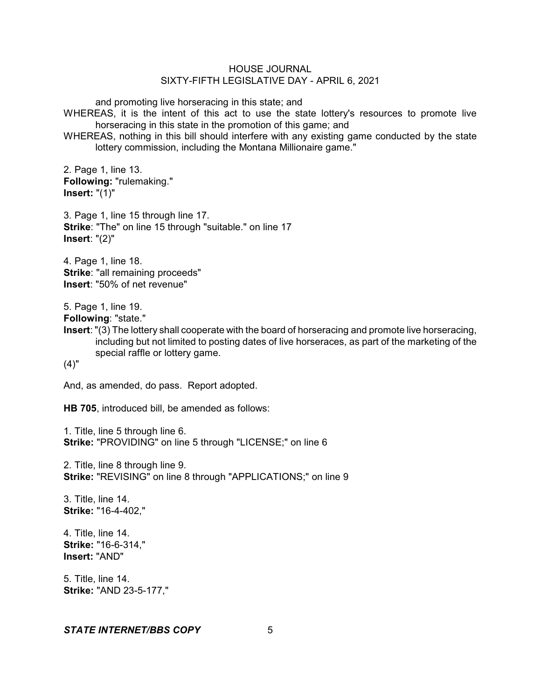and promoting live horseracing in this state; and

WHEREAS, it is the intent of this act to use the state lottery's resources to promote live horseracing in this state in the promotion of this game; and

WHEREAS, nothing in this bill should interfere with any existing game conducted by the state lottery commission, including the Montana Millionaire game."

2. Page 1, line 13. **Following:** "rulemaking." **Insert:** "(1)"

3. Page 1, line 15 through line 17. **Strike**: "The" on line 15 through "suitable." on line 17 **Insert**: "(2)"

4. Page 1, line 18. **Strike**: "all remaining proceeds" **Insert**: "50% of net revenue"

5. Page 1, line 19.

**Following**: "state."

**Insert**: "(3) The lottery shall cooperate with the board of horseracing and promote live horseracing, including but not limited to posting dates of live horseraces, as part of the marketing of the special raffle or lottery game.

 $(4)$ "

And, as amended, do pass. Report adopted.

**HB 705**, introduced bill, be amended as follows:

1. Title, line 5 through line 6. **Strike:** "PROVIDING" on line 5 through "LICENSE;" on line 6

2. Title, line 8 through line 9. **Strike:** "REVISING" on line 8 through "APPLICATIONS;" on line 9

3. Title, line 14. **Strike:** "16-4-402,"

4. Title, line 14. **Strike:** "16-6-314," **Insert:** "AND"

5. Title, line 14. **Strike:** "AND 23-5-177,"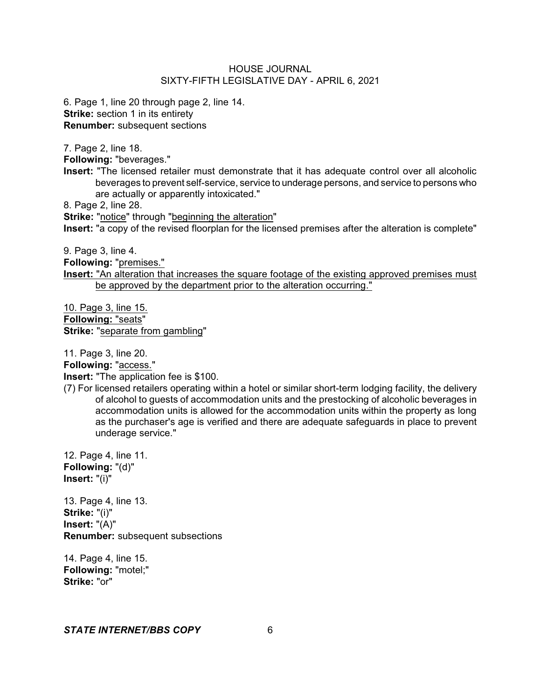6. Page 1, line 20 through page 2, line 14. **Strike:** section 1 in its entirety **Renumber:** subsequent sections

7. Page 2, line 18.

**Following:** "beverages."

**Insert:** "The licensed retailer must demonstrate that it has adequate control over all alcoholic beverages to prevent self-service, service to underage persons, and service to persons who are actually or apparently intoxicated."

8. Page 2, line 28.

**Strike:** "notice" through "beginning the alteration" **Insert:** "a copy of the revised floorplan for the licensed premises after the alteration is complete"

9. Page 3, line 4.

**Following:** "premises."

**Insert:** "An alteration that increases the square footage of the existing approved premises must be approved by the department prior to the alteration occurring."

10. Page 3, line 15. **Following:** "seats" **Strike:** "separate from gambling"

11. Page 3, line 20.

**Following:** "access."

**Insert:** "The application fee is \$100.

(7) For licensed retailers operating within a hotel or similar short-term lodging facility, the delivery of alcohol to guests of accommodation units and the prestocking of alcoholic beverages in accommodation units is allowed for the accommodation units within the property as long as the purchaser's age is verified and there are adequate safeguards in place to prevent underage service."

12. Page 4, line 11. **Following:** "(d)" **Insert:** "(i)"

13. Page 4, line 13. **Strike:** "(i)" **Insert:** "(A)" **Renumber:** subsequent subsections

14. Page 4, line 15. **Following:** "motel;" **Strike:** "or"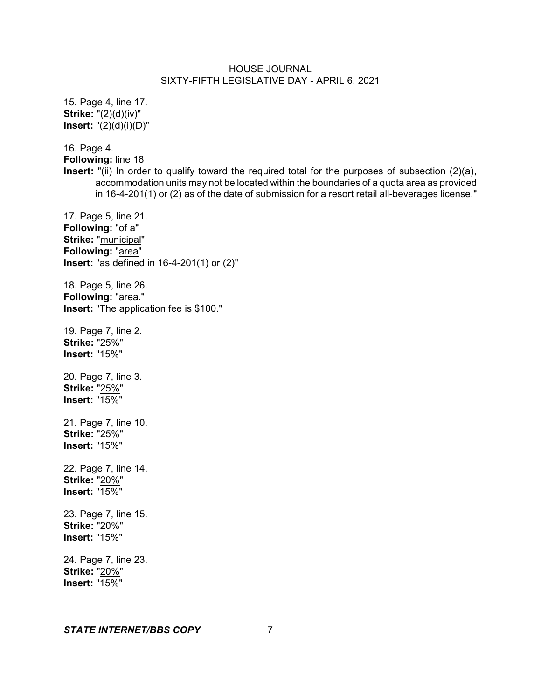15. Page 4, line 17. **Strike:** "(2)(d)(iv)" **Insert:** "(2)(d)(i)(D)" 16. Page 4. **Following:** line 18 **Insert:** "(ii) In order to qualify toward the required total for the purposes of subsection (2)(a), accommodation units may not be located within the boundaries of a quota area as provided in 16-4-201(1) or (2) as of the date of submission for a resort retail all-beverages license." 17. Page 5, line 21. **Following:** "of a" **Strike:** "municipal" **Following:** "area" **Insert:** "as defined in 16-4-201(1) or (2)" 18. Page 5, line 26. **Following:** "area." **Insert:** "The application fee is \$100." 19. Page 7, line 2. **Strike:** "25%" **Insert:** "15%" 20. Page 7, line 3. **Strike:** "25%" **Insert:** "15%" 21. Page 7, line 10. **Strike:** "25%" **Insert:** "15%" 22. Page 7, line 14. **Strike:** "20%" **Insert:** "15%" 23. Page 7, line 15. **Strike:** "20%" **Insert:** "15%" 24. Page 7, line 23. **Strike:** "20%" **Insert:** "15%"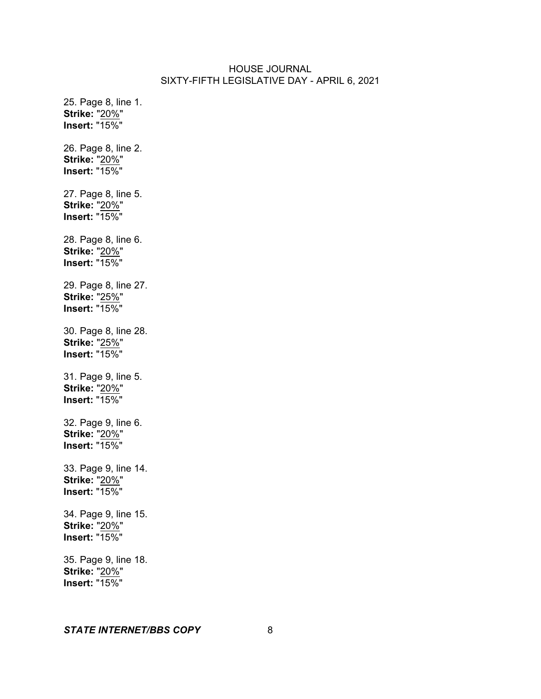25. Page 8, line 1. **Strike:** "20%" **Insert:** "15%" 26. Page 8, line 2. **Strike:** "20%" **Insert:** "15%" 27. Page 8, line 5. **Strike:** "20%" **Insert:** "15%" 28. Page 8, line 6. **Strike:** "20%" **Insert:** "15%" 29. Page 8, line 27. **Strike:** "25%" **Insert:** "15%" 30. Page 8, line 28. **Strike:** "25%" **Insert:** "15%" 31. Page 9, line 5. **Strike:** "20%" **Insert:** "15%" 32. Page 9, line 6. **Strike:** "20%" **Insert:** "15%" 33. Page 9, line 14. **Strike:** "20%" **Insert:** "15%" 34. Page 9, line 15. **Strike:** "20%" **Insert:** "15%" 35. Page 9, line 18. **Strike:** "20%" **Insert:** "15%"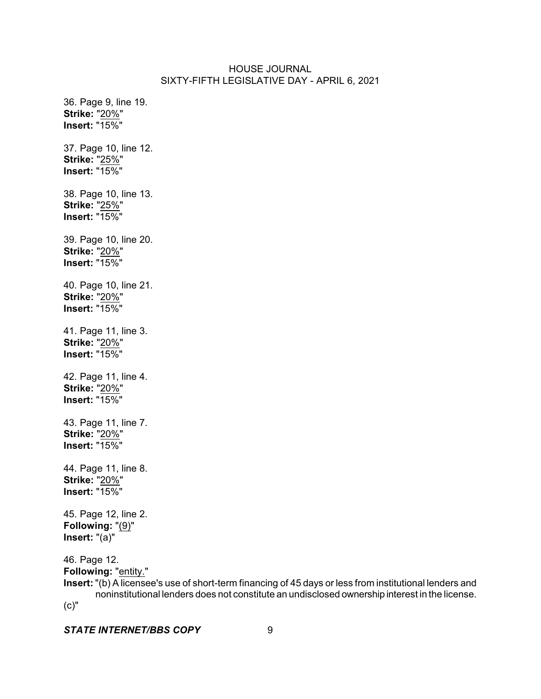36. Page 9, line 19. **Strike:** "20%" **Insert:** "15%" 37. Page 10, line 12. **Strike:** "25%" **Insert:** "15%" 38. Page 10, line 13. **Strike:** "25%" **Insert:** "15%" 39. Page 10, line 20. **Strike:** "20%" **Insert:** "15%" 40. Page 10, line 21. **Strike:** "20%" **Insert:** "15%" 41. Page 11, line 3. **Strike:** "20%" **Insert:** "15%" 42. Page 11, line 4. **Strike:** "20%" **Insert:** "15%" 43. Page 11, line 7. **Strike:** "20%" **Insert:** "15%" 44. Page 11, line 8. **Strike:** "20%" **Insert:** "15%" 45. Page 12, line 2. **Following:** "(9)" **Insert:** "(a)" 46. Page 12. **Following:** "entity."

**Insert:** "(b) A licensee's use of short-term financing of 45 days or less from institutional lenders and noninstitutional lenders does not constitute an undisclosed ownership interest in the license. (c)"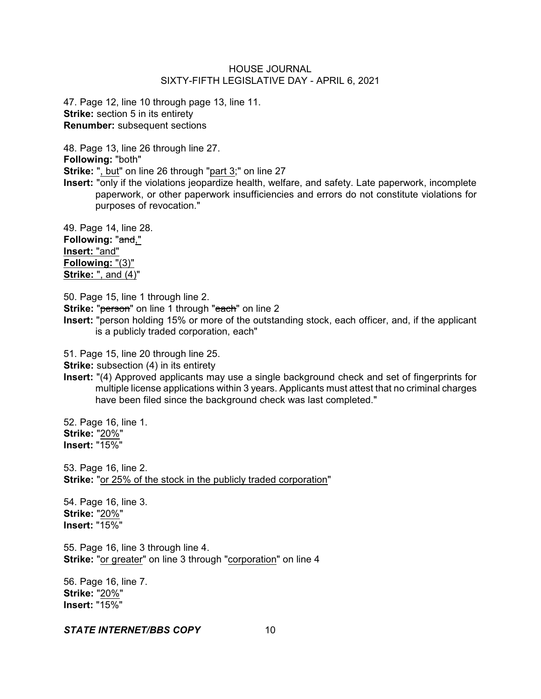47. Page 12, line 10 through page 13, line 11. **Strike:** section 5 in its entirety **Renumber:** subsequent sections

48. Page 13, line 26 through line 27. **Following:** "both"

**Strike:** ", but" on line 26 through "part 3;" on line 27

**Insert:** "only if the violations jeopardize health, welfare, and safety. Late paperwork, incomplete paperwork, or other paperwork insufficiencies and errors do not constitute violations for purposes of revocation."

49. Page 14, line 28. **Following:** "and," **Insert:** "and" **Following:** "(3)" **Strike:** ", and (4)"

50. Page 15, line 1 through line 2.

**Strike: "person"** on line 1 through "each" on line 2

**Insert:** "person holding 15% or more of the outstanding stock, each officer, and, if the applicant is a publicly traded corporation, each"

51. Page 15, line 20 through line 25.

**Strike:** subsection (4) in its entirety

**Insert:** "(4) Approved applicants may use a single background check and set of fingerprints for multiple license applications within 3 years. Applicants must attest that no criminal charges have been filed since the background check was last completed."

52. Page 16, line 1. **Strike:** "20%" **Insert:** "15%"

53. Page 16, line 2. **Strike:** "or 25% of the stock in the publicly traded corporation"

54. Page 16, line 3. **Strike:** "20%" **Insert:** "15%"

55. Page 16, line 3 through line 4. **Strike:** "or greater" on line 3 through "corporation" on line 4

56. Page 16, line 7. **Strike:** "20%" **Insert:** "15%"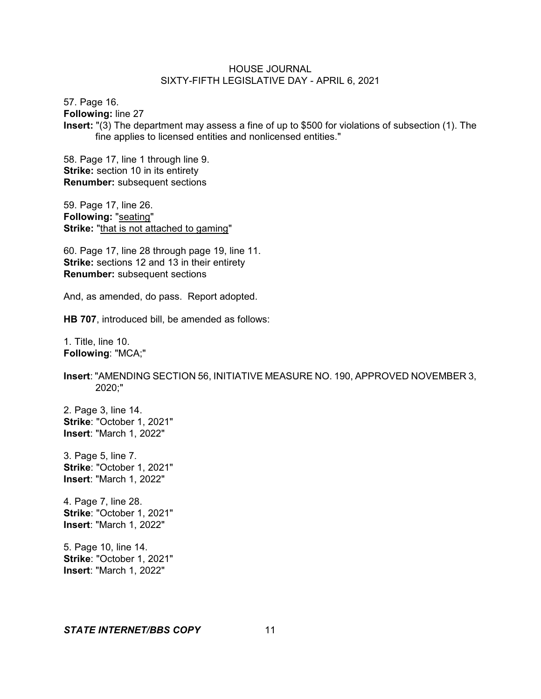57. Page 16. **Following:** line 27 **Insert:** "(3) The department may assess a fine of up to \$500 for violations of subsection (1). The fine applies to licensed entities and nonlicensed entities."

58. Page 17, line 1 through line 9. **Strike:** section 10 in its entirety **Renumber:** subsequent sections

59. Page 17, line 26. **Following:** "seating" **Strike:** "that is not attached to gaming"

60. Page 17, line 28 through page 19, line 11. **Strike:** sections 12 and 13 in their entirety **Renumber:** subsequent sections

And, as amended, do pass. Report adopted.

**HB 707**, introduced bill, be amended as follows:

1. Title, line 10. **Following**: "MCA;"

**Insert**: "AMENDING SECTION 56, INITIATIVE MEASURE NO. 190, APPROVED NOVEMBER 3, 2020;"

2. Page 3, line 14. **Strike**: "October 1, 2021" **Insert**: "March 1, 2022"

3. Page 5, line 7. **Strike**: "October 1, 2021" **Insert**: "March 1, 2022"

4. Page 7, line 28. **Strike**: "October 1, 2021" **Insert**: "March 1, 2022"

5. Page 10, line 14. **Strike**: "October 1, 2021" **Insert**: "March 1, 2022"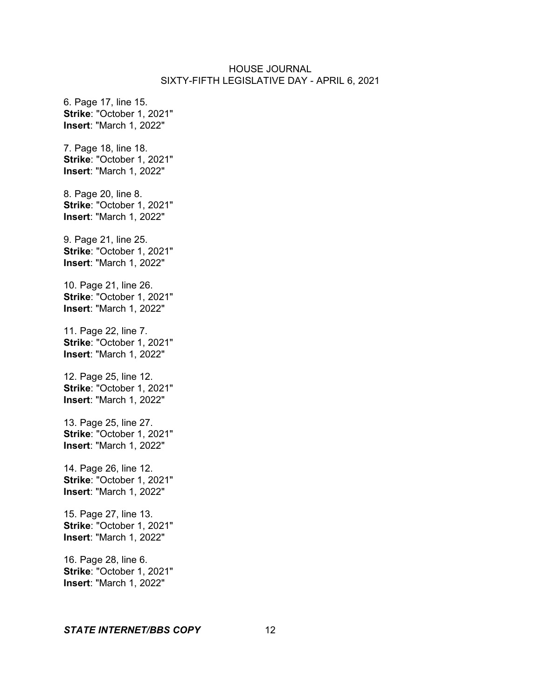6. Page 17, line 15. **Strike**: "October 1, 2021" **Insert**: "March 1, 2022" 7. Page 18, line 18. **Strike**: "October 1, 2021" **Insert**: "March 1, 2022" 8. Page 20, line 8. **Strike**: "October 1, 2021" **Insert**: "March 1, 2022" 9. Page 21, line 25. **Strike**: "October 1, 2021" **Insert**: "March 1, 2022" 10. Page 21, line 26. **Strike**: "October 1, 2021" **Insert**: "March 1, 2022" 11. Page 22, line 7. **Strike**: "October 1, 2021" **Insert**: "March 1, 2022" 12. Page 25, line 12. **Strike**: "October 1, 2021" **Insert**: "March 1, 2022" 13. Page 25, line 27. **Strike**: "October 1, 2021" **Insert**: "March 1, 2022" 14. Page 26, line 12. **Strike**: "October 1, 2021" **Insert**: "March 1, 2022" 15. Page 27, line 13. **Strike**: "October 1, 2021" **Insert**: "March 1, 2022" 16. Page 28, line 6. **Strike**: "October 1, 2021" **Insert**: "March 1, 2022"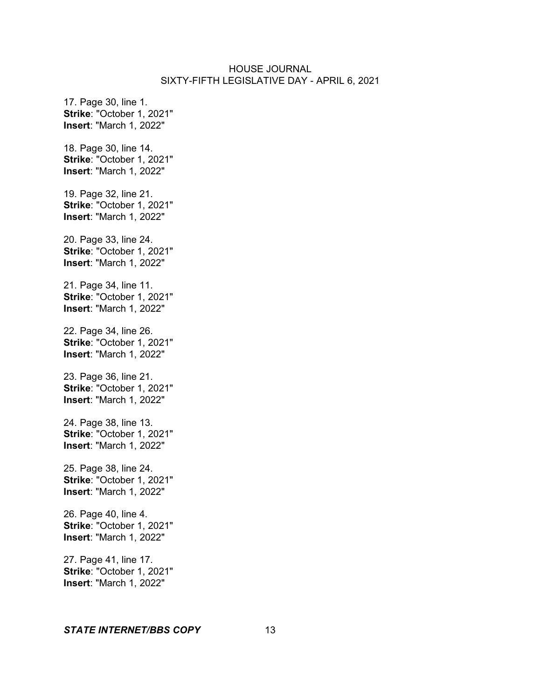17. Page 30, line 1. **Strike**: "October 1, 2021" **Insert**: "March 1, 2022" 18. Page 30, line 14. **Strike**: "October 1, 2021" **Insert**: "March 1, 2022" 19. Page 32, line 21. **Strike**: "October 1, 2021" **Insert**: "March 1, 2022" 20. Page 33, line 24. **Strike**: "October 1, 2021" **Insert**: "March 1, 2022" 21. Page 34, line 11. **Strike**: "October 1, 2021" **Insert**: "March 1, 2022" 22. Page 34, line 26. **Strike**: "October 1, 2021" **Insert**: "March 1, 2022" 23. Page 36, line 21. **Strike**: "October 1, 2021" **Insert**: "March 1, 2022" 24. Page 38, line 13. **Strike**: "October 1, 2021" **Insert**: "March 1, 2022" 25. Page 38, line 24. **Strike**: "October 1, 2021" **Insert**: "March 1, 2022" 26. Page 40, line 4. **Strike**: "October 1, 2021" **Insert**: "March 1, 2022" 27. Page 41, line 17. **Strike**: "October 1, 2021" **Insert**: "March 1, 2022"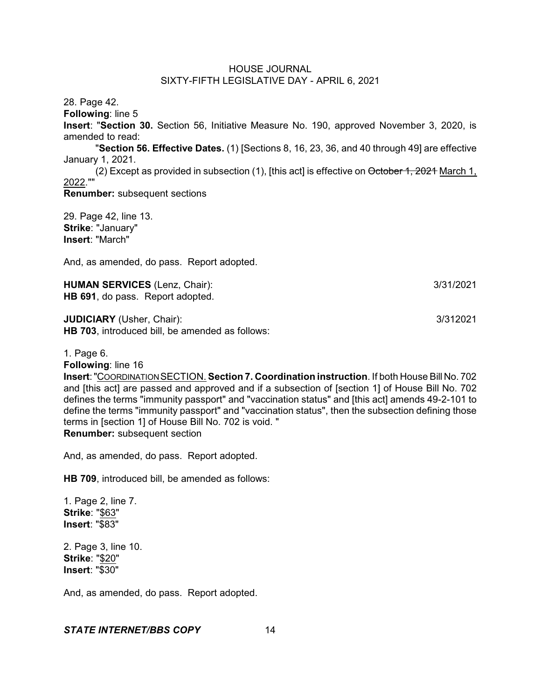28. Page 42.

**Following**: line 5

**Insert**: "**Section 30.** Section 56, Initiative Measure No. 190, approved November 3, 2020, is amended to read:

"**Section 56. Effective Dates.** (1) [Sections 8, 16, 23, 36, and 40 through 49] are effective January 1, 2021.

(2) Except as provided in subsection (1), [this act] is effective on October 1, 2021 March 1, 2022.""

**Renumber:** subsequent sections

29. Page 42, line 13. **Strike**: "January" **Insert**: "March"

And, as amended, do pass. Report adopted.

**HUMAN SERVICES** (Lenz, Chair): 3/31/2021 **HB 691**, do pass. Report adopted.

**JUDICIARY** (Usher, Chair): 3/312021 **HB 703**, introduced bill, be amended as follows:

1. Page 6.

**Following**: line 16

**Insert**:"COORDINATIONSECTION. **Section 7. Coordination instruction**. If both House Bill No. 702 and [this act] are passed and approved and if a subsection of [section 1] of House Bill No. 702 defines the terms "immunity passport" and "vaccination status" and [this act] amends 49-2-101 to define the terms "immunity passport" and "vaccination status", then the subsection defining those terms in [section 1] of House Bill No. 702 is void. " **Renumber:** subsequent section

And, as amended, do pass. Report adopted.

**HB 709**, introduced bill, be amended as follows:

1. Page 2, line 7. **Strike**: "\$63" **Insert**: "\$83"

2. Page 3, line 10. **Strike**: "\$20" **Insert**: "\$30"

And, as amended, do pass. Report adopted.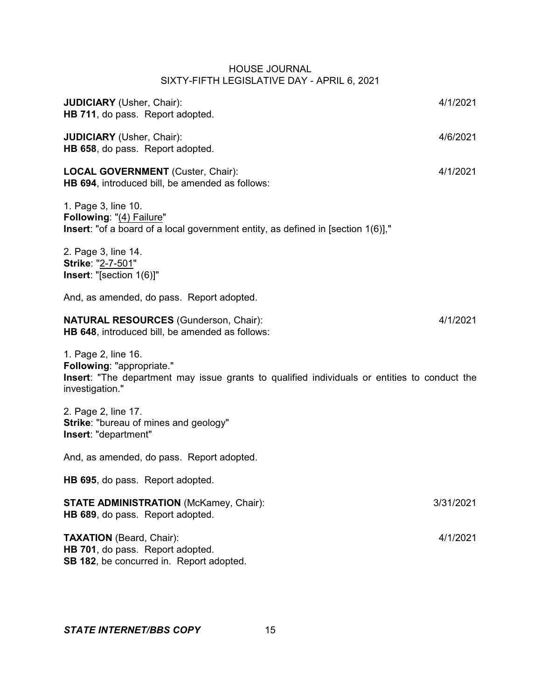| <b>JUDICIARY</b> (Usher, Chair):<br>HB 711, do pass. Report adopted.                                                                                                       | 4/1/2021  |
|----------------------------------------------------------------------------------------------------------------------------------------------------------------------------|-----------|
| <b>JUDICIARY</b> (Usher, Chair):<br>HB 658, do pass. Report adopted.                                                                                                       | 4/6/2021  |
| <b>LOCAL GOVERNMENT</b> (Custer, Chair):<br>HB 694, introduced bill, be amended as follows:                                                                                | 4/1/2021  |
| 1. Page 3, line 10.<br>Following: "(4) Failure"<br><b>Insert</b> : "of a board of a local government entity, as defined in [section 1(6)],"                                |           |
| 2. Page 3, line 14.<br>Strike: "2-7-501"<br>Insert: "[section 1(6)]"                                                                                                       |           |
| And, as amended, do pass. Report adopted.                                                                                                                                  |           |
| <b>NATURAL RESOURCES (Gunderson, Chair):</b><br>HB 648, introduced bill, be amended as follows:                                                                            | 4/1/2021  |
| 1. Page 2, line 16.<br>Following: "appropriate."<br><b>Insert:</b> "The department may issue grants to qualified individuals or entities to conduct the<br>investigation." |           |
| 2. Page 2, line 17.<br>Strike: "bureau of mines and geology"<br>Insert: "department"                                                                                       |           |
| And, as amended, do pass. Report adopted.                                                                                                                                  |           |
| HB 695, do pass. Report adopted.                                                                                                                                           |           |
| <b>STATE ADMINISTRATION (McKamey, Chair):</b><br>HB 689, do pass. Report adopted.                                                                                          | 3/31/2021 |
| <b>TAXATION</b> (Beard, Chair):<br>HB 701, do pass. Report adopted.<br>SB 182, be concurred in. Report adopted.                                                            | 4/1/2021  |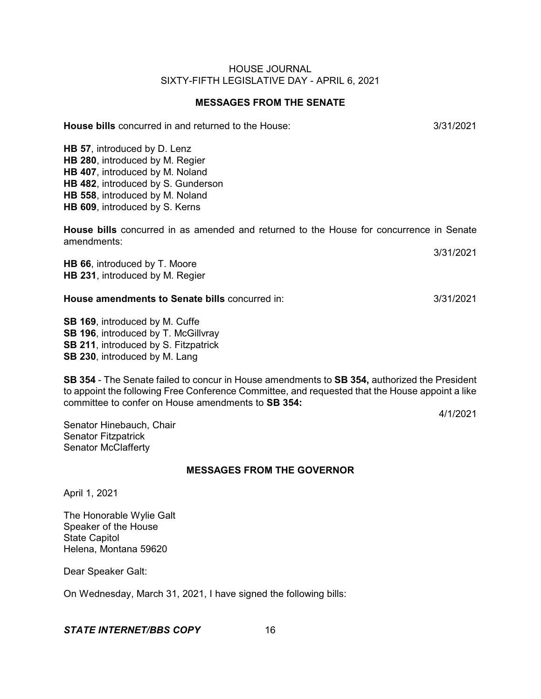# **MESSAGES FROM THE SENATE**

**House bills** concurred in and returned to the House:  $\frac{3}{3112021}$ 

**HB 57**, introduced by D. Lenz **HB 280**, introduced by M. Regier **HB 407**, introduced by M. Noland **HB 482**, introduced by S. Gunderson **HB 558**, introduced by M. Noland **HB 609**, introduced by S. Kerns

**House bills** concurred in as amended and returned to the House for concurrence in Senate amendments:

**HB 66**, introduced by T. Moore **HB 231**, introduced by M. Regier

#### **House amendments to Senate bills** concurred in: 3/31/2021

**SB 169**, introduced by M. Cuffe **SB 196**, introduced by T. McGillvray **SB 211**, introduced by S. Fitzpatrick **SB 230**, introduced by M. Lang

**SB 354** - The Senate failed to concur in House amendments to **SB 354,** authorized the President to appoint the following Free Conference Committee, and requested that the House appoint a like committee to confer on House amendments to **SB 354:**

4/1/2021

Senator Hinebauch, Chair Senator Fitzpatrick Senator McClafferty

# **MESSAGES FROM THE GOVERNOR**

April 1, 2021

The Honorable Wylie Galt Speaker of the House State Capitol Helena, Montana 59620

Dear Speaker Galt:

On Wednesday, March 31, 2021, I have signed the following bills:

## **STATE INTERNET/BBS COPY** 16

3/31/2021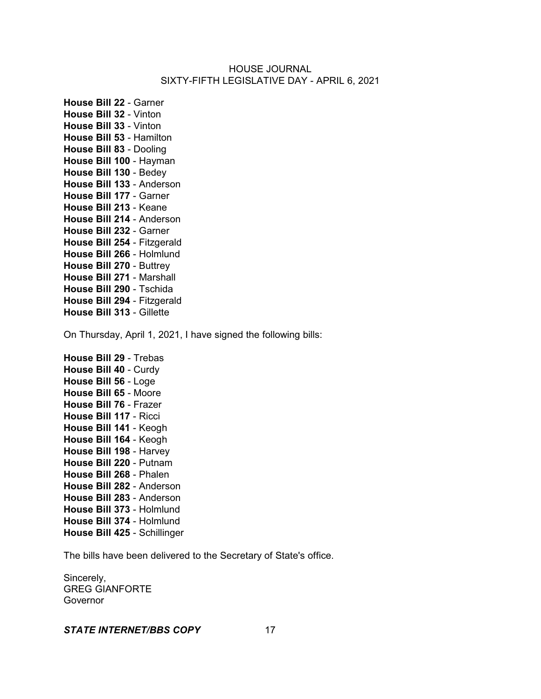**House Bill 22** - Garner **House Bill 32** - Vinton **House Bill 33** - Vinton **House Bill 53** - Hamilton **House Bill 83** - Dooling **House Bill 100** - Hayman **House Bill 130** - Bedey **House Bill 133** - Anderson **House Bill 177** - Garner **House Bill 213** - Keane **House Bill 214** - Anderson **House Bill 232** - Garner **House Bill 254** - Fitzgerald **House Bill 266** - Holmlund **House Bill 270** - Buttrey **House Bill 271** - Marshall **House Bill 290** - Tschida **House Bill 294** - Fitzgerald **House Bill 313** - Gillette

On Thursday, April 1, 2021, I have signed the following bills:

**House Bill 29** - Trebas **House Bill 40** - Curdy **House Bill 56** - Loge **House Bill 65** - Moore **House Bill 76** - Frazer **House Bill 117** - Ricci **House Bill 141** - Keogh **House Bill 164** - Keogh **House Bill 198** - Harvey **House Bill 220** - Putnam **House Bill 268** - Phalen **House Bill 282** - Anderson **House Bill 283** - Anderson **House Bill 373** - Holmlund **House Bill 374** - Holmlund **House Bill 425** - Schillinger

The bills have been delivered to the Secretary of State's office.

Sincerely, GREG GIANFORTE **Governor**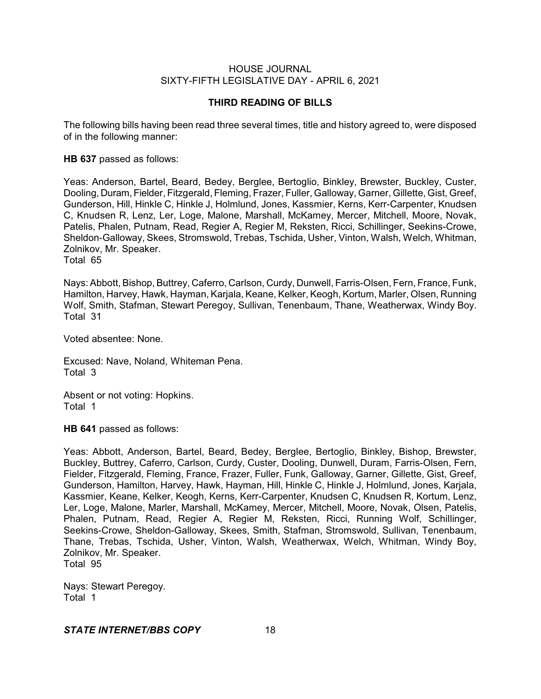## **THIRD READING OF BILLS**

The following bills having been read three several times, title and history agreed to, were disposed of in the following manner:

**HB 637** passed as follows:

Yeas: Anderson, Bartel, Beard, Bedey, Berglee, Bertoglio, Binkley, Brewster, Buckley, Custer, Dooling, Duram, Fielder, Fitzgerald, Fleming, Frazer, Fuller, Galloway, Garner, Gillette, Gist, Greef, Gunderson, Hill, Hinkle C, Hinkle J, Holmlund, Jones, Kassmier, Kerns, Kerr-Carpenter, Knudsen C, Knudsen R, Lenz, Ler, Loge, Malone, Marshall, McKamey, Mercer, Mitchell, Moore, Novak, Patelis, Phalen, Putnam, Read, Regier A, Regier M, Reksten, Ricci, Schillinger, Seekins-Crowe, Sheldon-Galloway, Skees, Stromswold, Trebas, Tschida, Usher, Vinton, Walsh, Welch, Whitman, Zolnikov, Mr. Speaker.

Total 65

Nays: Abbott, Bishop, Buttrey, Caferro, Carlson, Curdy, Dunwell, Farris-Olsen, Fern, France, Funk, Hamilton, Harvey, Hawk, Hayman, Karjala, Keane, Kelker, Keogh, Kortum, Marler, Olsen, Running Wolf, Smith, Stafman, Stewart Peregoy, Sullivan, Tenenbaum, Thane, Weatherwax, Windy Boy. Total 31

Voted absentee: None.

Excused: Nave, Noland, Whiteman Pena. Total 3

Absent or not voting: Hopkins. Total 1

**HB 641** passed as follows:

Yeas: Abbott, Anderson, Bartel, Beard, Bedey, Berglee, Bertoglio, Binkley, Bishop, Brewster, Buckley, Buttrey, Caferro, Carlson, Curdy, Custer, Dooling, Dunwell, Duram, Farris-Olsen, Fern, Fielder, Fitzgerald, Fleming, France, Frazer, Fuller, Funk, Galloway, Garner, Gillette, Gist, Greef, Gunderson, Hamilton, Harvey, Hawk, Hayman, Hill, Hinkle C, Hinkle J, Holmlund, Jones, Karjala, Kassmier, Keane, Kelker, Keogh, Kerns, Kerr-Carpenter, Knudsen C, Knudsen R, Kortum, Lenz, Ler, Loge, Malone, Marler, Marshall, McKamey, Mercer, Mitchell, Moore, Novak, Olsen, Patelis, Phalen, Putnam, Read, Regier A, Regier M, Reksten, Ricci, Running Wolf, Schillinger, Seekins-Crowe, Sheldon-Galloway, Skees, Smith, Stafman, Stromswold, Sullivan, Tenenbaum, Thane, Trebas, Tschida, Usher, Vinton, Walsh, Weatherwax, Welch, Whitman, Windy Boy, Zolnikov, Mr. Speaker. Total 95

Nays: Stewart Peregoy. Total 1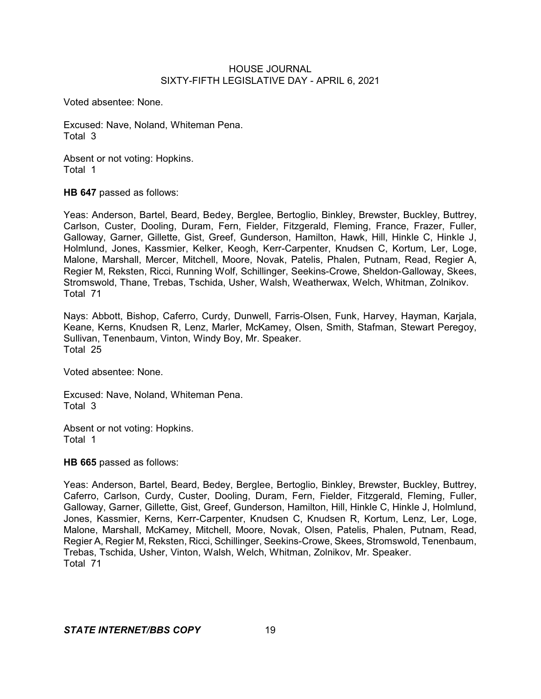Voted absentee: None.

Excused: Nave, Noland, Whiteman Pena. Total 3

Absent or not voting: Hopkins. Total 1

**HB 647** passed as follows:

Yeas: Anderson, Bartel, Beard, Bedey, Berglee, Bertoglio, Binkley, Brewster, Buckley, Buttrey, Carlson, Custer, Dooling, Duram, Fern, Fielder, Fitzgerald, Fleming, France, Frazer, Fuller, Galloway, Garner, Gillette, Gist, Greef, Gunderson, Hamilton, Hawk, Hill, Hinkle C, Hinkle J, Holmlund, Jones, Kassmier, Kelker, Keogh, Kerr-Carpenter, Knudsen C, Kortum, Ler, Loge, Malone, Marshall, Mercer, Mitchell, Moore, Novak, Patelis, Phalen, Putnam, Read, Regier A, Regier M, Reksten, Ricci, Running Wolf, Schillinger, Seekins-Crowe, Sheldon-Galloway, Skees, Stromswold, Thane, Trebas, Tschida, Usher, Walsh, Weatherwax, Welch, Whitman, Zolnikov. Total 71

Nays: Abbott, Bishop, Caferro, Curdy, Dunwell, Farris-Olsen, Funk, Harvey, Hayman, Karjala, Keane, Kerns, Knudsen R, Lenz, Marler, McKamey, Olsen, Smith, Stafman, Stewart Peregoy, Sullivan, Tenenbaum, Vinton, Windy Boy, Mr. Speaker. Total 25

Voted absentee: None.

Excused: Nave, Noland, Whiteman Pena. Total 3

Absent or not voting: Hopkins. Total 1

**HB 665** passed as follows:

Yeas: Anderson, Bartel, Beard, Bedey, Berglee, Bertoglio, Binkley, Brewster, Buckley, Buttrey, Caferro, Carlson, Curdy, Custer, Dooling, Duram, Fern, Fielder, Fitzgerald, Fleming, Fuller, Galloway, Garner, Gillette, Gist, Greef, Gunderson, Hamilton, Hill, Hinkle C, Hinkle J, Holmlund, Jones, Kassmier, Kerns, Kerr-Carpenter, Knudsen C, Knudsen R, Kortum, Lenz, Ler, Loge, Malone, Marshall, McKamey, Mitchell, Moore, Novak, Olsen, Patelis, Phalen, Putnam, Read, Regier A, Regier M, Reksten, Ricci, Schillinger, Seekins-Crowe, Skees, Stromswold, Tenenbaum, Trebas, Tschida, Usher, Vinton, Walsh, Welch, Whitman, Zolnikov, Mr. Speaker. Total 71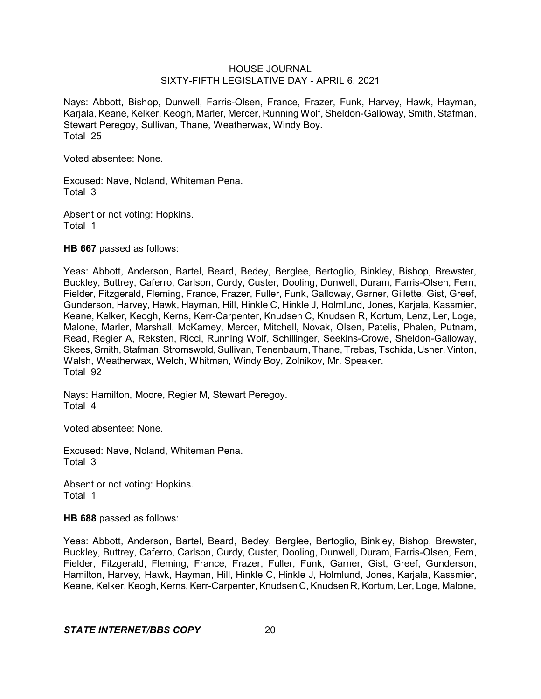Nays: Abbott, Bishop, Dunwell, Farris-Olsen, France, Frazer, Funk, Harvey, Hawk, Hayman, Karjala, Keane, Kelker, Keogh, Marler, Mercer, Running Wolf, Sheldon-Galloway, Smith, Stafman, Stewart Peregoy, Sullivan, Thane, Weatherwax, Windy Boy. Total 25

Voted absentee: None.

Excused: Nave, Noland, Whiteman Pena. Total 3

Absent or not voting: Hopkins. Total 1

**HB 667** passed as follows:

Yeas: Abbott, Anderson, Bartel, Beard, Bedey, Berglee, Bertoglio, Binkley, Bishop, Brewster, Buckley, Buttrey, Caferro, Carlson, Curdy, Custer, Dooling, Dunwell, Duram, Farris-Olsen, Fern, Fielder, Fitzgerald, Fleming, France, Frazer, Fuller, Funk, Galloway, Garner, Gillette, Gist, Greef, Gunderson, Harvey, Hawk, Hayman, Hill, Hinkle C, Hinkle J, Holmlund, Jones, Karjala, Kassmier, Keane, Kelker, Keogh, Kerns, Kerr-Carpenter, Knudsen C, Knudsen R, Kortum, Lenz, Ler, Loge, Malone, Marler, Marshall, McKamey, Mercer, Mitchell, Novak, Olsen, Patelis, Phalen, Putnam, Read, Regier A, Reksten, Ricci, Running Wolf, Schillinger, Seekins-Crowe, Sheldon-Galloway, Skees, Smith, Stafman, Stromswold, Sullivan, Tenenbaum, Thane, Trebas, Tschida, Usher, Vinton, Walsh, Weatherwax, Welch, Whitman, Windy Boy, Zolnikov, Mr. Speaker. Total 92

Nays: Hamilton, Moore, Regier M, Stewart Peregoy. Total 4

Voted absentee: None.

Excused: Nave, Noland, Whiteman Pena. Total 3

Absent or not voting: Hopkins. Total 1

**HB 688** passed as follows:

Yeas: Abbott, Anderson, Bartel, Beard, Bedey, Berglee, Bertoglio, Binkley, Bishop, Brewster, Buckley, Buttrey, Caferro, Carlson, Curdy, Custer, Dooling, Dunwell, Duram, Farris-Olsen, Fern, Fielder, Fitzgerald, Fleming, France, Frazer, Fuller, Funk, Garner, Gist, Greef, Gunderson, Hamilton, Harvey, Hawk, Hayman, Hill, Hinkle C, Hinkle J, Holmlund, Jones, Karjala, Kassmier, Keane, Kelker, Keogh, Kerns, Kerr-Carpenter, Knudsen C, Knudsen R, Kortum, Ler, Loge, Malone,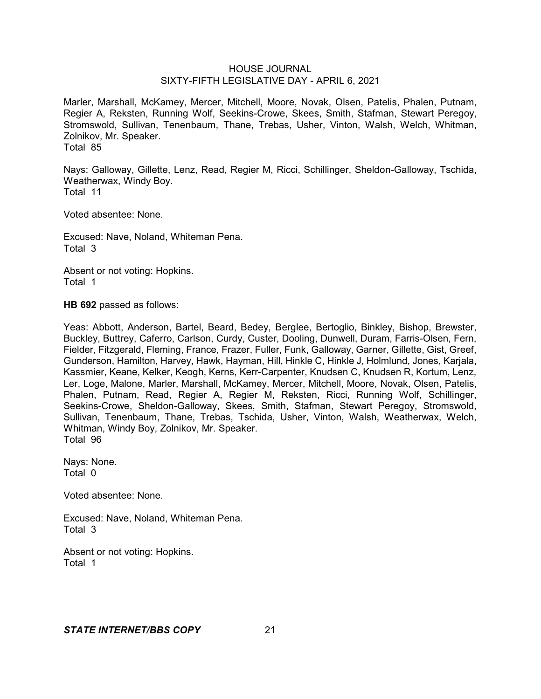Marler, Marshall, McKamey, Mercer, Mitchell, Moore, Novak, Olsen, Patelis, Phalen, Putnam, Regier A, Reksten, Running Wolf, Seekins-Crowe, Skees, Smith, Stafman, Stewart Peregoy, Stromswold, Sullivan, Tenenbaum, Thane, Trebas, Usher, Vinton, Walsh, Welch, Whitman, Zolnikov, Mr. Speaker. Total 85

Nays: Galloway, Gillette, Lenz, Read, Regier M, Ricci, Schillinger, Sheldon-Galloway, Tschida, Weatherwax, Windy Boy. Total 11

Voted absentee: None.

Excused: Nave, Noland, Whiteman Pena. Total 3

Absent or not voting: Hopkins. Total 1

**HB 692** passed as follows:

Yeas: Abbott, Anderson, Bartel, Beard, Bedey, Berglee, Bertoglio, Binkley, Bishop, Brewster, Buckley, Buttrey, Caferro, Carlson, Curdy, Custer, Dooling, Dunwell, Duram, Farris-Olsen, Fern, Fielder, Fitzgerald, Fleming, France, Frazer, Fuller, Funk, Galloway, Garner, Gillette, Gist, Greef, Gunderson, Hamilton, Harvey, Hawk, Hayman, Hill, Hinkle C, Hinkle J, Holmlund, Jones, Karjala, Kassmier, Keane, Kelker, Keogh, Kerns, Kerr-Carpenter, Knudsen C, Knudsen R, Kortum, Lenz, Ler, Loge, Malone, Marler, Marshall, McKamey, Mercer, Mitchell, Moore, Novak, Olsen, Patelis, Phalen, Putnam, Read, Regier A, Regier M, Reksten, Ricci, Running Wolf, Schillinger, Seekins-Crowe, Sheldon-Galloway, Skees, Smith, Stafman, Stewart Peregoy, Stromswold, Sullivan, Tenenbaum, Thane, Trebas, Tschida, Usher, Vinton, Walsh, Weatherwax, Welch, Whitman, Windy Boy, Zolnikov, Mr. Speaker. Total 96

Nays: None. Total 0

Voted absentee: None.

Excused: Nave, Noland, Whiteman Pena. Total 3

Absent or not voting: Hopkins. Total 1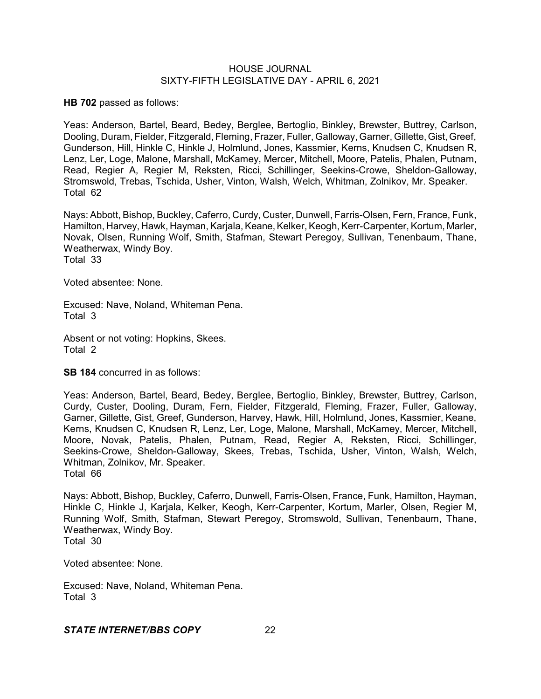**HB 702** passed as follows:

Yeas: Anderson, Bartel, Beard, Bedey, Berglee, Bertoglio, Binkley, Brewster, Buttrey, Carlson, Dooling, Duram, Fielder, Fitzgerald, Fleming, Frazer, Fuller, Galloway, Garner, Gillette,Gist, Greef, Gunderson, Hill, Hinkle C, Hinkle J, Holmlund, Jones, Kassmier, Kerns, Knudsen C, Knudsen R, Lenz, Ler, Loge, Malone, Marshall, McKamey, Mercer, Mitchell, Moore, Patelis, Phalen, Putnam, Read, Regier A, Regier M, Reksten, Ricci, Schillinger, Seekins-Crowe, Sheldon-Galloway, Stromswold, Trebas, Tschida, Usher, Vinton, Walsh, Welch, Whitman, Zolnikov, Mr. Speaker. Total 62

Nays: Abbott, Bishop, Buckley, Caferro, Curdy, Custer, Dunwell, Farris-Olsen, Fern, France, Funk, Hamilton, Harvey, Hawk, Hayman, Karjala, Keane,Kelker, Keogh, Kerr-Carpenter, Kortum, Marler, Novak, Olsen, Running Wolf, Smith, Stafman, Stewart Peregoy, Sullivan, Tenenbaum, Thane, Weatherwax, Windy Boy. Total 33

Voted absentee: None.

Excused: Nave, Noland, Whiteman Pena. Total 3

Absent or not voting: Hopkins, Skees. Total 2

**SB 184** concurred in as follows:

Yeas: Anderson, Bartel, Beard, Bedey, Berglee, Bertoglio, Binkley, Brewster, Buttrey, Carlson, Curdy, Custer, Dooling, Duram, Fern, Fielder, Fitzgerald, Fleming, Frazer, Fuller, Galloway, Garner, Gillette, Gist, Greef, Gunderson, Harvey, Hawk, Hill, Holmlund, Jones, Kassmier, Keane, Kerns, Knudsen C, Knudsen R, Lenz, Ler, Loge, Malone, Marshall, McKamey, Mercer, Mitchell, Moore, Novak, Patelis, Phalen, Putnam, Read, Regier A, Reksten, Ricci, Schillinger, Seekins-Crowe, Sheldon-Galloway, Skees, Trebas, Tschida, Usher, Vinton, Walsh, Welch, Whitman, Zolnikov, Mr. Speaker. Total 66

Nays: Abbott, Bishop, Buckley, Caferro, Dunwell, Farris-Olsen, France, Funk, Hamilton, Hayman, Hinkle C, Hinkle J, Karjala, Kelker, Keogh, Kerr-Carpenter, Kortum, Marler, Olsen, Regier M, Running Wolf, Smith, Stafman, Stewart Peregoy, Stromswold, Sullivan, Tenenbaum, Thane, Weatherwax, Windy Boy. Total 30

Voted absentee: None.

Excused: Nave, Noland, Whiteman Pena. Total 3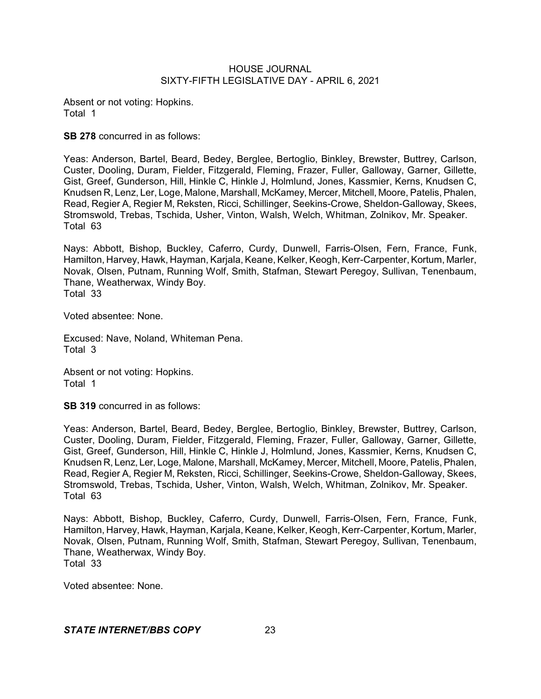Absent or not voting: Hopkins. Total 1

**SB 278** concurred in as follows:

Yeas: Anderson, Bartel, Beard, Bedey, Berglee, Bertoglio, Binkley, Brewster, Buttrey, Carlson, Custer, Dooling, Duram, Fielder, Fitzgerald, Fleming, Frazer, Fuller, Galloway, Garner, Gillette, Gist, Greef, Gunderson, Hill, Hinkle C, Hinkle J, Holmlund, Jones, Kassmier, Kerns, Knudsen C, Knudsen R, Lenz, Ler, Loge, Malone, Marshall, McKamey, Mercer, Mitchell, Moore, Patelis, Phalen, Read, Regier A, Regier M, Reksten, Ricci, Schillinger, Seekins-Crowe, Sheldon-Galloway, Skees, Stromswold, Trebas, Tschida, Usher, Vinton, Walsh, Welch, Whitman, Zolnikov, Mr. Speaker. Total 63

Nays: Abbott, Bishop, Buckley, Caferro, Curdy, Dunwell, Farris-Olsen, Fern, France, Funk, Hamilton, Harvey, Hawk, Hayman, Karjala, Keane, Kelker, Keogh, Kerr-Carpenter, Kortum, Marler, Novak, Olsen, Putnam, Running Wolf, Smith, Stafman, Stewart Peregoy, Sullivan, Tenenbaum, Thane, Weatherwax, Windy Boy. Total 33

Voted absentee: None.

Excused: Nave, Noland, Whiteman Pena. Total 3

Absent or not voting: Hopkins. Total 1

**SB 319** concurred in as follows:

Yeas: Anderson, Bartel, Beard, Bedey, Berglee, Bertoglio, Binkley, Brewster, Buttrey, Carlson, Custer, Dooling, Duram, Fielder, Fitzgerald, Fleming, Frazer, Fuller, Galloway, Garner, Gillette, Gist, Greef, Gunderson, Hill, Hinkle C, Hinkle J, Holmlund, Jones, Kassmier, Kerns, Knudsen C, Knudsen R, Lenz, Ler, Loge, Malone, Marshall, McKamey, Mercer, Mitchell, Moore, Patelis, Phalen, Read, Regier A, Regier M, Reksten, Ricci, Schillinger, Seekins-Crowe, Sheldon-Galloway, Skees, Stromswold, Trebas, Tschida, Usher, Vinton, Walsh, Welch, Whitman, Zolnikov, Mr. Speaker. Total 63

Nays: Abbott, Bishop, Buckley, Caferro, Curdy, Dunwell, Farris-Olsen, Fern, France, Funk, Hamilton, Harvey, Hawk, Hayman, Karjala, Keane, Kelker, Keogh, Kerr-Carpenter, Kortum, Marler, Novak, Olsen, Putnam, Running Wolf, Smith, Stafman, Stewart Peregoy, Sullivan, Tenenbaum, Thane, Weatherwax, Windy Boy. Total 33

Voted absentee: None.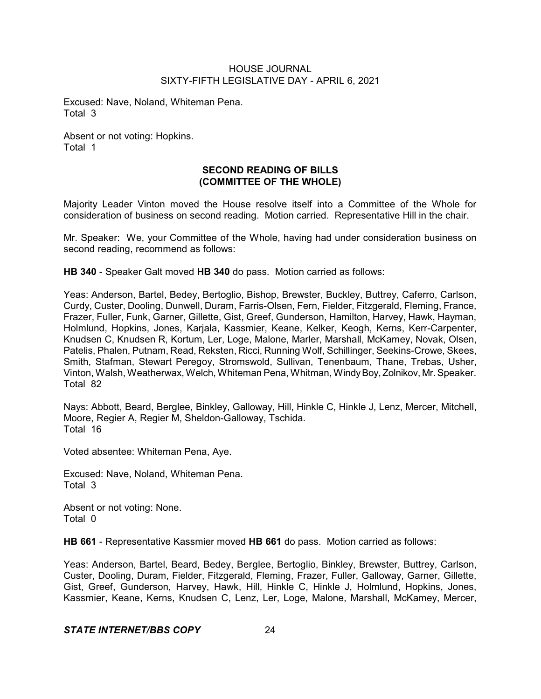Excused: Nave, Noland, Whiteman Pena. Total 3

Absent or not voting: Hopkins. Total 1

# **SECOND READING OF BILLS (COMMITTEE OF THE WHOLE)**

Majority Leader Vinton moved the House resolve itself into a Committee of the Whole for consideration of business on second reading. Motion carried. Representative Hill in the chair.

Mr. Speaker: We, your Committee of the Whole, having had under consideration business on second reading, recommend as follows:

**HB 340** - Speaker Galt moved **HB 340** do pass. Motion carried as follows:

Yeas: Anderson, Bartel, Bedey, Bertoglio, Bishop, Brewster, Buckley, Buttrey, Caferro, Carlson, Curdy, Custer, Dooling, Dunwell, Duram, Farris-Olsen, Fern, Fielder, Fitzgerald, Fleming, France, Frazer, Fuller, Funk, Garner, Gillette, Gist, Greef, Gunderson, Hamilton, Harvey, Hawk, Hayman, Holmlund, Hopkins, Jones, Karjala, Kassmier, Keane, Kelker, Keogh, Kerns, Kerr-Carpenter, Knudsen C, Knudsen R, Kortum, Ler, Loge, Malone, Marler, Marshall, McKamey, Novak, Olsen, Patelis, Phalen, Putnam, Read, Reksten, Ricci, Running Wolf, Schillinger, Seekins-Crowe, Skees, Smith, Stafman, Stewart Peregoy, Stromswold, Sullivan, Tenenbaum, Thane, Trebas, Usher, Vinton, Walsh, Weatherwax, Welch, Whiteman Pena, Whitman, WindyBoy, Zolnikov, Mr.Speaker. Total 82

Nays: Abbott, Beard, Berglee, Binkley, Galloway, Hill, Hinkle C, Hinkle J, Lenz, Mercer, Mitchell, Moore, Regier A, Regier M, Sheldon-Galloway, Tschida. Total 16

Voted absentee: Whiteman Pena, Aye.

Excused: Nave, Noland, Whiteman Pena. Total 3

Absent or not voting: None. Total 0

**HB 661** - Representative Kassmier moved **HB 661** do pass. Motion carried as follows:

Yeas: Anderson, Bartel, Beard, Bedey, Berglee, Bertoglio, Binkley, Brewster, Buttrey, Carlson, Custer, Dooling, Duram, Fielder, Fitzgerald, Fleming, Frazer, Fuller, Galloway, Garner, Gillette, Gist, Greef, Gunderson, Harvey, Hawk, Hill, Hinkle C, Hinkle J, Holmlund, Hopkins, Jones, Kassmier, Keane, Kerns, Knudsen C, Lenz, Ler, Loge, Malone, Marshall, McKamey, Mercer,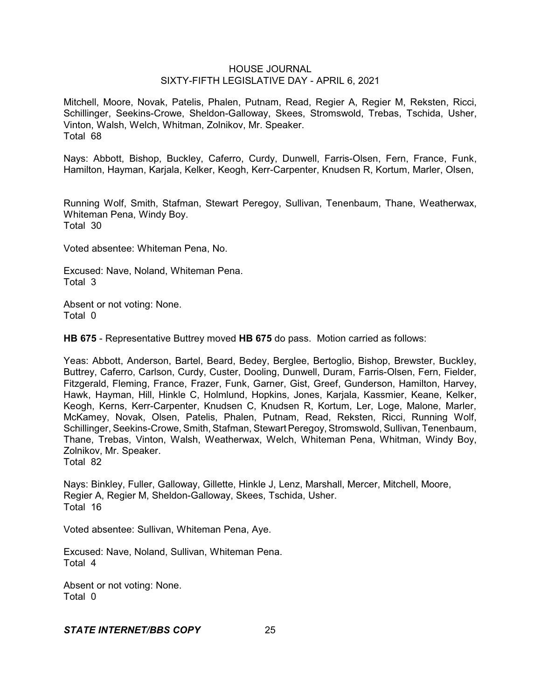Mitchell, Moore, Novak, Patelis, Phalen, Putnam, Read, Regier A, Regier M, Reksten, Ricci, Schillinger, Seekins-Crowe, Sheldon-Galloway, Skees, Stromswold, Trebas, Tschida, Usher, Vinton, Walsh, Welch, Whitman, Zolnikov, Mr. Speaker. Total 68

Nays: Abbott, Bishop, Buckley, Caferro, Curdy, Dunwell, Farris-Olsen, Fern, France, Funk, Hamilton, Hayman, Karjala, Kelker, Keogh, Kerr-Carpenter, Knudsen R, Kortum, Marler, Olsen,

Running Wolf, Smith, Stafman, Stewart Peregoy, Sullivan, Tenenbaum, Thane, Weatherwax, Whiteman Pena, Windy Boy. Total 30

Voted absentee: Whiteman Pena, No.

Excused: Nave, Noland, Whiteman Pena. Total 3

Absent or not voting: None. Total 0

**HB 675** - Representative Buttrey moved **HB 675** do pass. Motion carried as follows:

Yeas: Abbott, Anderson, Bartel, Beard, Bedey, Berglee, Bertoglio, Bishop, Brewster, Buckley, Buttrey, Caferro, Carlson, Curdy, Custer, Dooling, Dunwell, Duram, Farris-Olsen, Fern, Fielder, Fitzgerald, Fleming, France, Frazer, Funk, Garner, Gist, Greef, Gunderson, Hamilton, Harvey, Hawk, Hayman, Hill, Hinkle C, Holmlund, Hopkins, Jones, Karjala, Kassmier, Keane, Kelker, Keogh, Kerns, Kerr-Carpenter, Knudsen C, Knudsen R, Kortum, Ler, Loge, Malone, Marler, McKamey, Novak, Olsen, Patelis, Phalen, Putnam, Read, Reksten, Ricci, Running Wolf, Schillinger, Seekins-Crowe, Smith, Stafman, Stewart Peregoy, Stromswold, Sullivan, Tenenbaum, Thane, Trebas, Vinton, Walsh, Weatherwax, Welch, Whiteman Pena, Whitman, Windy Boy, Zolnikov, Mr. Speaker. Total 82

Nays: Binkley, Fuller, Galloway, Gillette, Hinkle J, Lenz, Marshall, Mercer, Mitchell, Moore, Regier A, Regier M, Sheldon-Galloway, Skees, Tschida, Usher. Total 16

Voted absentee: Sullivan, Whiteman Pena, Aye.

Excused: Nave, Noland, Sullivan, Whiteman Pena. Total 4

Absent or not voting: None. Total 0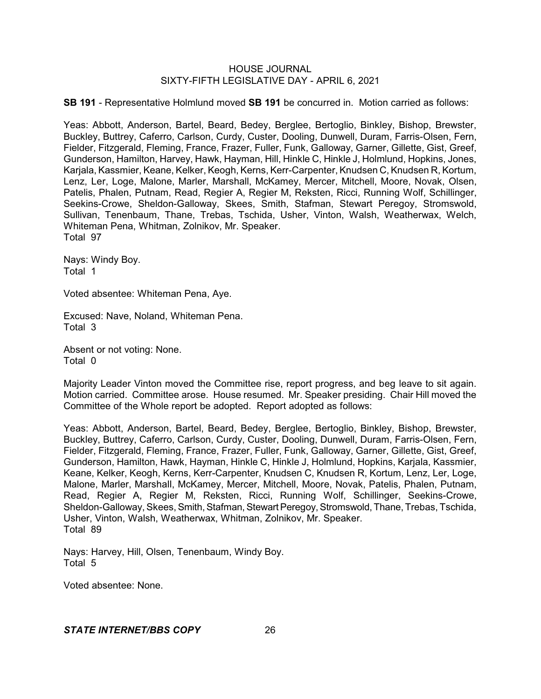**SB 191** - Representative Holmlund moved **SB 191** be concurred in. Motion carried as follows:

Yeas: Abbott, Anderson, Bartel, Beard, Bedey, Berglee, Bertoglio, Binkley, Bishop, Brewster, Buckley, Buttrey, Caferro, Carlson, Curdy, Custer, Dooling, Dunwell, Duram, Farris-Olsen, Fern, Fielder, Fitzgerald, Fleming, France, Frazer, Fuller, Funk, Galloway, Garner, Gillette, Gist, Greef, Gunderson, Hamilton, Harvey, Hawk, Hayman, Hill, Hinkle C, Hinkle J, Holmlund, Hopkins, Jones, Karjala, Kassmier, Keane, Kelker, Keogh, Kerns, Kerr-Carpenter, Knudsen C, Knudsen R, Kortum, Lenz, Ler, Loge, Malone, Marler, Marshall, McKamey, Mercer, Mitchell, Moore, Novak, Olsen, Patelis, Phalen, Putnam, Read, Regier A, Regier M, Reksten, Ricci, Running Wolf, Schillinger, Seekins-Crowe, Sheldon-Galloway, Skees, Smith, Stafman, Stewart Peregoy, Stromswold, Sullivan, Tenenbaum, Thane, Trebas, Tschida, Usher, Vinton, Walsh, Weatherwax, Welch, Whiteman Pena, Whitman, Zolnikov, Mr. Speaker. Total 97

Nays: Windy Boy. Total 1

Voted absentee: Whiteman Pena, Aye.

Excused: Nave, Noland, Whiteman Pena. Total 3

Absent or not voting: None. Total 0

Majority Leader Vinton moved the Committee rise, report progress, and beg leave to sit again. Motion carried. Committee arose. House resumed. Mr. Speaker presiding. Chair Hill moved the Committee of the Whole report be adopted. Report adopted as follows:

Yeas: Abbott, Anderson, Bartel, Beard, Bedey, Berglee, Bertoglio, Binkley, Bishop, Brewster, Buckley, Buttrey, Caferro, Carlson, Curdy, Custer, Dooling, Dunwell, Duram, Farris-Olsen, Fern, Fielder, Fitzgerald, Fleming, France, Frazer, Fuller, Funk, Galloway, Garner, Gillette, Gist, Greef, Gunderson, Hamilton, Hawk, Hayman, Hinkle C, Hinkle J, Holmlund, Hopkins, Karjala, Kassmier, Keane, Kelker, Keogh, Kerns, Kerr-Carpenter, Knudsen C, Knudsen R, Kortum, Lenz, Ler, Loge, Malone, Marler, Marshall, McKamey, Mercer, Mitchell, Moore, Novak, Patelis, Phalen, Putnam, Read, Regier A, Regier M, Reksten, Ricci, Running Wolf, Schillinger, Seekins-Crowe, Sheldon-Galloway, Skees, Smith, Stafman, Stewart Peregoy, Stromswold, Thane, Trebas, Tschida, Usher, Vinton, Walsh, Weatherwax, Whitman, Zolnikov, Mr. Speaker. Total 89

Nays: Harvey, Hill, Olsen, Tenenbaum, Windy Boy. Total 5

Voted absentee: None.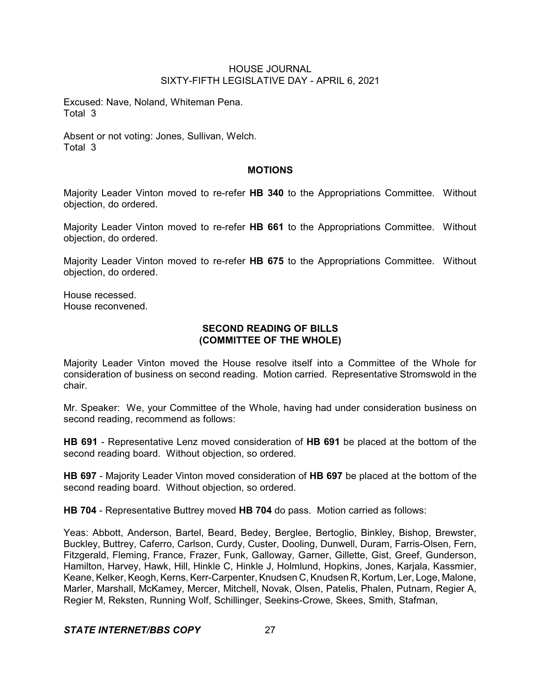Excused: Nave, Noland, Whiteman Pena. Total 3

Absent or not voting: Jones, Sullivan, Welch. Total 3

## **MOTIONS**

Majority Leader Vinton moved to re-refer **HB 340** to the Appropriations Committee. Without objection, do ordered.

Majority Leader Vinton moved to re-refer **HB 661** to the Appropriations Committee. Without objection, do ordered.

Majority Leader Vinton moved to re-refer **HB 675** to the Appropriations Committee. Without objection, do ordered.

House recessed. House reconvened.

## **SECOND READING OF BILLS (COMMITTEE OF THE WHOLE)**

Majority Leader Vinton moved the House resolve itself into a Committee of the Whole for consideration of business on second reading. Motion carried. Representative Stromswold in the chair.

Mr. Speaker: We, your Committee of the Whole, having had under consideration business on second reading, recommend as follows:

**HB 691** - Representative Lenz moved consideration of **HB 691** be placed at the bottom of the second reading board. Without objection, so ordered.

**HB 697** - Majority Leader Vinton moved consideration of **HB 697** be placed at the bottom of the second reading board. Without objection, so ordered.

**HB 704** - Representative Buttrey moved **HB 704** do pass. Motion carried as follows:

Yeas: Abbott, Anderson, Bartel, Beard, Bedey, Berglee, Bertoglio, Binkley, Bishop, Brewster, Buckley, Buttrey, Caferro, Carlson, Curdy, Custer, Dooling, Dunwell, Duram, Farris-Olsen, Fern, Fitzgerald, Fleming, France, Frazer, Funk, Galloway, Garner, Gillette, Gist, Greef, Gunderson, Hamilton, Harvey, Hawk, Hill, Hinkle C, Hinkle J, Holmlund, Hopkins, Jones, Karjala, Kassmier, Keane, Kelker, Keogh, Kerns, Kerr-Carpenter, Knudsen C, Knudsen R, Kortum, Ler, Loge, Malone, Marler, Marshall, McKamey, Mercer, Mitchell, Novak, Olsen, Patelis, Phalen, Putnam, Regier A, Regier M, Reksten, Running Wolf, Schillinger, Seekins-Crowe, Skees, Smith, Stafman,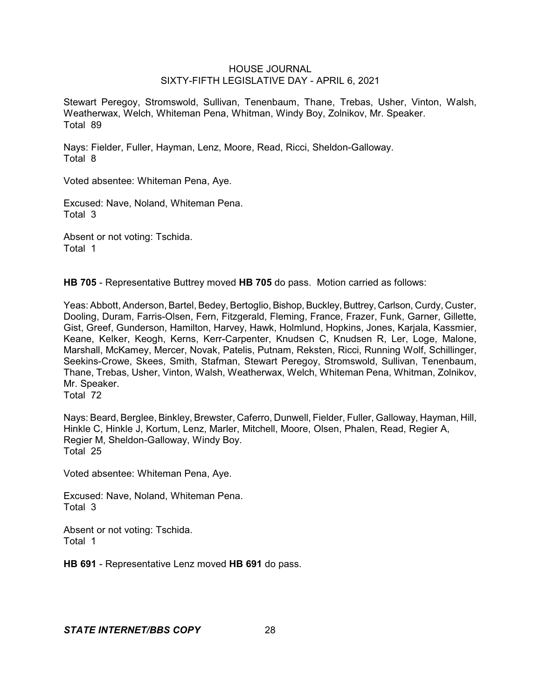Stewart Peregoy, Stromswold, Sullivan, Tenenbaum, Thane, Trebas, Usher, Vinton, Walsh, Weatherwax, Welch, Whiteman Pena, Whitman, Windy Boy, Zolnikov, Mr. Speaker. Total 89

Nays: Fielder, Fuller, Hayman, Lenz, Moore, Read, Ricci, Sheldon-Galloway. Total 8

Voted absentee: Whiteman Pena, Aye.

Excused: Nave, Noland, Whiteman Pena. Total 3

Absent or not voting: Tschida. Total 1

**HB 705** - Representative Buttrey moved **HB 705** do pass. Motion carried as follows:

Yeas: Abbott, Anderson, Bartel, Bedey, Bertoglio, Bishop, Buckley, Buttrey, Carlson, Curdy, Custer, Dooling, Duram, Farris-Olsen, Fern, Fitzgerald, Fleming, France, Frazer, Funk, Garner, Gillette, Gist, Greef, Gunderson, Hamilton, Harvey, Hawk, Holmlund, Hopkins, Jones, Karjala, Kassmier, Keane, Kelker, Keogh, Kerns, Kerr-Carpenter, Knudsen C, Knudsen R, Ler, Loge, Malone, Marshall, McKamey, Mercer, Novak, Patelis, Putnam, Reksten, Ricci, Running Wolf, Schillinger, Seekins-Crowe, Skees, Smith, Stafman, Stewart Peregoy, Stromswold, Sullivan, Tenenbaum, Thane, Trebas, Usher, Vinton, Walsh, Weatherwax, Welch, Whiteman Pena, Whitman, Zolnikov, Mr. Speaker.

Total 72

Nays: Beard, Berglee, Binkley, Brewster, Caferro, Dunwell, Fielder, Fuller, Galloway, Hayman, Hill, Hinkle C, Hinkle J, Kortum, Lenz, Marler, Mitchell, Moore, Olsen, Phalen, Read, Regier A, Regier M, Sheldon-Galloway, Windy Boy. Total 25

Voted absentee: Whiteman Pena, Aye.

Excused: Nave, Noland, Whiteman Pena. Total 3

Absent or not voting: Tschida. Total 1

**HB 691** - Representative Lenz moved **HB 691** do pass.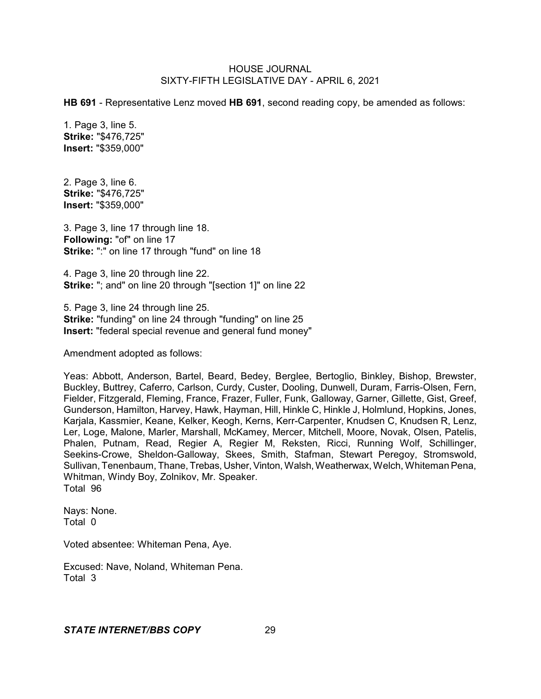**HB 691** - Representative Lenz moved **HB 691**, second reading copy, be amended as follows:

1. Page 3, line 5. **Strike:** "\$476,725" **Insert:** "\$359,000"

2. Page 3, line 6. **Strike:** "\$476,725" **Insert:** "\$359,000"

3. Page 3, line 17 through line 18. **Following:** "of" on line 17 **Strike:** ":" on line 17 through "fund" on line 18

4. Page 3, line 20 through line 22. **Strike:** "; and" on line 20 through "[section 1]" on line 22

5. Page 3, line 24 through line 25. **Strike:** "funding" on line 24 through "funding" on line 25 **Insert:** "federal special revenue and general fund money"

Amendment adopted as follows:

Yeas: Abbott, Anderson, Bartel, Beard, Bedey, Berglee, Bertoglio, Binkley, Bishop, Brewster, Buckley, Buttrey, Caferro, Carlson, Curdy, Custer, Dooling, Dunwell, Duram, Farris-Olsen, Fern, Fielder, Fitzgerald, Fleming, France, Frazer, Fuller, Funk, Galloway, Garner, Gillette, Gist, Greef, Gunderson, Hamilton, Harvey, Hawk, Hayman, Hill, Hinkle C, Hinkle J, Holmlund, Hopkins, Jones, Karjala, Kassmier, Keane, Kelker, Keogh, Kerns, Kerr-Carpenter, Knudsen C, Knudsen R, Lenz, Ler, Loge, Malone, Marler, Marshall, McKamey, Mercer, Mitchell, Moore, Novak, Olsen, Patelis, Phalen, Putnam, Read, Regier A, Regier M, Reksten, Ricci, Running Wolf, Schillinger, Seekins-Crowe, Sheldon-Galloway, Skees, Smith, Stafman, Stewart Peregoy, Stromswold, Sullivan, Tenenbaum, Thane, Trebas, Usher, Vinton, Walsh, Weatherwax, Welch, Whiteman Pena, Whitman, Windy Boy, Zolnikov, Mr. Speaker. Total 96

Nays: None. Total 0

Voted absentee: Whiteman Pena, Aye.

Excused: Nave, Noland, Whiteman Pena. Total 3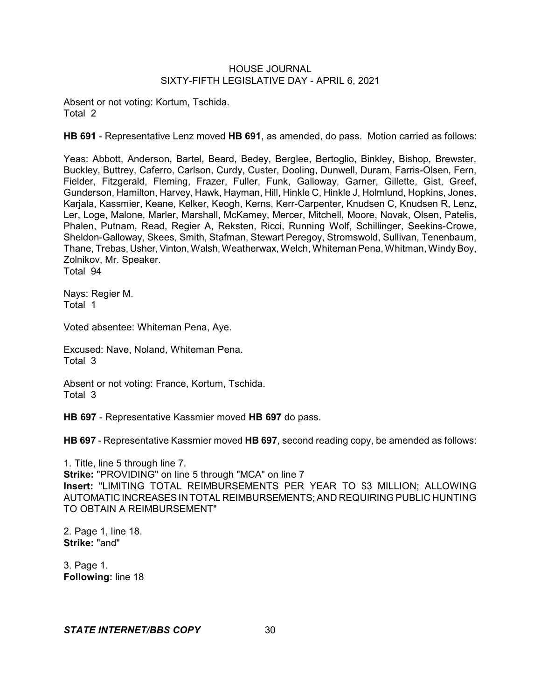Absent or not voting: Kortum, Tschida. Total 2

**HB 691** - Representative Lenz moved **HB 691**, as amended, do pass. Motion carried as follows:

Yeas: Abbott, Anderson, Bartel, Beard, Bedey, Berglee, Bertoglio, Binkley, Bishop, Brewster, Buckley, Buttrey, Caferro, Carlson, Curdy, Custer, Dooling, Dunwell, Duram, Farris-Olsen, Fern, Fielder, Fitzgerald, Fleming, Frazer, Fuller, Funk, Galloway, Garner, Gillette, Gist, Greef, Gunderson, Hamilton, Harvey, Hawk, Hayman, Hill, Hinkle C, Hinkle J, Holmlund, Hopkins, Jones, Karjala, Kassmier, Keane, Kelker, Keogh, Kerns, Kerr-Carpenter, Knudsen C, Knudsen R, Lenz, Ler, Loge, Malone, Marler, Marshall, McKamey, Mercer, Mitchell, Moore, Novak, Olsen, Patelis, Phalen, Putnam, Read, Regier A, Reksten, Ricci, Running Wolf, Schillinger, Seekins-Crowe, Sheldon-Galloway, Skees, Smith, Stafman, Stewart Peregoy, Stromswold, Sullivan, Tenenbaum, Thane, Trebas, Usher, Vinton, Walsh, Weatherwax, Welch, Whiteman Pena, Whitman, Windy Boy, Zolnikov, Mr. Speaker. Total 94

Nays: Regier M. Total 1

Voted absentee: Whiteman Pena, Aye.

Excused: Nave, Noland, Whiteman Pena. Total 3

Absent or not voting: France, Kortum, Tschida. Total 3

**HB 697** - Representative Kassmier moved **HB 697** do pass.

**HB 697** - Representative Kassmier moved **HB 697**, second reading copy, be amended as follows:

1. Title, line 5 through line 7. **Strike:** "PROVIDING" on line 5 through "MCA" on line 7 **Insert:** "LIMITING TOTAL REIMBURSEMENTS PER YEAR TO \$3 MILLION; ALLOWING AUTOMATIC INCREASESIN TOTAL REIMBURSEMENTS; AND REQUIRING PUBLIC HUNTING TO OBTAIN A REIMBURSEMENT"

2. Page 1, line 18. **Strike:** "and"

3. Page 1. **Following:** line 18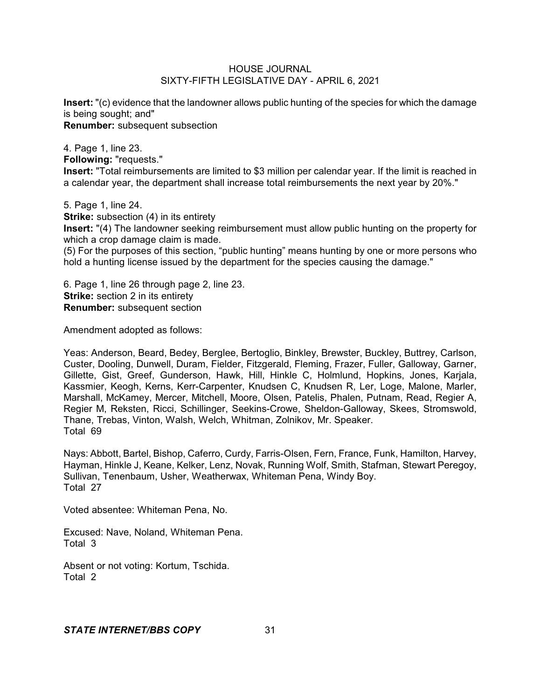**Insert:** "(c) evidence that the landowner allows public hunting of the species for which the damage is being sought; and" **Renumber:** subsequent subsection

4. Page 1, line 23. **Following:** "requests." **Insert:** "Total reimbursements are limited to \$3 million per calendar year. If the limit is reached in a calendar year, the department shall increase total reimbursements the next year by 20%."

5. Page 1, line 24.

**Strike:** subsection (4) in its entirety

**Insert:** "(4) The landowner seeking reimbursement must allow public hunting on the property for which a crop damage claim is made.

(5) For the purposes of this section, "public hunting" means hunting by one or more persons who hold a hunting license issued by the department for the species causing the damage."

6. Page 1, line 26 through page 2, line 23. **Strike:** section 2 in its entirety **Renumber:** subsequent section

Amendment adopted as follows:

Yeas: Anderson, Beard, Bedey, Berglee, Bertoglio, Binkley, Brewster, Buckley, Buttrey, Carlson, Custer, Dooling, Dunwell, Duram, Fielder, Fitzgerald, Fleming, Frazer, Fuller, Galloway, Garner, Gillette, Gist, Greef, Gunderson, Hawk, Hill, Hinkle C, Holmlund, Hopkins, Jones, Karjala, Kassmier, Keogh, Kerns, Kerr-Carpenter, Knudsen C, Knudsen R, Ler, Loge, Malone, Marler, Marshall, McKamey, Mercer, Mitchell, Moore, Olsen, Patelis, Phalen, Putnam, Read, Regier A, Regier M, Reksten, Ricci, Schillinger, Seekins-Crowe, Sheldon-Galloway, Skees, Stromswold, Thane, Trebas, Vinton, Walsh, Welch, Whitman, Zolnikov, Mr. Speaker. Total 69

Nays: Abbott, Bartel, Bishop, Caferro, Curdy, Farris-Olsen, Fern, France, Funk, Hamilton, Harvey, Hayman, Hinkle J, Keane, Kelker, Lenz, Novak, Running Wolf, Smith, Stafman, Stewart Peregoy, Sullivan, Tenenbaum, Usher, Weatherwax, Whiteman Pena, Windy Boy. Total 27

Voted absentee: Whiteman Pena, No.

Excused: Nave, Noland, Whiteman Pena. Total 3

Absent or not voting: Kortum, Tschida. Total 2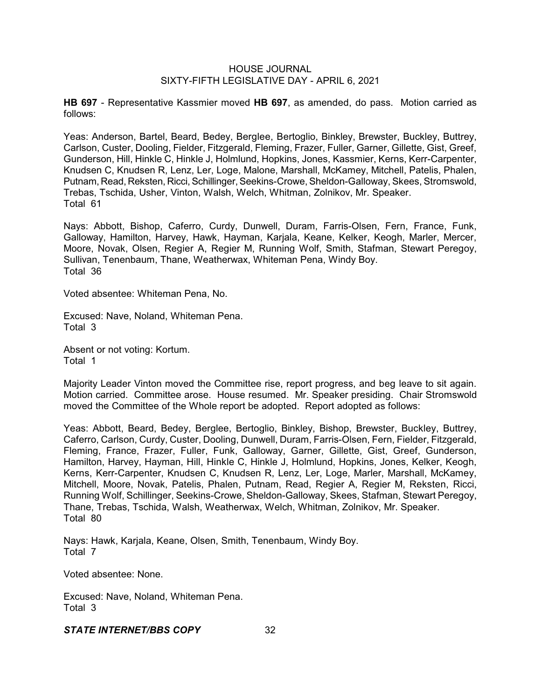**HB 697** - Representative Kassmier moved **HB 697**, as amended, do pass. Motion carried as follows:

Yeas: Anderson, Bartel, Beard, Bedey, Berglee, Bertoglio, Binkley, Brewster, Buckley, Buttrey, Carlson, Custer, Dooling, Fielder, Fitzgerald, Fleming, Frazer, Fuller, Garner, Gillette, Gist, Greef, Gunderson, Hill, Hinkle C, Hinkle J, Holmlund, Hopkins, Jones, Kassmier, Kerns, Kerr-Carpenter, Knudsen C, Knudsen R, Lenz, Ler, Loge, Malone, Marshall, McKamey, Mitchell, Patelis, Phalen, Putnam, Read, Reksten, Ricci, Schillinger, Seekins-Crowe, Sheldon-Galloway, Skees, Stromswold, Trebas, Tschida, Usher, Vinton, Walsh, Welch, Whitman, Zolnikov, Mr. Speaker. Total 61

Nays: Abbott, Bishop, Caferro, Curdy, Dunwell, Duram, Farris-Olsen, Fern, France, Funk, Galloway, Hamilton, Harvey, Hawk, Hayman, Karjala, Keane, Kelker, Keogh, Marler, Mercer, Moore, Novak, Olsen, Regier A, Regier M, Running Wolf, Smith, Stafman, Stewart Peregoy, Sullivan, Tenenbaum, Thane, Weatherwax, Whiteman Pena, Windy Boy. Total 36

Voted absentee: Whiteman Pena, No.

Excused: Nave, Noland, Whiteman Pena. Total 3

Absent or not voting: Kortum. Total 1

Majority Leader Vinton moved the Committee rise, report progress, and beg leave to sit again. Motion carried. Committee arose. House resumed. Mr. Speaker presiding. Chair Stromswold moved the Committee of the Whole report be adopted. Report adopted as follows:

Yeas: Abbott, Beard, Bedey, Berglee, Bertoglio, Binkley, Bishop, Brewster, Buckley, Buttrey, Caferro, Carlson, Curdy, Custer, Dooling, Dunwell, Duram, Farris-Olsen, Fern, Fielder, Fitzgerald, Fleming, France, Frazer, Fuller, Funk, Galloway, Garner, Gillette, Gist, Greef, Gunderson, Hamilton, Harvey, Hayman, Hill, Hinkle C, Hinkle J, Holmlund, Hopkins, Jones, Kelker, Keogh, Kerns, Kerr-Carpenter, Knudsen C, Knudsen R, Lenz, Ler, Loge, Marler, Marshall, McKamey, Mitchell, Moore, Novak, Patelis, Phalen, Putnam, Read, Regier A, Regier M, Reksten, Ricci, Running Wolf, Schillinger, Seekins-Crowe, Sheldon-Galloway, Skees, Stafman, Stewart Peregoy, Thane, Trebas, Tschida, Walsh, Weatherwax, Welch, Whitman, Zolnikov, Mr. Speaker. Total 80

Nays: Hawk, Karjala, Keane, Olsen, Smith, Tenenbaum, Windy Boy. Total 7

Voted absentee: None.

Excused: Nave, Noland, Whiteman Pena. Total 3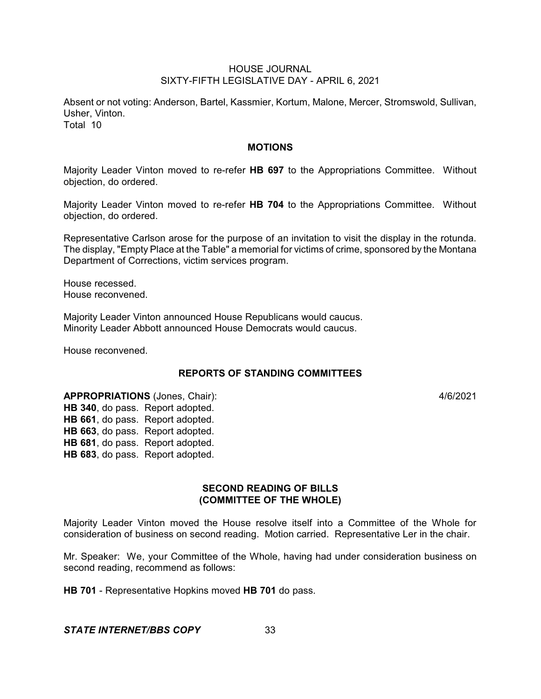Absent or not voting: Anderson, Bartel, Kassmier, Kortum, Malone, Mercer, Stromswold, Sullivan, Usher, Vinton. Total 10

#### **MOTIONS**

Majority Leader Vinton moved to re-refer **HB 697** to the Appropriations Committee. Without objection, do ordered.

Majority Leader Vinton moved to re-refer **HB 704** to the Appropriations Committee. Without objection, do ordered.

Representative Carlson arose for the purpose of an invitation to visit the display in the rotunda. The display, "Empty Place at the Table" a memorial for victims of crime, sponsored by the Montana Department of Corrections, victim services program.

House recessed. House reconvened.

Majority Leader Vinton announced House Republicans would caucus. Minority Leader Abbott announced House Democrats would caucus.

House reconvened.

# **REPORTS OF STANDING COMMITTEES**

**APPROPRIATIONS** (Jones, Chair): 4/6/2021 **HB 340**, do pass. Report adopted. **HB 661**, do pass. Report adopted. **HB 663**, do pass. Report adopted. **HB 681**, do pass. Report adopted. **HB 683**, do pass. Report adopted.

# **SECOND READING OF BILLS (COMMITTEE OF THE WHOLE)**

Majority Leader Vinton moved the House resolve itself into a Committee of the Whole for consideration of business on second reading. Motion carried. Representative Ler in the chair.

Mr. Speaker: We, your Committee of the Whole, having had under consideration business on second reading, recommend as follows:

**HB 701** - Representative Hopkins moved **HB 701** do pass.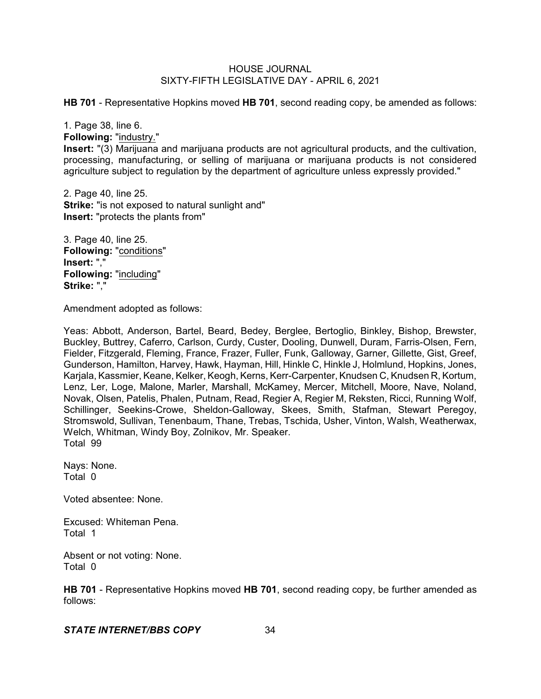**HB 701** - Representative Hopkins moved **HB 701**, second reading copy, be amended as follows:

1. Page 38, line 6.

**Following:** "industry."

**Insert:** "(3) Marijuana and marijuana products are not agricultural products, and the cultivation, processing, manufacturing, or selling of marijuana or marijuana products is not considered agriculture subject to regulation by the department of agriculture unless expressly provided."

2. Page 40, line 25. **Strike:** "is not exposed to natural sunlight and" **Insert:** "protects the plants from"

3. Page 40, line 25. **Following: "conditions" Insert:** "," **Following:** "including" **Strike:** ","

Amendment adopted as follows:

Yeas: Abbott, Anderson, Bartel, Beard, Bedey, Berglee, Bertoglio, Binkley, Bishop, Brewster, Buckley, Buttrey, Caferro, Carlson, Curdy, Custer, Dooling, Dunwell, Duram, Farris-Olsen, Fern, Fielder, Fitzgerald, Fleming, France, Frazer, Fuller, Funk, Galloway, Garner, Gillette, Gist, Greef, Gunderson, Hamilton, Harvey, Hawk, Hayman, Hill, Hinkle C, Hinkle J, Holmlund, Hopkins, Jones, Karjala, Kassmier, Keane, Kelker, Keogh, Kerns, Kerr-Carpenter, Knudsen C, Knudsen R, Kortum, Lenz, Ler, Loge, Malone, Marler, Marshall, McKamey, Mercer, Mitchell, Moore, Nave, Noland, Novak, Olsen, Patelis, Phalen, Putnam, Read, Regier A, Regier M, Reksten, Ricci, Running Wolf, Schillinger, Seekins-Crowe, Sheldon-Galloway, Skees, Smith, Stafman, Stewart Peregoy, Stromswold, Sullivan, Tenenbaum, Thane, Trebas, Tschida, Usher, Vinton, Walsh, Weatherwax, Welch, Whitman, Windy Boy, Zolnikov, Mr. Speaker. Total 99

Nays: None. Total 0

Voted absentee: None.

Excused: Whiteman Pena. Total 1

Absent or not voting: None. Total 0

**HB 701** - Representative Hopkins moved **HB 701**, second reading copy, be further amended as follows: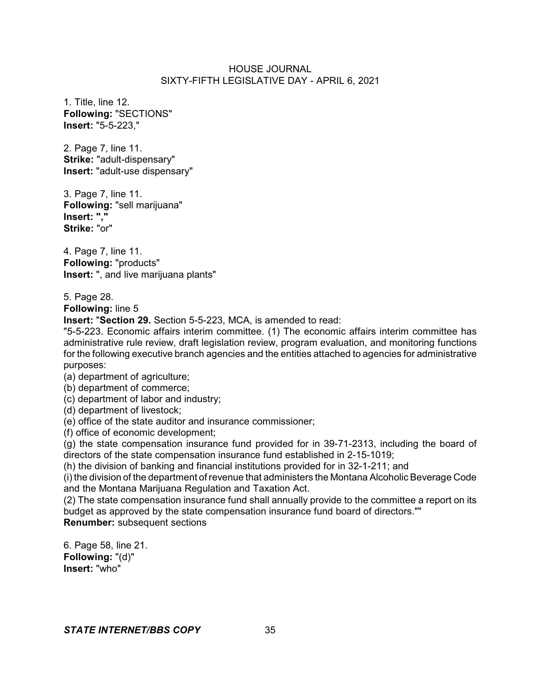1. Title, line 12. **Following:** "SECTIONS" **Insert:** "5-5-223,"

2. Page 7, line 11. **Strike:** "adult-dispensary" **Insert:** "adult-use dispensary"

3. Page 7, line 11. **Following:** "sell marijuana" **Insert: "," Strike:** "or"

4. Page 7, line 11. **Following:** "products" **Insert:** ", and live marijuana plants"

5. Page 28. **Following:** line 5

**Insert:** "**Section 29.** Section 5-5-223, MCA, is amended to read:

"5-5-223. Economic affairs interim committee. (1) The economic affairs interim committee has administrative rule review, draft legislation review, program evaluation, and monitoring functions for the following executive branch agencies and the entities attached to agencies for administrative purposes:

(a) department of agriculture;

(b) department of commerce;

(c) department of labor and industry;

(d) department of livestock;

(e) office of the state auditor and insurance commissioner;

(f) office of economic development;

(g) the state compensation insurance fund provided for in 39-71-2313, including the board of directors of the state compensation insurance fund established in 2-15-1019;

(h) the division of banking and financial institutions provided for in 32-1-211; and

(i) the division of the department of revenue that administers the Montana Alcoholic Beverage Code and the Montana Marijuana Regulation and Taxation Act.

(2) The state compensation insurance fund shall annually provide to the committee a report on its budget as approved by the state compensation insurance fund board of directors.""

**Renumber:** subsequent sections

6. Page 58, line 21. **Following:** "(d)" **Insert:** "who"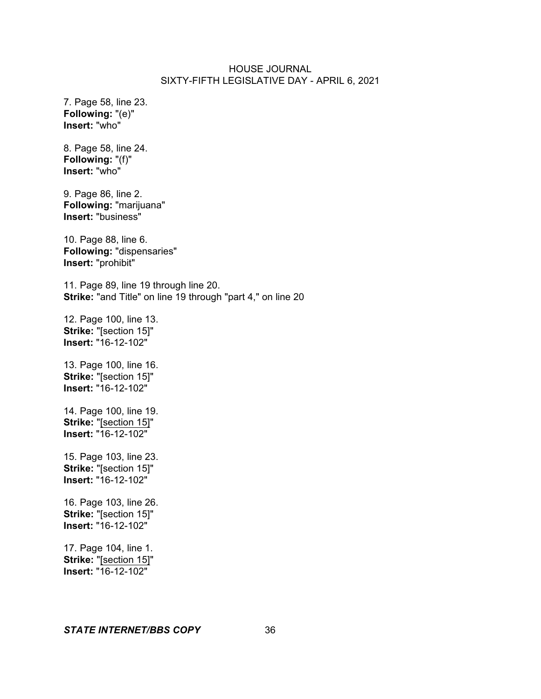7. Page 58, line 23. **Following:** "(e)" **Insert:** "who"

8. Page 58, line 24. **Following:** "(f)" **Insert:** "who"

9. Page 86, line 2. **Following:** "marijuana" **Insert:** "business"

10. Page 88, line 6. **Following:** "dispensaries" **Insert:** "prohibit"

11. Page 89, line 19 through line 20. **Strike:** "and Title" on line 19 through "part 4," on line 20

12. Page 100, line 13. **Strike:** "[section 15]" **Insert:** "16-12-102"

13. Page 100, line 16. **Strike:** "[section 15]" **Insert:** "16-12-102"

14. Page 100, line 19. **Strike:** "[section 15]" **Insert:** "16-12-102"

15. Page 103, line 23. **Strike:** "[section 15]" **Insert:** "16-12-102"

16. Page 103, line 26. **Strike:** "[section 15]" **Insert:** "16-12-102"

17. Page 104, line 1. **Strike:** "[section 15]" **Insert:** "16-12-102"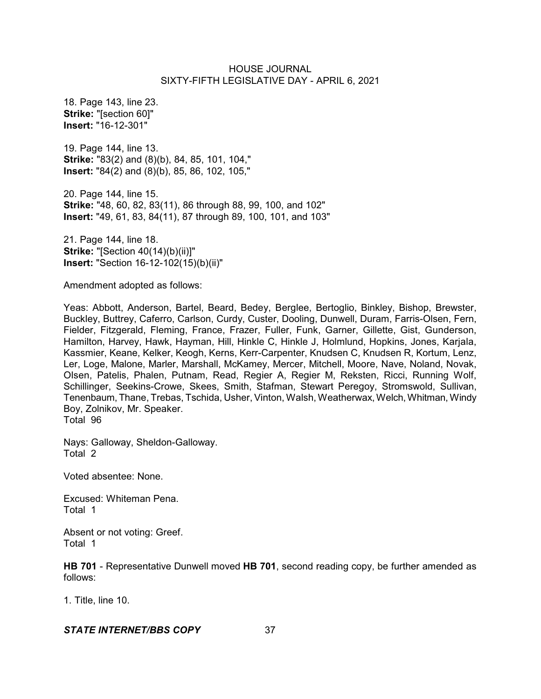18. Page 143, line 23. **Strike:** "[section 60]" **Insert:** "16-12-301"

19. Page 144, line 13. **Strike:** "83(2) and (8)(b), 84, 85, 101, 104," **Insert:** "84(2) and (8)(b), 85, 86, 102, 105,"

20. Page 144, line 15. **Strike:** "48, 60, 82, 83(11), 86 through 88, 99, 100, and 102" **Insert:** "49, 61, 83, 84(11), 87 through 89, 100, 101, and 103"

21. Page 144, line 18. **Strike:** "[Section 40(14)(b)(ii)]" **Insert:** "Section 16-12-102(15)(b)(ii)"

Amendment adopted as follows:

Yeas: Abbott, Anderson, Bartel, Beard, Bedey, Berglee, Bertoglio, Binkley, Bishop, Brewster, Buckley, Buttrey, Caferro, Carlson, Curdy, Custer, Dooling, Dunwell, Duram, Farris-Olsen, Fern, Fielder, Fitzgerald, Fleming, France, Frazer, Fuller, Funk, Garner, Gillette, Gist, Gunderson, Hamilton, Harvey, Hawk, Hayman, Hill, Hinkle C, Hinkle J, Holmlund, Hopkins, Jones, Karjala, Kassmier, Keane, Kelker, Keogh, Kerns, Kerr-Carpenter, Knudsen C, Knudsen R, Kortum, Lenz, Ler, Loge, Malone, Marler, Marshall, McKamey, Mercer, Mitchell, Moore, Nave, Noland, Novak, Olsen, Patelis, Phalen, Putnam, Read, Regier A, Regier M, Reksten, Ricci, Running Wolf, Schillinger, Seekins-Crowe, Skees, Smith, Stafman, Stewart Peregoy, Stromswold, Sullivan, Tenenbaum, Thane, Trebas, Tschida, Usher, Vinton, Walsh, Weatherwax, Welch,Whitman, Windy Boy, Zolnikov, Mr. Speaker. Total 96

Nays: Galloway, Sheldon-Galloway. Total 2

Voted absentee: None.

Excused: Whiteman Pena. Total 1

Absent or not voting: Greef. Total 1

**HB 701** - Representative Dunwell moved **HB 701**, second reading copy, be further amended as follows:

1. Title, line 10.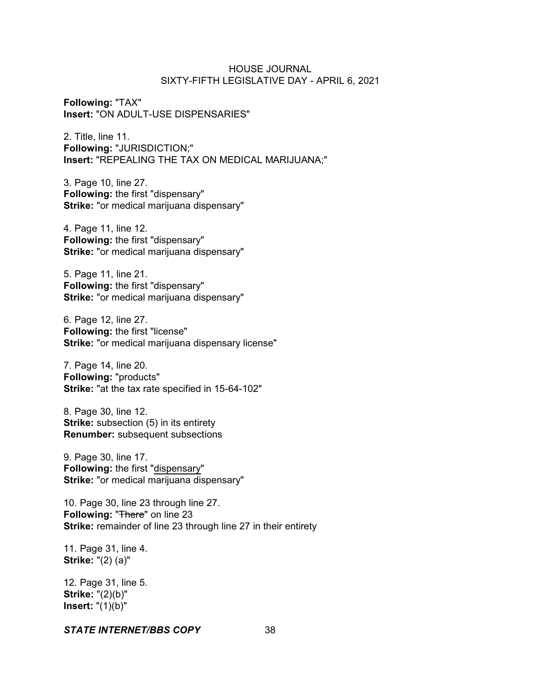**Following:** "TAX" **Insert:** "ON ADULT-USE DISPENSARIES"

2. Title, line 11. **Following:** "JURISDICTION;" **Insert:** "REPEALING THE TAX ON MEDICAL MARIJUANA;"

3. Page 10, line 27. **Following:** the first "dispensary" **Strike:** "or medical marijuana dispensary"

4. Page 11, line 12. **Following:** the first "dispensary" **Strike:** "or medical marijuana dispensary"

5. Page 11, line 21. **Following:** the first "dispensary" **Strike:** "or medical marijuana dispensary"

6. Page 12, line 27. **Following:** the first "license" **Strike:** "or medical marijuana dispensary license"

7. Page 14, line 20. **Following:** "products" **Strike:** "at the tax rate specified in 15-64-102"

8. Page 30, line 12. **Strike:** subsection (5) in its entirety **Renumber:** subsequent subsections

9. Page 30, line 17. **Following:** the first "dispensary" **Strike:** "or medical marijuana dispensary"

10. Page 30, line 23 through line 27. **Following: "There" on line 23 Strike:** remainder of line 23 through line 27 in their entirety

11. Page 31, line 4. **Strike:** "(2) (a)"

12. Page 31, line 5. **Strike:** "(2)(b)" **Insert:** "(1)(b)"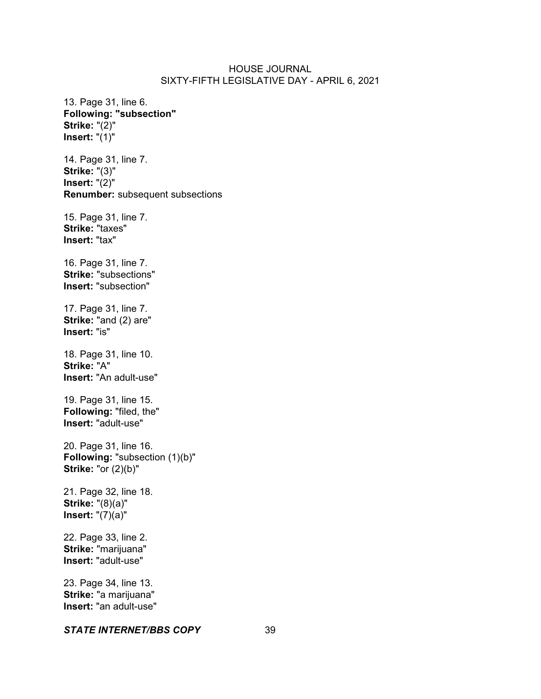13. Page 31, line 6. **Following: "subsection" Strike:** "(2)" **Insert:** "(1)" 14. Page 31, line 7. **Strike:** "(3)" **Insert:** "(2)" **Renumber:** subsequent subsections 15. Page 31, line 7. **Strike:** "taxes" **Insert:** "tax" 16. Page 31, line 7. **Strike:** "subsections" **Insert:** "subsection" 17. Page 31, line 7. **Strike:** "and (2) are" **Insert:** "is" 18. Page 31, line 10. **Strike:** "A" **Insert:** "An adult-use" 19. Page 31, line 15. **Following:** "filed, the" **Insert:** "adult-use" 20. Page 31, line 16. **Following:** "subsection (1)(b)" **Strike:** "or (2)(b)" 21. Page 32, line 18. **Strike:** "(8)(a)" **Insert:** "(7)(a)" 22. Page 33, line 2. **Strike:** "marijuana" **Insert:** "adult-use" 23. Page 34, line 13. **Strike:** "a marijuana" **Insert:** "an adult-use"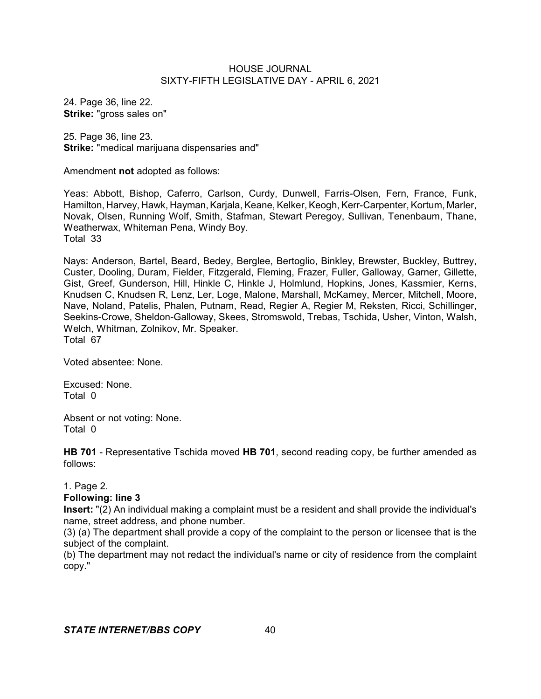24. Page 36, line 22. **Strike:** "gross sales on"

25. Page 36, line 23. **Strike:** "medical marijuana dispensaries and"

Amendment **not** adopted as follows:

Yeas: Abbott, Bishop, Caferro, Carlson, Curdy, Dunwell, Farris-Olsen, Fern, France, Funk, Hamilton, Harvey, Hawk, Hayman, Karjala, Keane, Kelker, Keogh, Kerr-Carpenter, Kortum, Marler, Novak, Olsen, Running Wolf, Smith, Stafman, Stewart Peregoy, Sullivan, Tenenbaum, Thane, Weatherwax, Whiteman Pena, Windy Boy. Total 33

Nays: Anderson, Bartel, Beard, Bedey, Berglee, Bertoglio, Binkley, Brewster, Buckley, Buttrey, Custer, Dooling, Duram, Fielder, Fitzgerald, Fleming, Frazer, Fuller, Galloway, Garner, Gillette, Gist, Greef, Gunderson, Hill, Hinkle C, Hinkle J, Holmlund, Hopkins, Jones, Kassmier, Kerns, Knudsen C, Knudsen R, Lenz, Ler, Loge, Malone, Marshall, McKamey, Mercer, Mitchell, Moore, Nave, Noland, Patelis, Phalen, Putnam, Read, Regier A, Regier M, Reksten, Ricci, Schillinger, Seekins-Crowe, Sheldon-Galloway, Skees, Stromswold, Trebas, Tschida, Usher, Vinton, Walsh, Welch, Whitman, Zolnikov, Mr. Speaker. Total 67

Voted absentee: None.

Excused: None. Total 0

Absent or not voting: None. Total 0

**HB 701** - Representative Tschida moved **HB 701**, second reading copy, be further amended as follows:

1. Page 2.

# **Following: line 3**

**Insert:** "(2) An individual making a complaint must be a resident and shall provide the individual's name, street address, and phone number.

(3) (a) The department shall provide a copy of the complaint to the person or licensee that is the subject of the complaint.

(b) The department may not redact the individual's name or city of residence from the complaint copy."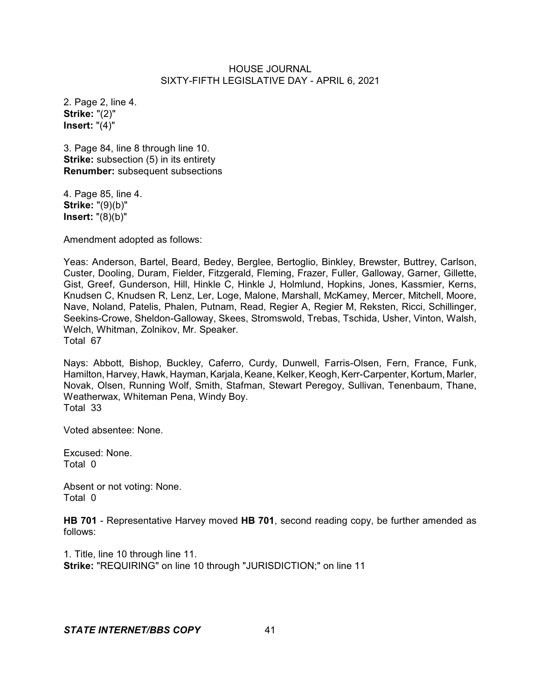2. Page 2, line 4. **Strike:** "(2)" **Insert:** "(4)"

3. Page 84, line 8 through line 10. **Strike:** subsection (5) in its entirety **Renumber:** subsequent subsections

4. Page 85, line 4. **Strike:** "(9)(b)" **Insert:** "(8)(b)"

Amendment adopted as follows:

Yeas: Anderson, Bartel, Beard, Bedey, Berglee, Bertoglio, Binkley, Brewster, Buttrey, Carlson, Custer, Dooling, Duram, Fielder, Fitzgerald, Fleming, Frazer, Fuller, Galloway, Garner, Gillette, Gist, Greef, Gunderson, Hill, Hinkle C, Hinkle J, Holmlund, Hopkins, Jones, Kassmier, Kerns, Knudsen C, Knudsen R, Lenz, Ler, Loge, Malone, Marshall, McKamey, Mercer, Mitchell, Moore, Nave, Noland, Patelis, Phalen, Putnam, Read, Regier A, Regier M, Reksten, Ricci, Schillinger, Seekins-Crowe, Sheldon-Galloway, Skees, Stromswold, Trebas, Tschida, Usher, Vinton, Walsh, Welch, Whitman, Zolnikov, Mr. Speaker. Total 67

Nays: Abbott, Bishop, Buckley, Caferro, Curdy, Dunwell, Farris-Olsen, Fern, France, Funk, Hamilton, Harvey, Hawk, Hayman, Karjala, Keane, Kelker, Keogh, Kerr-Carpenter, Kortum, Marler, Novak, Olsen, Running Wolf, Smith, Stafman, Stewart Peregoy, Sullivan, Tenenbaum, Thane, Weatherwax, Whiteman Pena, Windy Boy. Total 33

Voted absentee: None.

Excused: None. Total 0

Absent or not voting: None. Total 0

**HB 701** - Representative Harvey moved **HB 701**, second reading copy, be further amended as follows:

1. Title, line 10 through line 11. **Strike:** "REQUIRING" on line 10 through "JURISDICTION;" on line 11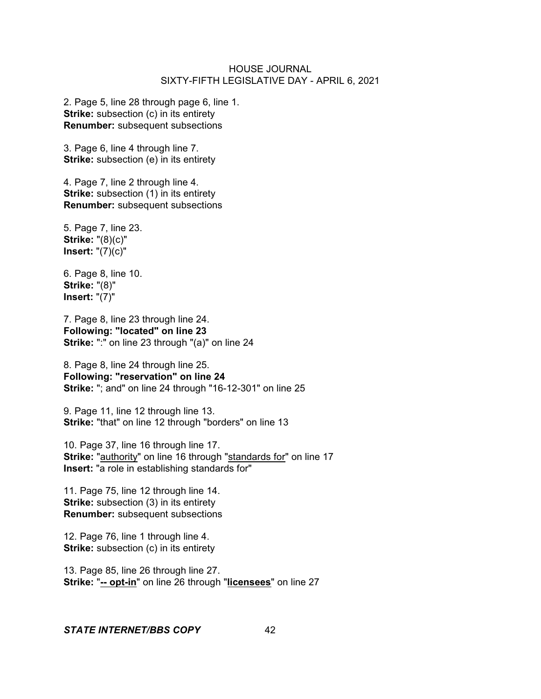2. Page 5, line 28 through page 6, line 1. **Strike:** subsection (c) in its entirety **Renumber:** subsequent subsections

3. Page 6, line 4 through line 7. **Strike:** subsection (e) in its entirety

4. Page 7, line 2 through line 4. **Strike:** subsection (1) in its entirety **Renumber:** subsequent subsections

5. Page 7, line 23. **Strike:** "(8)(c)" **Insert:** "(7)(c)"

6. Page 8, line 10. **Strike:** "(8)" **Insert:** "(7)"

7. Page 8, line 23 through line 24. **Following: "located" on line 23 Strike:** ":" on line 23 through "(a)" on line 24

8. Page 8, line 24 through line 25. **Following: "reservation" on line 24 Strike:** "; and" on line 24 through "16-12-301" on line 25

9. Page 11, line 12 through line 13. **Strike:** "that" on line 12 through "borders" on line 13

10. Page 37, line 16 through line 17. **Strike:** "authority" on line 16 through "standards for" on line 17 **Insert:** "a role in establishing standards for"

11. Page 75, line 12 through line 14. **Strike:** subsection (3) in its entirety **Renumber:** subsequent subsections

12. Page 76, line 1 through line 4. **Strike:** subsection (c) in its entirety

13. Page 85, line 26 through line 27. **Strike:** "**-- opt-in**" on line 26 through "**licensees**" on line 27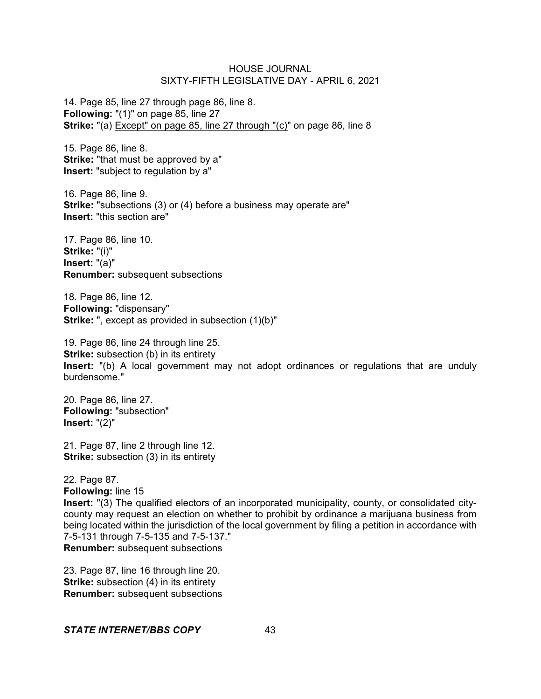14. Page 85, line 27 through page 86, line 8. **Following:** "(1)" on page 85, line 27 **Strike:** "(a) Except" on page 85, line 27 through "(c)" on page 86, line 8

15. Page 86, line 8. **Strike:** "that must be approved by a" **Insert:** "subject to regulation by a"

16. Page 86, line 9. **Strike:** "subsections (3) or (4) before a business may operate are" **Insert:** "this section are"

17. Page 86, line 10. **Strike:** "(i)" **Insert:** "(a)" **Renumber:** subsequent subsections

18. Page 86, line 12. **Following:** "dispensary" **Strike:** ", except as provided in subsection (1)(b)"

19. Page 86, line 24 through line 25. **Strike:** subsection (b) in its entirety **Insert:** "(b) A local government may not adopt ordinances or regulations that are unduly burdensome."

20. Page 86, line 27. **Following:** "subsection" **Insert:** "(2)"

21. Page 87, line 2 through line 12. **Strike:** subsection (3) in its entirety

22. Page 87.

**Following:** line 15

**Insert:** "(3) The qualified electors of an incorporated municipality, county, or consolidated citycounty may request an election on whether to prohibit by ordinance a marijuana business from being located within the jurisdiction of the local government by filing a petition in accordance with 7-5-131 through 7-5-135 and 7-5-137." **Renumber:** subsequent subsections

23. Page 87, line 16 through line 20. **Strike:** subsection (4) in its entirety **Renumber:** subsequent subsections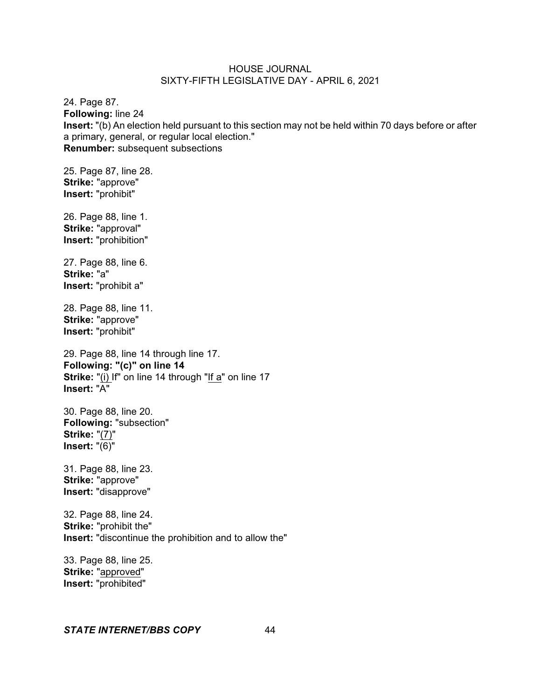24. Page 87. **Following:** line 24 **Insert:** "(b) An election held pursuant to this section may not be held within 70 days before or after a primary, general, or regular local election." **Renumber:** subsequent subsections

25. Page 87, line 28. **Strike:** "approve" **Insert:** "prohibit"

26. Page 88, line 1. **Strike:** "approval" **Insert:** "prohibition"

27. Page 88, line 6. **Strike:** "a" **Insert:** "prohibit a"

28. Page 88, line 11. **Strike:** "approve" **Insert:** "prohibit"

29. Page 88, line 14 through line 17. **Following: "(c)" on line 14 Strike:** "(i) If" on line 14 through "If a" on line 17 **Insert:** "A"

30. Page 88, line 20. **Following:** "subsection" **Strike:** "(7)" **Insert:** "(6)"

31. Page 88, line 23. **Strike:** "approve" **Insert:** "disapprove"

32. Page 88, line 24. **Strike:** "prohibit the" **Insert:** "discontinue the prohibition and to allow the"

33. Page 88, line 25. **Strike:** "approved" **Insert:** "prohibited"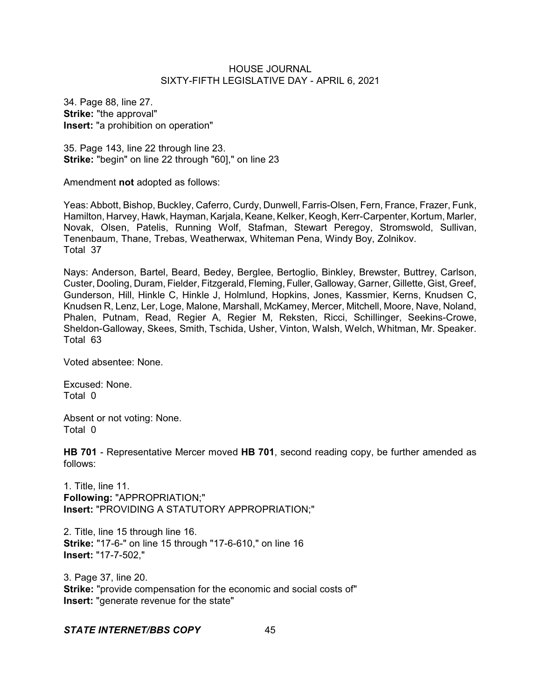34. Page 88, line 27. **Strike:** "the approval" **Insert:** "a prohibition on operation"

35. Page 143, line 22 through line 23. **Strike:** "begin" on line 22 through "60]," on line 23

Amendment **not** adopted as follows:

Yeas: Abbott, Bishop, Buckley, Caferro, Curdy, Dunwell, Farris-Olsen, Fern, France, Frazer, Funk, Hamilton, Harvey, Hawk, Hayman, Karjala, Keane, Kelker, Keogh, Kerr-Carpenter, Kortum, Marler, Novak, Olsen, Patelis, Running Wolf, Stafman, Stewart Peregoy, Stromswold, Sullivan, Tenenbaum, Thane, Trebas, Weatherwax, Whiteman Pena, Windy Boy, Zolnikov. Total 37

Nays: Anderson, Bartel, Beard, Bedey, Berglee, Bertoglio, Binkley, Brewster, Buttrey, Carlson, Custer, Dooling, Duram, Fielder, Fitzgerald, Fleming, Fuller,Galloway, Garner, Gillette, Gist, Greef, Gunderson, Hill, Hinkle C, Hinkle J, Holmlund, Hopkins, Jones, Kassmier, Kerns, Knudsen C, Knudsen R, Lenz, Ler, Loge, Malone, Marshall, McKamey, Mercer, Mitchell, Moore, Nave, Noland, Phalen, Putnam, Read, Regier A, Regier M, Reksten, Ricci, Schillinger, Seekins-Crowe, Sheldon-Galloway, Skees, Smith, Tschida, Usher, Vinton, Walsh, Welch, Whitman, Mr. Speaker. Total 63

Voted absentee: None.

Excused: None. Total 0

Absent or not voting: None. Total 0

**HB 701** - Representative Mercer moved **HB 701**, second reading copy, be further amended as follows:

1. Title, line 11. **Following:** "APPROPRIATION;" **Insert:** "PROVIDING A STATUTORY APPROPRIATION;"

2. Title, line 15 through line 16. **Strike:** "17-6-" on line 15 through "17-6-610," on line 16 **Insert:** "17-7-502,"

3. Page 37, line 20. **Strike:** "provide compensation for the economic and social costs of" **Insert:** "generate revenue for the state"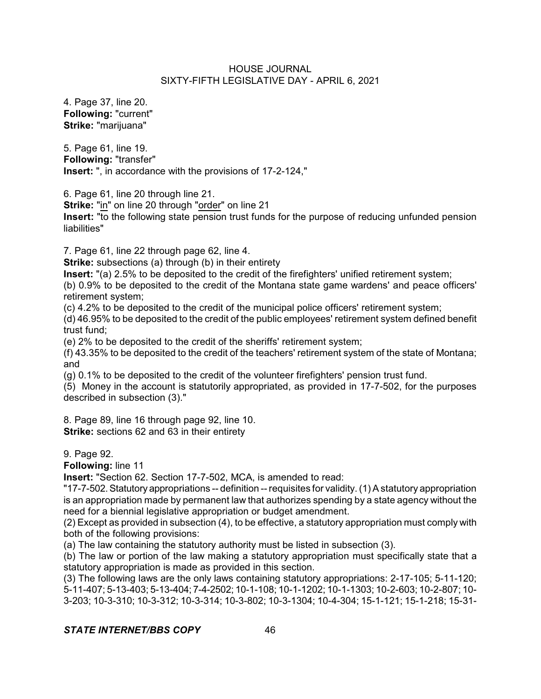4. Page 37, line 20. **Following:** "current" **Strike:** "marijuana"

5. Page 61, line 19. **Following:** "transfer" **Insert:** ", in accordance with the provisions of 17-2-124,"

6. Page 61, line 20 through line 21.

**Strike:** "in" on line 20 through "order" on line 21

**Insert:** "to the following state pension trust funds for the purpose of reducing unfunded pension liabilities"

7. Page 61, line 22 through page 62, line 4.

**Strike:** subsections (a) through (b) in their entirety

**Insert:** "(a) 2.5% to be deposited to the credit of the firefighters' unified retirement system;

(b) 0.9% to be deposited to the credit of the Montana state game wardens' and peace officers' retirement system;

(c) 4.2% to be deposited to the credit of the municipal police officers' retirement system;

(d) 46.95% to be deposited to the credit of the public employees' retirement system defined benefit trust fund;

(e) 2% to be deposited to the credit of the sheriffs' retirement system;

(f) 43.35% to be deposited to the credit of the teachers' retirement system of the state of Montana; and

(g) 0.1% to be deposited to the credit of the volunteer firefighters' pension trust fund.

(5) Money in the account is statutorily appropriated, as provided in 17-7-502, for the purposes described in subsection (3)."

8. Page 89, line 16 through page 92, line 10. **Strike:** sections 62 and 63 in their entirety

9. Page 92.

**Following:** line 11

**Insert:** "Section 62. Section 17-7-502, MCA, is amended to read:

"17-7-502.Statutory appropriations -- definition -- requisites for validity.(1) A statutory appropriation is an appropriation made by permanent law that authorizes spending by a state agency without the need for a biennial legislative appropriation or budget amendment.

(2) Except as provided in subsection (4), to be effective, a statutory appropriation must comply with both of the following provisions:

(a) The law containing the statutory authority must be listed in subsection (3).

(b) The law or portion of the law making a statutory appropriation must specifically state that a statutory appropriation is made as provided in this section.

(3) The following laws are the only laws containing statutory appropriations: 2-17-105; 5-11-120; 5-11-407; 5-13-403; 5-13-404; 7-4-2502; 10-1-108; 10-1-1202; 10-1-1303; 10-2-603; 10-2-807; 10- 3-203; 10-3-310; 10-3-312; 10-3-314; 10-3-802; 10-3-1304; 10-4-304; 15-1-121; 15-1-218; 15-31-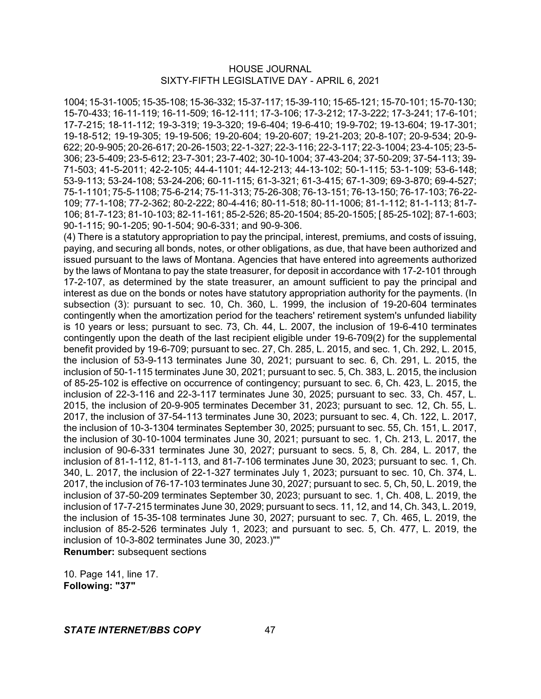1004; 15-31-1005; 15-35-108; 15-36-332; 15-37-117; 15-39-110; 15-65-121; 15-70-101; 15-70-130; 15-70-433; 16-11-119; 16-11-509; 16-12-111; 17-3-106; 17-3-212; 17-3-222; 17-3-241; 17-6-101; 17-7-215; 18-11-112; 19-3-319; 19-3-320; 19-6-404; 19-6-410; 19-9-702; 19-13-604; 19-17-301; 19-18-512; 19-19-305; 19-19-506; 19-20-604; 19-20-607; 19-21-203; 20-8-107; 20-9-534; 20-9- 622; 20-9-905; 20-26-617; 20-26-1503; 22-1-327; 22-3-116; 22-3-117; 22-3-1004; 23-4-105; 23-5- 306; 23-5-409; 23-5-612; 23-7-301; 23-7-402; 30-10-1004; 37-43-204; 37-50-209; 37-54-113; 39- 71-503; 41-5-2011; 42-2-105; 44-4-1101; 44-12-213; 44-13-102; 50-1-115; 53-1-109; 53-6-148; 53-9-113; 53-24-108; 53-24-206; 60-11-115; 61-3-321; 61-3-415; 67-1-309; 69-3-870; 69-4-527; 75-1-1101; 75-5-1108; 75-6-214; 75-11-313; 75-26-308; 76-13-151; 76-13-150; 76-17-103; 76-22- 109; 77-1-108; 77-2-362; 80-2-222; 80-4-416; 80-11-518; 80-11-1006; 81-1-112; 81-1-113; 81-7- 106; 81-7-123; 81-10-103; 82-11-161; 85-2-526; 85-20-1504; 85-20-1505; [ 85-25-102]; 87-1-603; 90-1-115; 90-1-205; 90-1-504; 90-6-331; and 90-9-306.

(4) There is a statutory appropriation to pay the principal, interest, premiums, and costs of issuing, paying, and securing all bonds, notes, or other obligations, as due, that have been authorized and issued pursuant to the laws of Montana. Agencies that have entered into agreements authorized by the laws of Montana to pay the state treasurer, for deposit in accordance with 17-2-101 through 17-2-107, as determined by the state treasurer, an amount sufficient to pay the principal and interest as due on the bonds or notes have statutory appropriation authority for the payments. (In subsection (3): pursuant to sec. 10, Ch. 360, L. 1999, the inclusion of 19-20-604 terminates contingently when the amortization period for the teachers' retirement system's unfunded liability is 10 years or less; pursuant to sec. 73, Ch. 44, L. 2007, the inclusion of 19-6-410 terminates contingently upon the death of the last recipient eligible under 19-6-709(2) for the supplemental benefit provided by 19-6-709; pursuant to sec. 27, Ch. 285, L. 2015, and sec. 1, Ch. 292, L. 2015, the inclusion of 53-9-113 terminates June 30, 2021; pursuant to sec. 6, Ch. 291, L. 2015, the inclusion of 50-1-115 terminates June 30, 2021; pursuant to sec. 5, Ch. 383, L. 2015, the inclusion of 85-25-102 is effective on occurrence of contingency; pursuant to sec. 6, Ch. 423, L. 2015, the inclusion of 22-3-116 and 22-3-117 terminates June 30, 2025; pursuant to sec. 33, Ch. 457, L. 2015, the inclusion of 20-9-905 terminates December 31, 2023; pursuant to sec. 12, Ch. 55, L. 2017, the inclusion of 37-54-113 terminates June 30, 2023; pursuant to sec. 4, Ch. 122, L. 2017, the inclusion of 10-3-1304 terminates September 30, 2025; pursuant to sec. 55, Ch. 151, L. 2017, the inclusion of 30-10-1004 terminates June 30, 2021; pursuant to sec. 1, Ch. 213, L. 2017, the inclusion of 90-6-331 terminates June 30, 2027; pursuant to secs. 5, 8, Ch. 284, L. 2017, the inclusion of 81-1-112, 81-1-113, and 81-7-106 terminates June 30, 2023; pursuant to sec. 1, Ch. 340, L. 2017, the inclusion of 22-1-327 terminates July 1, 2023; pursuant to sec. 10, Ch. 374, L. 2017, the inclusion of 76-17-103 terminates June 30, 2027; pursuant to sec. 5, Ch, 50, L. 2019, the inclusion of 37-50-209 terminates September 30, 2023; pursuant to sec. 1, Ch. 408, L. 2019, the inclusion of 17-7-215 terminates June 30, 2029; pursuant to secs. 11, 12, and 14, Ch. 343, L. 2019, the inclusion of 15-35-108 terminates June 30, 2027; pursuant to sec. 7, Ch. 465, L. 2019, the inclusion of 85-2-526 terminates July 1, 2023; and pursuant to sec. 5, Ch. 477, L. 2019, the inclusion of 10-3-802 terminates June 30, 2023.)"" **Renumber:** subsequent sections

10. Page 141, line 17. **Following: "37"**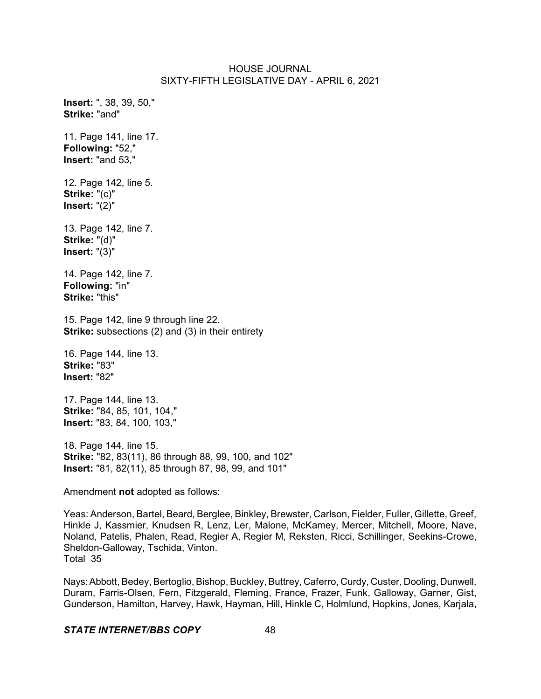**Insert:** ", 38, 39, 50," **Strike:** "and" 11. Page 141, line 17. **Following:** "52," **Insert:** "and 53," 12. Page 142, line 5. **Strike:** "(c)" **Insert:** "(2)" 13. Page 142, line 7. **Strike:** "(d)" **Insert:** "(3)" 14. Page 142, line 7. **Following:** "in" **Strike:** "this" 15. Page 142, line 9 through line 22. **Strike:** subsections (2) and (3) in their entirety 16. Page 144, line 13. **Strike:** "83" **Insert:** "82" 17. Page 144, line 13. **Strike:** "84, 85, 101, 104," **Insert:** "83, 84, 100, 103," 18. Page 144, line 15.

**Strike:** "82, 83(11), 86 through 88, 99, 100, and 102" **Insert:** "81, 82(11), 85 through 87, 98, 99, and 101"

Amendment **not** adopted as follows:

Yeas: Anderson, Bartel, Beard, Berglee, Binkley, Brewster, Carlson, Fielder, Fuller, Gillette, Greef, Hinkle J, Kassmier, Knudsen R, Lenz, Ler, Malone, McKamey, Mercer, Mitchell, Moore, Nave, Noland, Patelis, Phalen, Read, Regier A, Regier M, Reksten, Ricci, Schillinger, Seekins-Crowe, Sheldon-Galloway, Tschida, Vinton. Total 35

Nays:Abbott, Bedey, Bertoglio, Bishop, Buckley, Buttrey, Caferro, Curdy, Custer, Dooling, Dunwell, Duram, Farris-Olsen, Fern, Fitzgerald, Fleming, France, Frazer, Funk, Galloway, Garner, Gist, Gunderson, Hamilton, Harvey, Hawk, Hayman, Hill, Hinkle C, Holmlund, Hopkins, Jones, Karjala,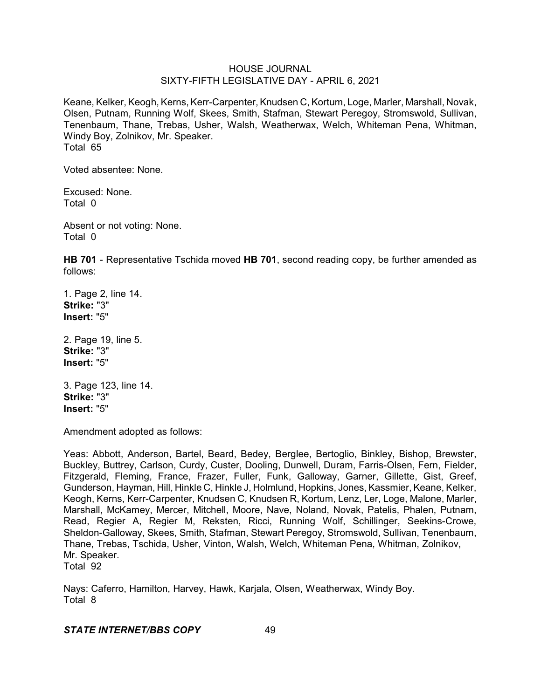Keane, Kelker, Keogh, Kerns, Kerr-Carpenter, Knudsen C, Kortum, Loge, Marler, Marshall, Novak, Olsen, Putnam, Running Wolf, Skees, Smith, Stafman, Stewart Peregoy, Stromswold, Sullivan, Tenenbaum, Thane, Trebas, Usher, Walsh, Weatherwax, Welch, Whiteman Pena, Whitman, Windy Boy, Zolnikov, Mr. Speaker. Total 65

Voted absentee: None.

Excused: None. Total 0

Absent or not voting: None. Total 0

**HB 701** - Representative Tschida moved **HB 701**, second reading copy, be further amended as follows:

1. Page 2, line 14. **Strike:** "3" **Insert:** "5"

2. Page 19, line 5. **Strike:** "3" **Insert:** "5"

3. Page 123, line 14. **Strike:** "3" **Insert:** "5"

Amendment adopted as follows:

Yeas: Abbott, Anderson, Bartel, Beard, Bedey, Berglee, Bertoglio, Binkley, Bishop, Brewster, Buckley, Buttrey, Carlson, Curdy, Custer, Dooling, Dunwell, Duram, Farris-Olsen, Fern, Fielder, Fitzgerald, Fleming, France, Frazer, Fuller, Funk, Galloway, Garner, Gillette, Gist, Greef, Gunderson, Hayman, Hill, Hinkle C, Hinkle J, Holmlund, Hopkins, Jones, Kassmier, Keane, Kelker, Keogh, Kerns, Kerr-Carpenter, Knudsen C, Knudsen R, Kortum, Lenz, Ler, Loge, Malone, Marler, Marshall, McKamey, Mercer, Mitchell, Moore, Nave, Noland, Novak, Patelis, Phalen, Putnam, Read, Regier A, Regier M, Reksten, Ricci, Running Wolf, Schillinger, Seekins-Crowe, Sheldon-Galloway, Skees, Smith, Stafman, Stewart Peregoy, Stromswold, Sullivan, Tenenbaum, Thane, Trebas, Tschida, Usher, Vinton, Walsh, Welch, Whiteman Pena, Whitman, Zolnikov, Mr. Speaker. Total 92

Nays: Caferro, Hamilton, Harvey, Hawk, Karjala, Olsen, Weatherwax, Windy Boy. Total 8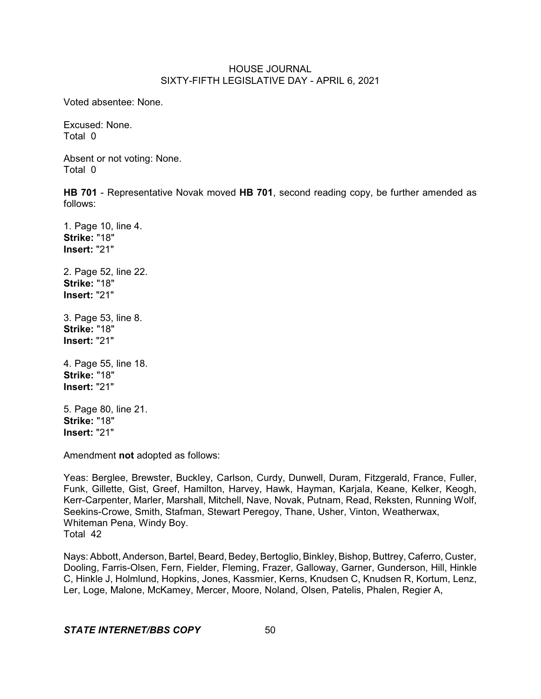Voted absentee: None.

Excused: None. Total 0

Absent or not voting: None. Total 0

**HB 701** - Representative Novak moved **HB 701**, second reading copy, be further amended as follows:

1. Page 10, line 4. **Strike:** "18" **Insert:** "21"

2. Page 52, line 22. **Strike:** "18" **Insert:** "21"

3. Page 53, line 8. **Strike:** "18" **Insert:** "21"

4. Page 55, line 18. **Strike:** "18" **Insert:** "21"

5. Page 80, line 21. **Strike:** "18" **Insert:** "21"

Amendment **not** adopted as follows:

Yeas: Berglee, Brewster, Buckley, Carlson, Curdy, Dunwell, Duram, Fitzgerald, France, Fuller, Funk, Gillette, Gist, Greef, Hamilton, Harvey, Hawk, Hayman, Karjala, Keane, Kelker, Keogh, Kerr-Carpenter, Marler, Marshall, Mitchell, Nave, Novak, Putnam, Read, Reksten, Running Wolf, Seekins-Crowe, Smith, Stafman, Stewart Peregoy, Thane, Usher, Vinton, Weatherwax, Whiteman Pena, Windy Boy. Total 42

Nays: Abbott, Anderson, Bartel, Beard, Bedey, Bertoglio, Binkley, Bishop, Buttrey, Caferro, Custer, Dooling, Farris-Olsen, Fern, Fielder, Fleming, Frazer, Galloway, Garner, Gunderson, Hill, Hinkle C, Hinkle J, Holmlund, Hopkins, Jones, Kassmier, Kerns, Knudsen C, Knudsen R, Kortum, Lenz, Ler, Loge, Malone, McKamey, Mercer, Moore, Noland, Olsen, Patelis, Phalen, Regier A,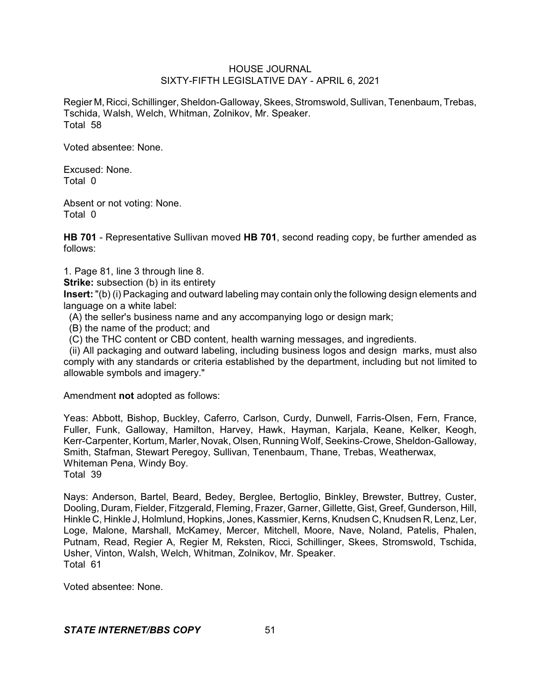Regier M, Ricci, Schillinger, Sheldon-Galloway, Skees, Stromswold, Sullivan, Tenenbaum, Trebas, Tschida, Walsh, Welch, Whitman, Zolnikov, Mr. Speaker. Total 58

Voted absentee: None.

Excused: None. Total 0

Absent or not voting: None. Total 0

**HB 701** - Representative Sullivan moved **HB 701**, second reading copy, be further amended as follows:

1. Page 81, line 3 through line 8.

**Strike:** subsection (b) in its entirety

**Insert:** "(b) (i) Packaging and outward labeling may contain only the following design elements and language on a white label:

- (A) the seller's business name and any accompanying logo or design mark;
- (B) the name of the product; and
- (C) the THC content or CBD content, health warning messages, and ingredients.

(ii) All packaging and outward labeling, including business logos and design marks, must also comply with any standards or criteria established by the department, including but not limited to allowable symbols and imagery."

Amendment **not** adopted as follows:

Yeas: Abbott, Bishop, Buckley, Caferro, Carlson, Curdy, Dunwell, Farris-Olsen, Fern, France, Fuller, Funk, Galloway, Hamilton, Harvey, Hawk, Hayman, Karjala, Keane, Kelker, Keogh, Kerr-Carpenter, Kortum, Marler, Novak, Olsen, Running Wolf, Seekins-Crowe, Sheldon-Galloway, Smith, Stafman, Stewart Peregoy, Sullivan, Tenenbaum, Thane, Trebas, Weatherwax, Whiteman Pena, Windy Boy. Total 39

Nays: Anderson, Bartel, Beard, Bedey, Berglee, Bertoglio, Binkley, Brewster, Buttrey, Custer, Dooling, Duram, Fielder, Fitzgerald, Fleming, Frazer, Garner, Gillette, Gist, Greef, Gunderson, Hill, Hinkle C, Hinkle J, Holmlund, Hopkins, Jones, Kassmier, Kerns, Knudsen C, Knudsen R, Lenz, Ler, Loge, Malone, Marshall, McKamey, Mercer, Mitchell, Moore, Nave, Noland, Patelis, Phalen, Putnam, Read, Regier A, Regier M, Reksten, Ricci, Schillinger, Skees, Stromswold, Tschida, Usher, Vinton, Walsh, Welch, Whitman, Zolnikov, Mr. Speaker. Total 61

Voted absentee: None.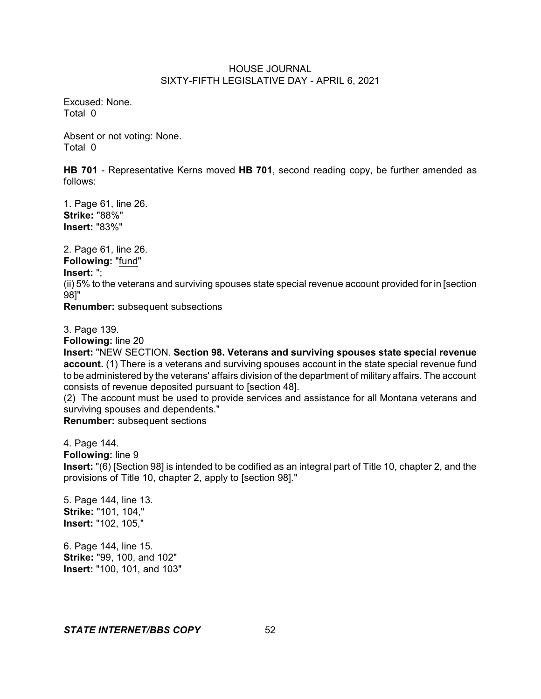Excused: None. Total 0

Absent or not voting: None. Total 0

**HB 701** - Representative Kerns moved **HB 701**, second reading copy, be further amended as follows:

1. Page 61, line 26. **Strike:** "88%" **Insert:** "83%"

2. Page 61, line 26.

**Following:** "fund"

# **Insert:** ";

(ii) 5% to the veterans and surviving spouses state special revenue account provided for in [section 98]"

**Renumber:** subsequent subsections

3. Page 139.

**Following:** line 20

**Insert:** "NEW SECTION. **Section 98. Veterans and surviving spouses state special revenue** account. (1) There is a veterans and surviving spouses account in the state special revenue fund to be administered by the veterans' affairs division of the department of military affairs. The account consists of revenue deposited pursuant to [section 48].

(2) The account must be used to provide services and assistance for all Montana veterans and surviving spouses and dependents."

**Renumber:** subsequent sections

4. Page 144.

**Following:** line 9

**Insert:** "(6) [Section 98] is intended to be codified as an integral part of Title 10, chapter 2, and the provisions of Title 10, chapter 2, apply to [section 98]."

5. Page 144, line 13. **Strike:** "101, 104," **Insert:** "102, 105,"

6. Page 144, line 15. **Strike:** "99, 100, and 102" **Insert:** "100, 101, and 103"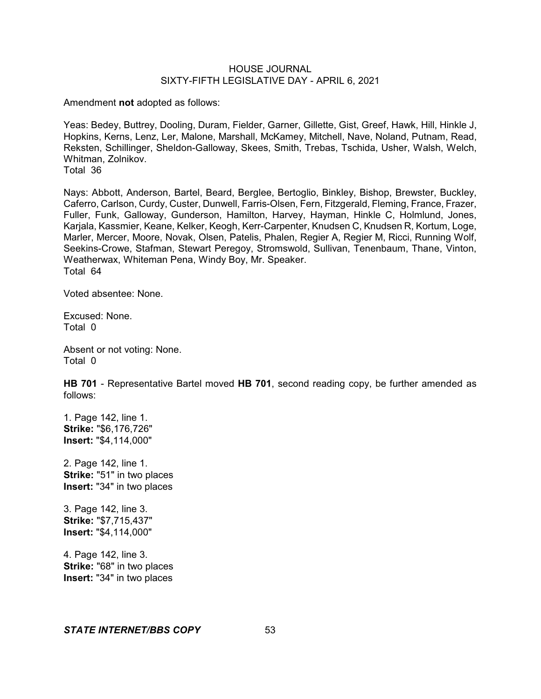Amendment **not** adopted as follows:

Yeas: Bedey, Buttrey, Dooling, Duram, Fielder, Garner, Gillette, Gist, Greef, Hawk, Hill, Hinkle J, Hopkins, Kerns, Lenz, Ler, Malone, Marshall, McKamey, Mitchell, Nave, Noland, Putnam, Read, Reksten, Schillinger, Sheldon-Galloway, Skees, Smith, Trebas, Tschida, Usher, Walsh, Welch, Whitman, Zolnikov. Total 36

Nays: Abbott, Anderson, Bartel, Beard, Berglee, Bertoglio, Binkley, Bishop, Brewster, Buckley, Caferro, Carlson, Curdy, Custer, Dunwell, Farris-Olsen, Fern, Fitzgerald, Fleming, France, Frazer, Fuller, Funk, Galloway, Gunderson, Hamilton, Harvey, Hayman, Hinkle C, Holmlund, Jones, Karjala, Kassmier, Keane, Kelker, Keogh, Kerr-Carpenter, Knudsen C, Knudsen R, Kortum, Loge, Marler, Mercer, Moore, Novak, Olsen, Patelis, Phalen, Regier A, Regier M, Ricci, Running Wolf, Seekins-Crowe, Stafman, Stewart Peregoy, Stromswold, Sullivan, Tenenbaum, Thane, Vinton, Weatherwax, Whiteman Pena, Windy Boy, Mr. Speaker. Total 64

Voted absentee: None.

Excused: None. Total 0

Absent or not voting: None. Total 0

**HB 701** - Representative Bartel moved **HB 701**, second reading copy, be further amended as follows:

1. Page 142, line 1. **Strike:** "\$6,176,726" **Insert:** "\$4,114,000"

2. Page 142, line 1. **Strike:** "51" in two places **Insert:** "34" in two places

3. Page 142, line 3. **Strike:** "\$7,715,437" **Insert:** "\$4,114,000"

4. Page 142, line 3. **Strike:** "68" in two places **Insert:** "34" in two places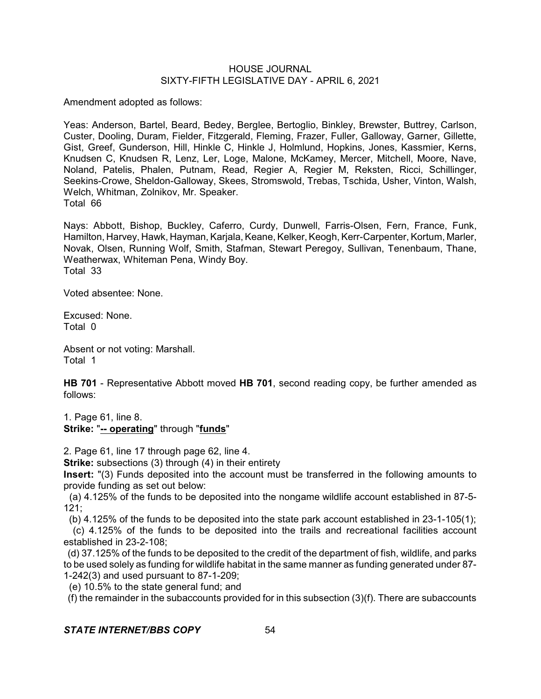Amendment adopted as follows:

Yeas: Anderson, Bartel, Beard, Bedey, Berglee, Bertoglio, Binkley, Brewster, Buttrey, Carlson, Custer, Dooling, Duram, Fielder, Fitzgerald, Fleming, Frazer, Fuller, Galloway, Garner, Gillette, Gist, Greef, Gunderson, Hill, Hinkle C, Hinkle J, Holmlund, Hopkins, Jones, Kassmier, Kerns, Knudsen C, Knudsen R, Lenz, Ler, Loge, Malone, McKamey, Mercer, Mitchell, Moore, Nave, Noland, Patelis, Phalen, Putnam, Read, Regier A, Regier M, Reksten, Ricci, Schillinger, Seekins-Crowe, Sheldon-Galloway, Skees, Stromswold, Trebas, Tschida, Usher, Vinton, Walsh, Welch, Whitman, Zolnikov, Mr. Speaker. Total 66

Nays: Abbott, Bishop, Buckley, Caferro, Curdy, Dunwell, Farris-Olsen, Fern, France, Funk, Hamilton, Harvey, Hawk, Hayman, Karjala, Keane, Kelker, Keogh, Kerr-Carpenter, Kortum, Marler, Novak, Olsen, Running Wolf, Smith, Stafman, Stewart Peregoy, Sullivan, Tenenbaum, Thane, Weatherwax, Whiteman Pena, Windy Boy. Total 33

Voted absentee: None.

Excused: None. Total 0

Absent or not voting: Marshall. Total 1

**HB 701** - Representative Abbott moved **HB 701**, second reading copy, be further amended as follows:

1. Page 61, line 8. **Strike:** "**-- operating**" through "**funds**"

2. Page 61, line 17 through page 62, line 4.

**Strike:** subsections (3) through (4) in their entirety

**Insert:** "(3) Funds deposited into the account must be transferred in the following amounts to provide funding as set out below:

(a) 4.125% of the funds to be deposited into the nongame wildlife account established in 87-5- 121;

(b) 4.125% of the funds to be deposited into the state park account established in 23-1-105(1);

(c) 4.125% of the funds to be deposited into the trails and recreational facilities account established in 23-2-108;

(d) 37.125% of the funds to be deposited to the credit of the department of fish, wildlife, and parks to be used solely as funding for wildlife habitat in the same manner as funding generated under 87- 1-242(3) and used pursuant to 87-1-209;

(e) 10.5% to the state general fund; and

(f) the remainder in the subaccounts provided for in this subsection (3)(f). There are subaccounts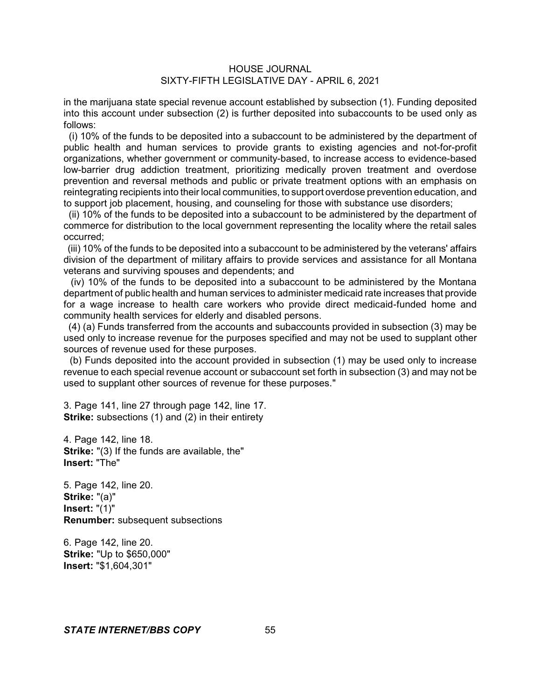in the marijuana state special revenue account established by subsection (1). Funding deposited into this account under subsection (2) is further deposited into subaccounts to be used only as follows:

(i) 10% of the funds to be deposited into a subaccount to be administered by the department of public health and human services to provide grants to existing agencies and not-for-profit organizations, whether government or community-based, to increase access to evidence-based low-barrier drug addiction treatment, prioritizing medically proven treatment and overdose prevention and reversal methods and public or private treatment options with an emphasis on reintegrating recipients into their local communities, to support overdose prevention education, and to support job placement, housing, and counseling for those with substance use disorders;

(ii) 10% of the funds to be deposited into a subaccount to be administered by the department of commerce for distribution to the local government representing the locality where the retail sales occurred;

(iii) 10% of the funds to be deposited into a subaccount to be administered by the veterans' affairs division of the department of military affairs to provide services and assistance for all Montana veterans and surviving spouses and dependents; and

(iv) 10% of the funds to be deposited into a subaccount to be administered by the Montana department of public health and human services to administer medicaid rate increases that provide for a wage increase to health care workers who provide direct medicaid-funded home and community health services for elderly and disabled persons.

(4) (a) Funds transferred from the accounts and subaccounts provided in subsection (3) may be used only to increase revenue for the purposes specified and may not be used to supplant other sources of revenue used for these purposes.

(b) Funds deposited into the account provided in subsection (1) may be used only to increase revenue to each special revenue account or subaccount set forth in subsection (3) and may not be used to supplant other sources of revenue for these purposes."

3. Page 141, line 27 through page 142, line 17. **Strike:** subsections (1) and (2) in their entirety

4. Page 142, line 18. **Strike:** "(3) If the funds are available, the" **Insert:** "The"

5. Page 142, line 20. **Strike:** "(a)" **Insert:** "(1)" **Renumber:** subsequent subsections

6. Page 142, line 20. **Strike:** "Up to \$650,000" **Insert:** "\$1,604,301"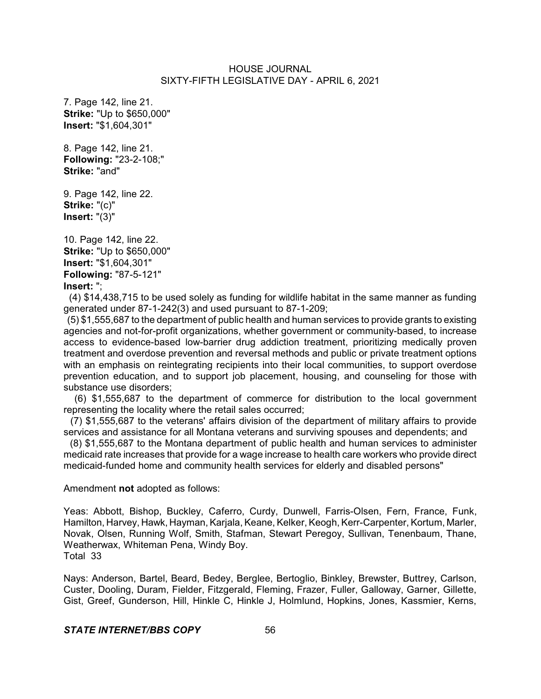7. Page 142, line 21. **Strike:** "Up to \$650,000" **Insert:** "\$1,604,301"

8. Page 142, line 21. **Following:** "23-2-108;" **Strike:** "and"

9. Page 142, line 22. **Strike:** "(c)" **Insert:** "(3)"

10. Page 142, line 22. **Strike:** "Up to \$650,000" **Insert:** "\$1,604,301" **Following:** "87-5-121" **Insert:** ";

 (4) \$14,438,715 to be used solely as funding for wildlife habitat in the same manner as funding generated under 87-1-242(3) and used pursuant to 87-1-209;

(5) \$1,555,687 to the department of public health and human services to provide grants to existing agencies and not-for-profit organizations, whether government or community-based, to increase access to evidence-based low-barrier drug addiction treatment, prioritizing medically proven treatment and overdose prevention and reversal methods and public or private treatment options with an emphasis on reintegrating recipients into their local communities, to support overdose prevention education, and to support job placement, housing, and counseling for those with substance use disorders;

(6) \$1,555,687 to the department of commerce for distribution to the local government representing the locality where the retail sales occurred;

(7) \$1,555,687 to the veterans' affairs division of the department of military affairs to provide services and assistance for all Montana veterans and surviving spouses and dependents; and

(8) \$1,555,687 to the Montana department of public health and human services to administer medicaid rate increases that provide for a wage increase to health care workers who provide direct medicaid-funded home and community health services for elderly and disabled persons"

#### Amendment **not** adopted as follows:

Yeas: Abbott, Bishop, Buckley, Caferro, Curdy, Dunwell, Farris-Olsen, Fern, France, Funk, Hamilton, Harvey, Hawk, Hayman, Karjala, Keane, Kelker, Keogh, Kerr-Carpenter, Kortum, Marler, Novak, Olsen, Running Wolf, Smith, Stafman, Stewart Peregoy, Sullivan, Tenenbaum, Thane, Weatherwax, Whiteman Pena, Windy Boy. Total 33

Nays: Anderson, Bartel, Beard, Bedey, Berglee, Bertoglio, Binkley, Brewster, Buttrey, Carlson, Custer, Dooling, Duram, Fielder, Fitzgerald, Fleming, Frazer, Fuller, Galloway, Garner, Gillette, Gist, Greef, Gunderson, Hill, Hinkle C, Hinkle J, Holmlund, Hopkins, Jones, Kassmier, Kerns,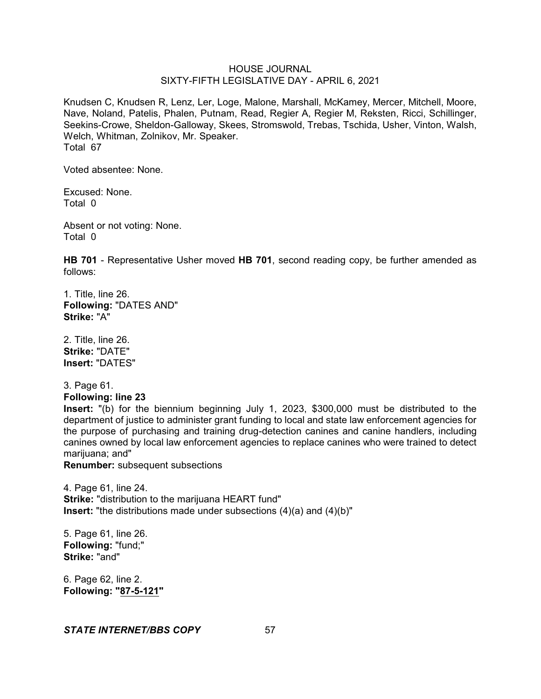Knudsen C, Knudsen R, Lenz, Ler, Loge, Malone, Marshall, McKamey, Mercer, Mitchell, Moore, Nave, Noland, Patelis, Phalen, Putnam, Read, Regier A, Regier M, Reksten, Ricci, Schillinger, Seekins-Crowe, Sheldon-Galloway, Skees, Stromswold, Trebas, Tschida, Usher, Vinton, Walsh, Welch, Whitman, Zolnikov, Mr. Speaker. Total 67

Voted absentee: None.

Excused: None. Total 0

Absent or not voting: None. Total 0

**HB 701** - Representative Usher moved **HB 701**, second reading copy, be further amended as follows:

1. Title, line 26. **Following:** "DATES AND" **Strike:** "A"

2. Title, line 26. **Strike:** "DATE" **Insert:** "DATES"

3. Page 61. **Following: line 23**

**Insert:** "(b) for the biennium beginning July 1, 2023, \$300,000 must be distributed to the department of justice to administer grant funding to local and state law enforcement agencies for the purpose of purchasing and training drug-detection canines and canine handlers, including canines owned by local law enforcement agencies to replace canines who were trained to detect marijuana; and"

**Renumber:** subsequent subsections

4. Page 61, line 24. **Strike:** "distribution to the marijuana HEART fund" **Insert:** "the distributions made under subsections (4)(a) and (4)(b)"

5. Page 61, line 26. **Following:** "fund;" **Strike:** "and"

6. Page 62, line 2. **Following: "87-5-121"**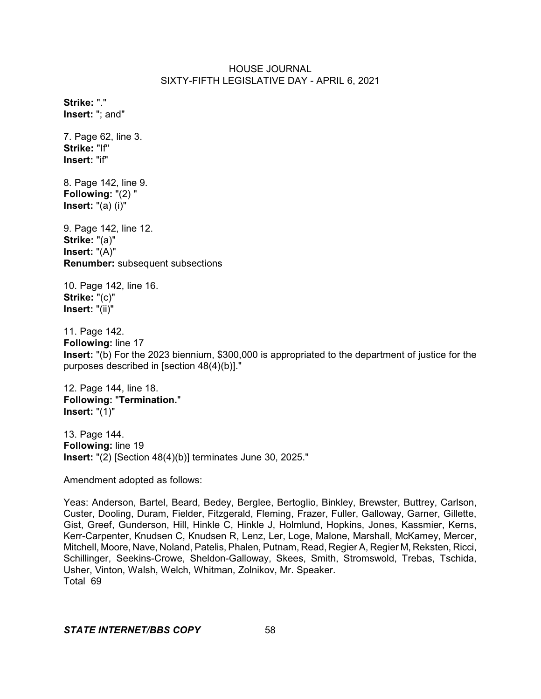**Strike:** "." **Insert:** "; and"

7. Page 62, line 3. **Strike:** "If" **Insert:** "if"

8. Page 142, line 9. **Following:** "(2) " **Insert:** "(a) (i)"

9. Page 142, line 12. **Strike:** "(a)" **Insert:** "(A)" **Renumber:** subsequent subsections

10. Page 142, line 16. **Strike:** "(c)" **Insert:** "(ii)"

11. Page 142. **Following:** line 17 **Insert:** "(b) For the 2023 biennium, \$300,000 is appropriated to the department of justice for the purposes described in [section 48(4)(b)]."

12. Page 144, line 18. **Following:** "**Termination.**" **Insert:** "(1)"

13. Page 144. **Following:** line 19 **Insert:** "(2) [Section 48(4)(b)] terminates June 30, 2025."

Amendment adopted as follows:

Yeas: Anderson, Bartel, Beard, Bedey, Berglee, Bertoglio, Binkley, Brewster, Buttrey, Carlson, Custer, Dooling, Duram, Fielder, Fitzgerald, Fleming, Frazer, Fuller, Galloway, Garner, Gillette, Gist, Greef, Gunderson, Hill, Hinkle C, Hinkle J, Holmlund, Hopkins, Jones, Kassmier, Kerns, Kerr-Carpenter, Knudsen C, Knudsen R, Lenz, Ler, Loge, Malone, Marshall, McKamey, Mercer, Mitchell, Moore, Nave, Noland, Patelis, Phalen, Putnam, Read, Regier A, Regier M, Reksten, Ricci, Schillinger, Seekins-Crowe, Sheldon-Galloway, Skees, Smith, Stromswold, Trebas, Tschida, Usher, Vinton, Walsh, Welch, Whitman, Zolnikov, Mr. Speaker. Total 69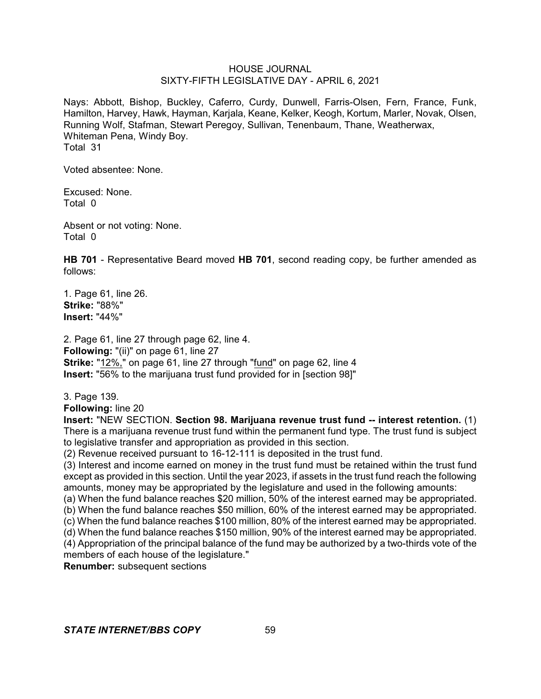Nays: Abbott, Bishop, Buckley, Caferro, Curdy, Dunwell, Farris-Olsen, Fern, France, Funk, Hamilton, Harvey, Hawk, Hayman, Karjala, Keane, Kelker, Keogh, Kortum, Marler, Novak, Olsen, Running Wolf, Stafman, Stewart Peregoy, Sullivan, Tenenbaum, Thane, Weatherwax, Whiteman Pena, Windy Boy. Total 31

Voted absentee: None.

Excused: None. Total 0

Absent or not voting: None. Total 0

**HB 701** - Representative Beard moved **HB 701**, second reading copy, be further amended as follows:

1. Page 61, line 26. **Strike:** "88%" **Insert:** "44%"

2. Page 61, line 27 through page 62, line 4. **Following:** "(ii)" on page 61, line 27 **Strike:** "12%," on page 61, line 27 through "fund" on page 62, line 4 **Insert:** "56% to the marijuana trust fund provided for in [section 98]"

3. Page 139.

**Following:** line 20

**Insert:** "NEW SECTION. **Section 98. Marijuana revenue trust fund -- interest retention.** (1) There is a marijuana revenue trust fund within the permanent fund type. The trust fund is subject to legislative transfer and appropriation as provided in this section.

(2) Revenue received pursuant to 16-12-111 is deposited in the trust fund.

(3) Interest and income earned on money in the trust fund must be retained within the trust fund except as provided in this section. Until the year 2023, if assets in the trust fund reach the following amounts, money may be appropriated by the legislature and used in the following amounts:

(a) When the fund balance reaches \$20 million, 50% of the interest earned may be appropriated. (b) When the fund balance reaches \$50 million, 60% of the interest earned may be appropriated. (c) When the fund balance reaches \$100 million, 80% of the interest earned may be appropriated.

(d) When the fund balance reaches \$150 million, 90% of the interest earned may be appropriated.

(4) Appropriation of the principal balance of the fund may be authorized by a two-thirds vote of the members of each house of the legislature."

**Renumber:** subsequent sections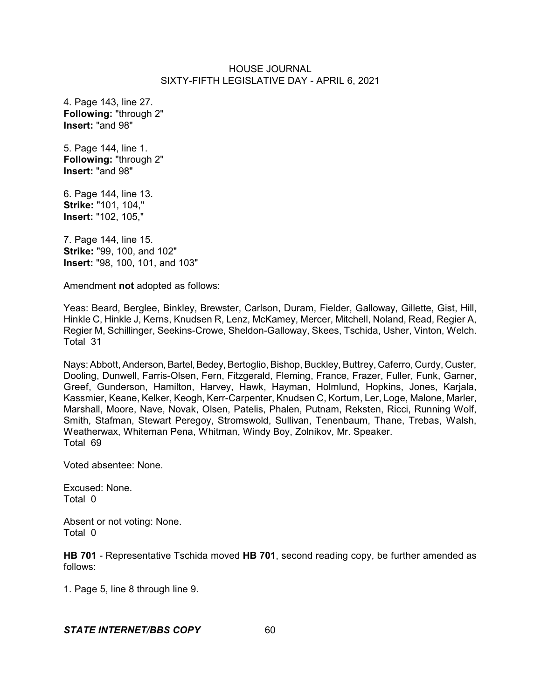4. Page 143, line 27. **Following:** "through 2" **Insert:** "and 98"

5. Page 144, line 1. **Following:** "through 2" **Insert:** "and 98"

6. Page 144, line 13. **Strike:** "101, 104," **Insert:** "102, 105,"

7. Page 144, line 15. **Strike:** "99, 100, and 102" **Insert:** "98, 100, 101, and 103"

Amendment **not** adopted as follows:

Yeas: Beard, Berglee, Binkley, Brewster, Carlson, Duram, Fielder, Galloway, Gillette, Gist, Hill, Hinkle C, Hinkle J, Kerns, Knudsen R, Lenz, McKamey, Mercer, Mitchell, Noland, Read, Regier A, Regier M, Schillinger, Seekins-Crowe, Sheldon-Galloway, Skees, Tschida, Usher, Vinton, Welch. Total 31

Nays: Abbott, Anderson, Bartel, Bedey, Bertoglio, Bishop, Buckley, Buttrey, Caferro, Curdy, Custer, Dooling, Dunwell, Farris-Olsen, Fern, Fitzgerald, Fleming, France, Frazer, Fuller, Funk, Garner, Greef, Gunderson, Hamilton, Harvey, Hawk, Hayman, Holmlund, Hopkins, Jones, Karjala, Kassmier, Keane, Kelker, Keogh, Kerr-Carpenter, Knudsen C, Kortum, Ler, Loge, Malone, Marler, Marshall, Moore, Nave, Novak, Olsen, Patelis, Phalen, Putnam, Reksten, Ricci, Running Wolf, Smith, Stafman, Stewart Peregoy, Stromswold, Sullivan, Tenenbaum, Thane, Trebas, Walsh, Weatherwax, Whiteman Pena, Whitman, Windy Boy, Zolnikov, Mr. Speaker. Total 69

Voted absentee: None.

Excused: None. Total 0

Absent or not voting: None. Total 0

**HB 701** - Representative Tschida moved **HB 701**, second reading copy, be further amended as follows:

1. Page 5, line 8 through line 9.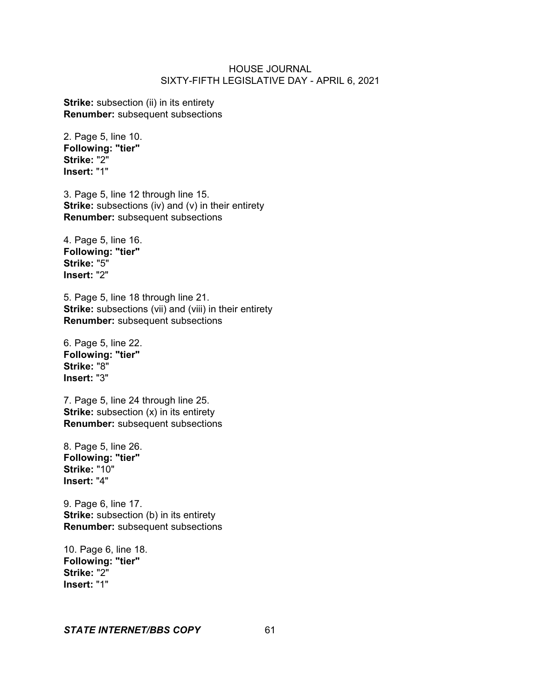**Strike:** subsection (ii) in its entirety **Renumber:** subsequent subsections

2. Page 5, line 10. **Following: "tier" Strike:** "2" **Insert:** "1"

3. Page 5, line 12 through line 15. **Strike:** subsections (iv) and (v) in their entirety **Renumber:** subsequent subsections

4. Page 5, line 16. **Following: "tier" Strike:** "5" **Insert:** "2"

5. Page 5, line 18 through line 21. **Strike:** subsections (vii) and (viii) in their entirety **Renumber:** subsequent subsections

6. Page 5, line 22. **Following: "tier" Strike:** "8" **Insert:** "3"

7. Page 5, line 24 through line 25. **Strike:** subsection (x) in its entirety **Renumber:** subsequent subsections

8. Page 5, line 26. **Following: "tier" Strike:** "10" **Insert:** "4"

9. Page 6, line 17. **Strike:** subsection (b) in its entirety **Renumber:** subsequent subsections

10. Page 6, line 18. **Following: "tier" Strike:** "2" **Insert:** "1"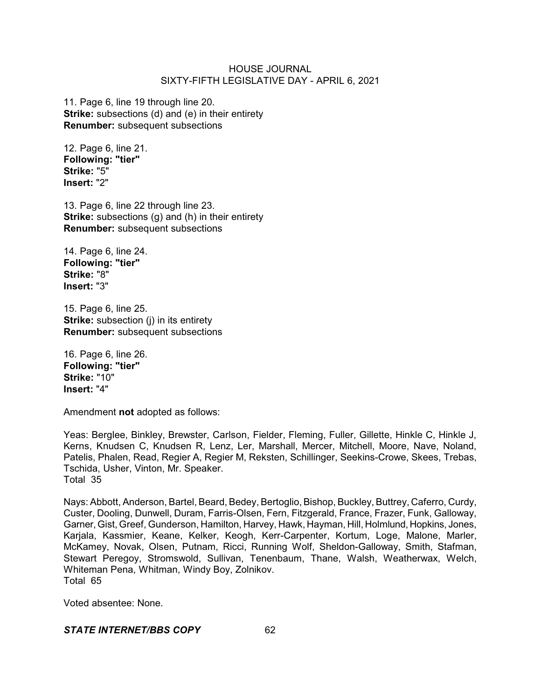11. Page 6, line 19 through line 20. **Strike:** subsections (d) and (e) in their entirety **Renumber:** subsequent subsections

12. Page 6, line 21. **Following: "tier" Strike:** "5" **Insert:** "2"

13. Page 6, line 22 through line 23. **Strike:** subsections (g) and (h) in their entirety **Renumber:** subsequent subsections

14. Page 6, line 24. **Following: "tier" Strike:** "8" **Insert:** "3"

15. Page 6, line 25. **Strike:** subsection (j) in its entirety **Renumber:** subsequent subsections

16. Page 6, line 26. **Following: "tier" Strike:** "10" **Insert:** "4"

Amendment **not** adopted as follows:

Yeas: Berglee, Binkley, Brewster, Carlson, Fielder, Fleming, Fuller, Gillette, Hinkle C, Hinkle J, Kerns, Knudsen C, Knudsen R, Lenz, Ler, Marshall, Mercer, Mitchell, Moore, Nave, Noland, Patelis, Phalen, Read, Regier A, Regier M, Reksten, Schillinger, Seekins-Crowe, Skees, Trebas, Tschida, Usher, Vinton, Mr. Speaker. Total 35

Nays: Abbott, Anderson, Bartel, Beard, Bedey, Bertoglio, Bishop, Buckley, Buttrey, Caferro, Curdy, Custer, Dooling, Dunwell, Duram, Farris-Olsen, Fern, Fitzgerald, France, Frazer, Funk, Galloway, Garner, Gist, Greef, Gunderson, Hamilton, Harvey, Hawk, Hayman, Hill, Holmlund, Hopkins, Jones, Karjala, Kassmier, Keane, Kelker, Keogh, Kerr-Carpenter, Kortum, Loge, Malone, Marler, McKamey, Novak, Olsen, Putnam, Ricci, Running Wolf, Sheldon-Galloway, Smith, Stafman, Stewart Peregoy, Stromswold, Sullivan, Tenenbaum, Thane, Walsh, Weatherwax, Welch, Whiteman Pena, Whitman, Windy Boy, Zolnikov. Total 65

Voted absentee: None.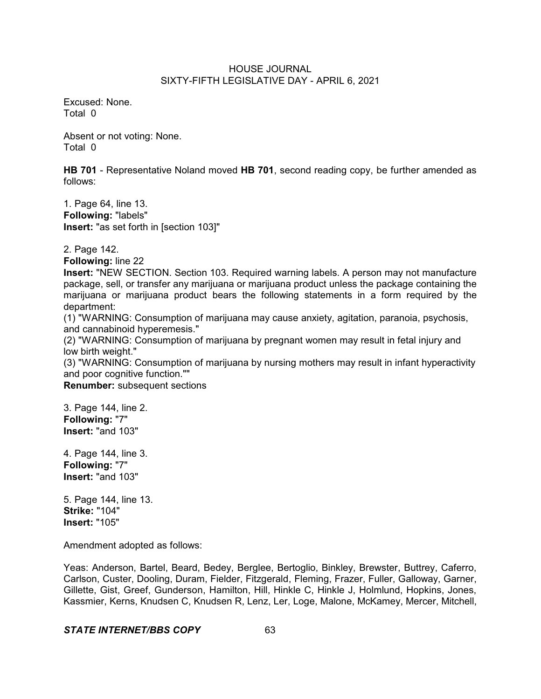Excused: None. Total 0

Absent or not voting: None. Total 0

**HB 701** - Representative Noland moved **HB 701**, second reading copy, be further amended as follows:

1. Page 64, line 13. **Following:** "labels" **Insert:** "as set forth in [section 103]"

2. Page 142.

**Following:** line 22

**Insert:** "NEW SECTION. Section 103. Required warning labels. A person may not manufacture package, sell, or transfer any marijuana or marijuana product unless the package containing the marijuana or marijuana product bears the following statements in a form required by the department:

(1) "WARNING: Consumption of marijuana may cause anxiety, agitation, paranoia, psychosis, and cannabinoid hyperemesis."

(2) "WARNING: Consumption of marijuana by pregnant women may result in fetal injury and low birth weight."

(3) "WARNING: Consumption of marijuana by nursing mothers may result in infant hyperactivity and poor cognitive function.""

**Renumber:** subsequent sections

3. Page 144, line 2. **Following:** "7" **Insert:** "and 103"

4. Page 144, line 3. **Following:** "7" **Insert:** "and 103"

5. Page 144, line 13. **Strike:** "104" **Insert:** "105"

Amendment adopted as follows:

Yeas: Anderson, Bartel, Beard, Bedey, Berglee, Bertoglio, Binkley, Brewster, Buttrey, Caferro, Carlson, Custer, Dooling, Duram, Fielder, Fitzgerald, Fleming, Frazer, Fuller, Galloway, Garner, Gillette, Gist, Greef, Gunderson, Hamilton, Hill, Hinkle C, Hinkle J, Holmlund, Hopkins, Jones, Kassmier, Kerns, Knudsen C, Knudsen R, Lenz, Ler, Loge, Malone, McKamey, Mercer, Mitchell,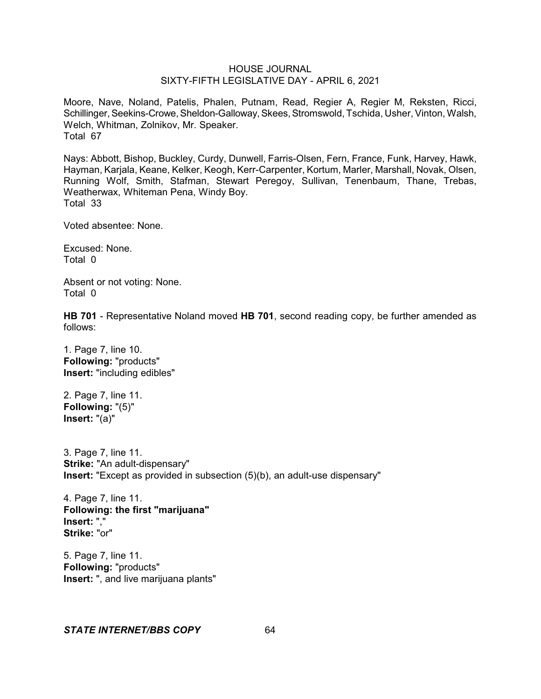Moore, Nave, Noland, Patelis, Phalen, Putnam, Read, Regier A, Regier M, Reksten, Ricci, Schillinger, Seekins-Crowe, Sheldon-Galloway, Skees, Stromswold, Tschida, Usher, Vinton, Walsh, Welch, Whitman, Zolnikov, Mr. Speaker. Total 67

Nays: Abbott, Bishop, Buckley, Curdy, Dunwell, Farris-Olsen, Fern, France, Funk, Harvey, Hawk, Hayman, Karjala, Keane, Kelker, Keogh, Kerr-Carpenter, Kortum, Marler, Marshall, Novak, Olsen, Running Wolf, Smith, Stafman, Stewart Peregoy, Sullivan, Tenenbaum, Thane, Trebas, Weatherwax, Whiteman Pena, Windy Boy. Total 33

Voted absentee: None.

Excused: None. Total 0

Absent or not voting: None. Total 0

**HB 701** - Representative Noland moved **HB 701**, second reading copy, be further amended as follows:

1. Page 7, line 10. **Following:** "products" **Insert:** "including edibles"

2. Page 7, line 11. **Following:** "(5)" **Insert:** "(a)"

3. Page 7, line 11. **Strike:** "An adult-dispensary" **Insert:** "Except as provided in subsection (5)(b), an adult-use dispensary"

4. Page 7, line 11. **Following: the first "marijuana" Insert:** "," **Strike:** "or"

5. Page 7, line 11. **Following:** "products" **Insert:** ", and live marijuana plants"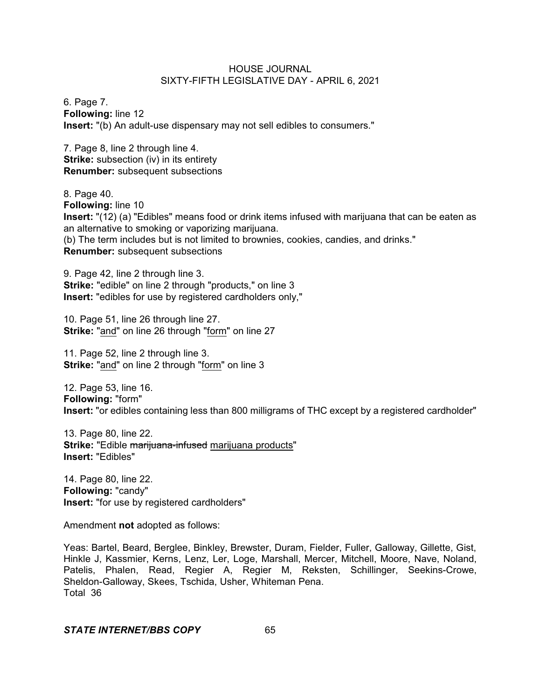6. Page 7. **Following:** line 12 **Insert:** "(b) An adult-use dispensary may not sell edibles to consumers."

7. Page 8, line 2 through line 4. **Strike:** subsection (iv) in its entirety **Renumber:** subsequent subsections

8. Page 40. **Following:** line 10 **Insert:** "(12) (a) "Edibles" means food or drink items infused with marijuana that can be eaten as an alternative to smoking or vaporizing marijuana. (b) The term includes but is not limited to brownies, cookies, candies, and drinks." **Renumber:** subsequent subsections

9. Page 42, line 2 through line 3. **Strike:** "edible" on line 2 through "products," on line 3 **Insert:** "edibles for use by registered cardholders only,"

10. Page 51, line 26 through line 27. **Strike:** "and" on line 26 through "form" on line 27

11. Page 52, line 2 through line 3. **Strike:** "and" on line 2 through "form" on line 3

12. Page 53, line 16. **Following:** "form" **Insert:** "or edibles containing less than 800 milligrams of THC except by a registered cardholder"

13. Page 80, line 22. **Strike: "Edible marijuana-infused marijuana products" Insert:** "Edibles"

14. Page 80, line 22. **Following:** "candy" **Insert:** "for use by registered cardholders"

Amendment **not** adopted as follows:

Yeas: Bartel, Beard, Berglee, Binkley, Brewster, Duram, Fielder, Fuller, Galloway, Gillette, Gist, Hinkle J, Kassmier, Kerns, Lenz, Ler, Loge, Marshall, Mercer, Mitchell, Moore, Nave, Noland, Patelis, Phalen, Read, Regier A, Regier M, Reksten, Schillinger, Seekins-Crowe, Sheldon-Galloway, Skees, Tschida, Usher, Whiteman Pena. Total 36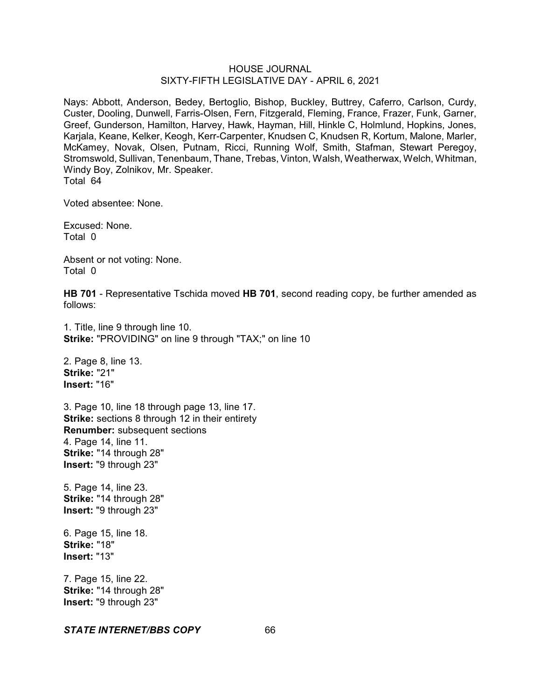Nays: Abbott, Anderson, Bedey, Bertoglio, Bishop, Buckley, Buttrey, Caferro, Carlson, Curdy, Custer, Dooling, Dunwell, Farris-Olsen, Fern, Fitzgerald, Fleming, France, Frazer, Funk, Garner, Greef, Gunderson, Hamilton, Harvey, Hawk, Hayman, Hill, Hinkle C, Holmlund, Hopkins, Jones, Karjala, Keane, Kelker, Keogh, Kerr-Carpenter, Knudsen C, Knudsen R, Kortum, Malone, Marler, McKamey, Novak, Olsen, Putnam, Ricci, Running Wolf, Smith, Stafman, Stewart Peregoy, Stromswold, Sullivan, Tenenbaum, Thane, Trebas, Vinton, Walsh, Weatherwax, Welch, Whitman, Windy Boy, Zolnikov, Mr. Speaker. Total 64

Voted absentee: None.

Excused: None. Total 0

Absent or not voting: None. Total 0

**HB 701** - Representative Tschida moved **HB 701**, second reading copy, be further amended as follows:

1. Title, line 9 through line 10. **Strike:** "PROVIDING" on line 9 through "TAX;" on line 10

2. Page 8, line 13. **Strike:** "21" **Insert:** "16"

3. Page 10, line 18 through page 13, line 17. **Strike:** sections 8 through 12 in their entirety **Renumber:** subsequent sections 4. Page 14, line 11. **Strike:** "14 through 28" **Insert:** "9 through 23"

5. Page 14, line 23. **Strike:** "14 through 28" **Insert:** "9 through 23"

6. Page 15, line 18. **Strike:** "18" **Insert:** "13"

7. Page 15, line 22. **Strike:** "14 through 28" **Insert:** "9 through 23"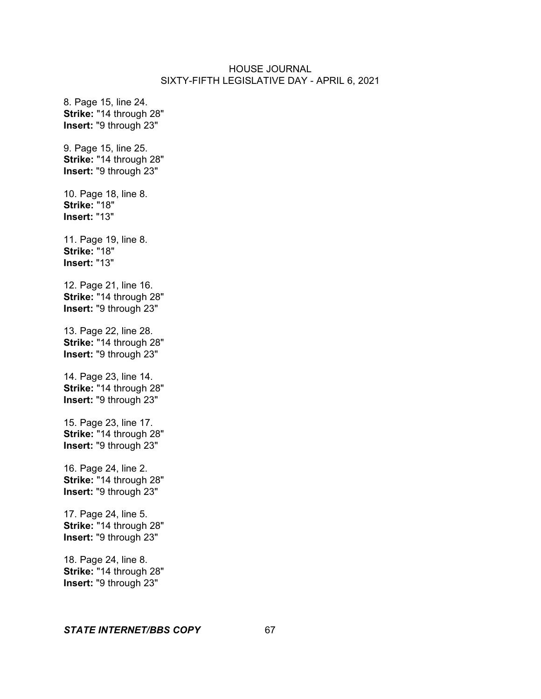8. Page 15, line 24. **Strike:** "14 through 28" **Insert:** "9 through 23" 9. Page 15, line 25. **Strike:** "14 through 28" **Insert:** "9 through 23" 10. Page 18, line 8. **Strike:** "18" **Insert:** "13" 11. Page 19, line 8. **Strike:** "18" **Insert:** "13" 12. Page 21, line 16. **Strike:** "14 through 28" **Insert:** "9 through 23" 13. Page 22, line 28. **Strike:** "14 through 28" **Insert:** "9 through 23" 14. Page 23, line 14. **Strike:** "14 through 28" **Insert:** "9 through 23" 15. Page 23, line 17. **Strike:** "14 through 28" **Insert:** "9 through 23" 16. Page 24, line 2. **Strike:** "14 through 28" **Insert:** "9 through 23" 17. Page 24, line 5. **Strike:** "14 through 28" **Insert:** "9 through 23" 18. Page 24, line 8. **Strike:** "14 through 28" **Insert:** "9 through 23"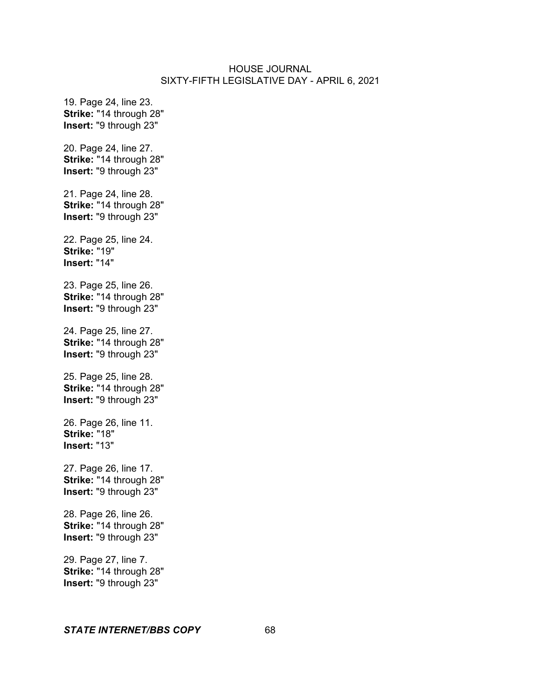19. Page 24, line 23. **Strike:** "14 through 28" **Insert:** "9 through 23" 20. Page 24, line 27. **Strike:** "14 through 28" **Insert:** "9 through 23" 21. Page 24, line 28. **Strike:** "14 through 28" **Insert:** "9 through 23" 22. Page 25, line 24. **Strike:** "19" **Insert:** "14" 23. Page 25, line 26. **Strike:** "14 through 28" **Insert:** "9 through 23" 24. Page 25, line 27. **Strike:** "14 through 28" **Insert:** "9 through 23" 25. Page 25, line 28. **Strike:** "14 through 28" **Insert:** "9 through 23" 26. Page 26, line 11. **Strike:** "18" **Insert:** "13" 27. Page 26, line 17. **Strike:** "14 through 28" **Insert:** "9 through 23" 28. Page 26, line 26. **Strike:** "14 through 28" **Insert:** "9 through 23" 29. Page 27, line 7. **Strike:** "14 through 28" **Insert:** "9 through 23"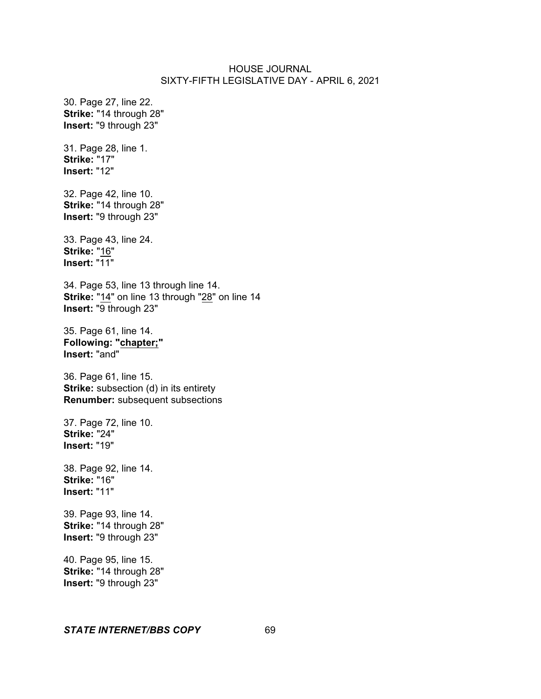30. Page 27, line 22. **Strike:** "14 through 28" **Insert:** "9 through 23"

31. Page 28, line 1. **Strike:** "17" **Insert:** "12"

32. Page 42, line 10. **Strike:** "14 through 28" **Insert:** "9 through 23"

33. Page 43, line 24. **Strike:** "16" **Insert:** "11"

34. Page 53, line 13 through line 14. **Strike:** "14" on line 13 through "28" on line 14 **Insert:** "9 through 23"

35. Page 61, line 14. **Following: "chapter;" Insert:** "and"

36. Page 61, line 15. **Strike:** subsection (d) in its entirety **Renumber:** subsequent subsections

37. Page 72, line 10. **Strike:** "24" **Insert:** "19"

38. Page 92, line 14. **Strike:** "16" **Insert:** "11"

39. Page 93, line 14. **Strike:** "14 through 28" **Insert:** "9 through 23"

40. Page 95, line 15. **Strike:** "14 through 28" **Insert:** "9 through 23"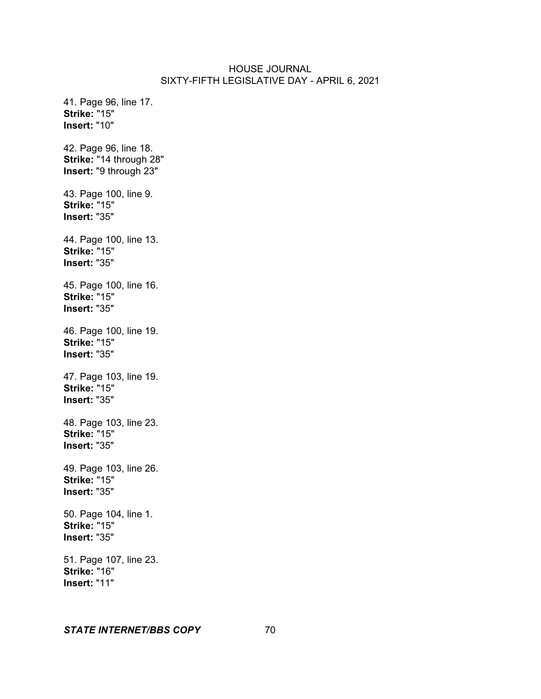41. Page 96, line 17. **Strike:** "15" **Insert:** "10" 42. Page 96, line 18. **Strike:** "14 through 28" **Insert:** "9 through 23" 43. Page 100, line 9. **Strike:** "15" **Insert:** "35" 44. Page 100, line 13. **Strike:** "15" **Insert:** "35" 45. Page 100, line 16. **Strike:** "15" **Insert:** "35" 46. Page 100, line 19. **Strike:** "15" **Insert:** "35" 47. Page 103, line 19. **Strike:** "15" **Insert:** "35" 48. Page 103, line 23. **Strike:** "15" **Insert:** "35" 49. Page 103, line 26. **Strike:** "15" **Insert:** "35" 50. Page 104, line 1. **Strike:** "15" **Insert:** "35" 51. Page 107, line 23. **Strike:** "16" **Insert:** "11"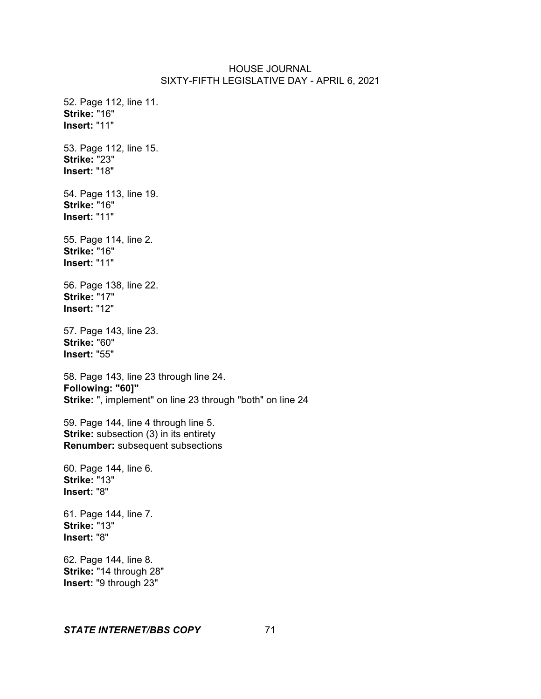52. Page 112, line 11. **Strike:** "16" **Insert:** "11" 53. Page 112, line 15. **Strike:** "23" **Insert:** "18" 54. Page 113, line 19. **Strike:** "16" **Insert:** "11" 55. Page 114, line 2. **Strike:** "16" **Insert:** "11" 56. Page 138, line 22. **Strike:** "17" **Insert:** "12" 57. Page 143, line 23. **Strike:** "60" **Insert:** "55" 58. Page 143, line 23 through line 24. **Following: "60]" Strike:** ", implement" on line 23 through "both" on line 24 59. Page 144, line 4 through line 5. **Strike:** subsection (3) in its entirety **Renumber:** subsequent subsections 60. Page 144, line 6. **Strike:** "13" **Insert:** "8" 61. Page 144, line 7. **Strike:** "13" **Insert:** "8"

62. Page 144, line 8. **Strike:** "14 through 28" **Insert:** "9 through 23"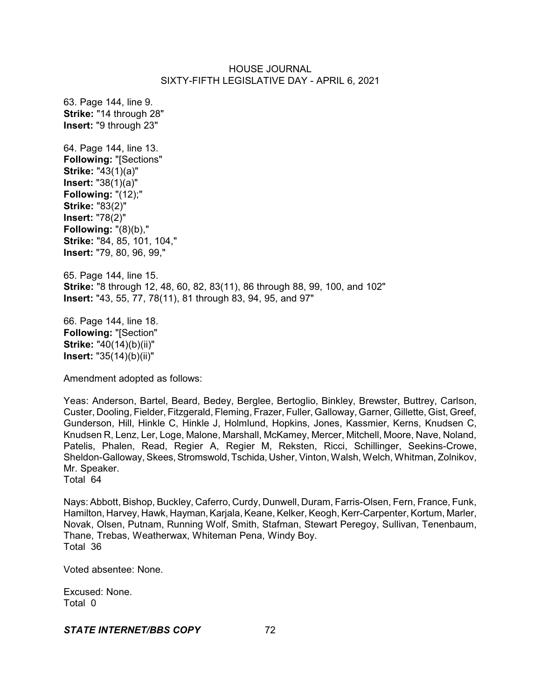63. Page 144, line 9. **Strike:** "14 through 28" **Insert:** "9 through 23" 64. Page 144, line 13. **Following:** "[Sections" **Strike:** "43(1)(a)" **Insert:** "38(1)(a)" **Following:** "(12);" **Strike:** "83(2)" **Insert:** "78(2)" **Following:** "(8)(b)," **Strike:** "84, 85, 101, 104," **Insert:** "79, 80, 96, 99," 65. Page 144, line 15. **Strike:** "8 through 12, 48, 60, 82, 83(11), 86 through 88, 99, 100, and 102" **Insert:** "43, 55, 77, 78(11), 81 through 83, 94, 95, and 97" 66. Page 144, line 18.

**Following:** "[Section" **Strike:** "40(14)(b)(ii)" **Insert:** "35(14)(b)(ii)"

Amendment adopted as follows:

Yeas: Anderson, Bartel, Beard, Bedey, Berglee, Bertoglio, Binkley, Brewster, Buttrey, Carlson, Custer, Dooling, Fielder, Fitzgerald, Fleming, Frazer, Fuller, Galloway, Garner, Gillette, Gist, Greef, Gunderson, Hill, Hinkle C, Hinkle J, Holmlund, Hopkins, Jones, Kassmier, Kerns, Knudsen C, Knudsen R, Lenz, Ler, Loge, Malone, Marshall, McKamey, Mercer, Mitchell, Moore, Nave, Noland, Patelis, Phalen, Read, Regier A, Regier M, Reksten, Ricci, Schillinger, Seekins-Crowe, Sheldon-Galloway, Skees, Stromswold, Tschida, Usher, Vinton, Walsh, Welch, Whitman, Zolnikov, Mr. Speaker. Total 64

Nays: Abbott, Bishop, Buckley, Caferro, Curdy, Dunwell, Duram, Farris-Olsen, Fern, France, Funk, Hamilton, Harvey, Hawk, Hayman, Karjala, Keane, Kelker, Keogh, Kerr-Carpenter, Kortum, Marler, Novak, Olsen, Putnam, Running Wolf, Smith, Stafman, Stewart Peregoy, Sullivan, Tenenbaum, Thane, Trebas, Weatherwax, Whiteman Pena, Windy Boy. Total 36

Voted absentee: None.

Excused: None. Total 0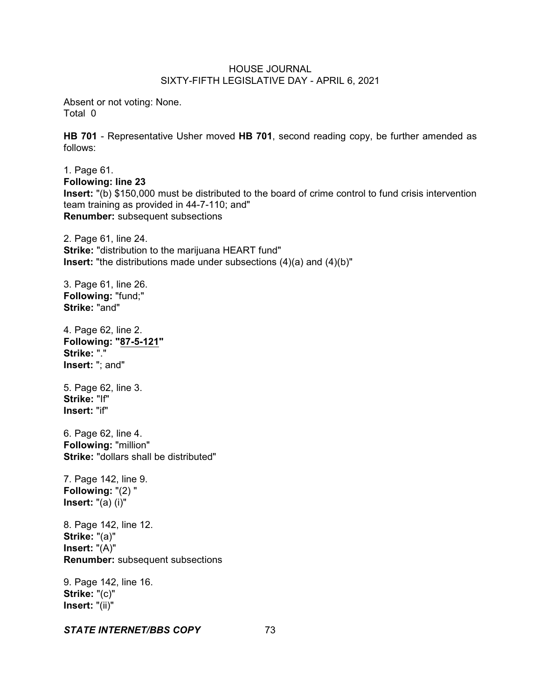Absent or not voting: None. Total 0

**HB 701** - Representative Usher moved **HB 701**, second reading copy, be further amended as follows:

1. Page 61. **Following: line 23 Insert:** "(b) \$150,000 must be distributed to the board of crime control to fund crisis intervention team training as provided in 44-7-110; and" **Renumber:** subsequent subsections

2. Page 61, line 24. **Strike:** "distribution to the marijuana HEART fund" **Insert:** "the distributions made under subsections (4)(a) and (4)(b)"

3. Page 61, line 26. **Following:** "fund;" **Strike:** "and"

4. Page 62, line 2. **Following: "87-5-121" Strike:** "." **Insert:** "; and"

5. Page 62, line 3. **Strike:** "If" **Insert:** "if"

6. Page 62, line 4. **Following:** "million" **Strike:** "dollars shall be distributed"

7. Page 142, line 9. **Following:** "(2) " **Insert:** "(a) (i)"

8. Page 142, line 12. **Strike:** "(a)" **Insert:** "(A)" **Renumber:** subsequent subsections

9. Page 142, line 16. **Strike:** "(c)" **Insert:** "(ii)"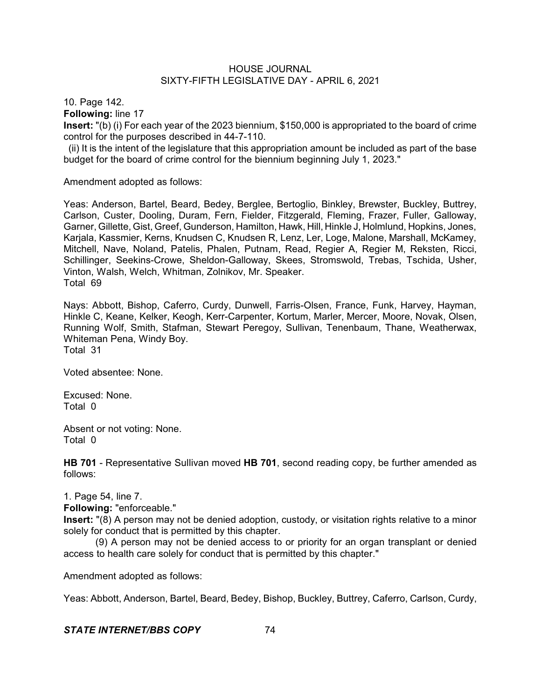10. Page 142.

**Following:** line 17

**Insert:** "(b) (i) For each year of the 2023 biennium, \$150,000 is appropriated to the board of crime control for the purposes described in 44-7-110.

(ii) It is the intent of the legislature that this appropriation amount be included as part of the base budget for the board of crime control for the biennium beginning July 1, 2023."

Amendment adopted as follows:

Yeas: Anderson, Bartel, Beard, Bedey, Berglee, Bertoglio, Binkley, Brewster, Buckley, Buttrey, Carlson, Custer, Dooling, Duram, Fern, Fielder, Fitzgerald, Fleming, Frazer, Fuller, Galloway, Garner, Gillette, Gist, Greef, Gunderson, Hamilton, Hawk, Hill, Hinkle J, Holmlund, Hopkins, Jones, Karjala, Kassmier, Kerns, Knudsen C, Knudsen R, Lenz, Ler, Loge, Malone, Marshall, McKamey, Mitchell, Nave, Noland, Patelis, Phalen, Putnam, Read, Regier A, Regier M, Reksten, Ricci, Schillinger, Seekins-Crowe, Sheldon-Galloway, Skees, Stromswold, Trebas, Tschida, Usher, Vinton, Walsh, Welch, Whitman, Zolnikov, Mr. Speaker. Total 69

Nays: Abbott, Bishop, Caferro, Curdy, Dunwell, Farris-Olsen, France, Funk, Harvey, Hayman, Hinkle C, Keane, Kelker, Keogh, Kerr-Carpenter, Kortum, Marler, Mercer, Moore, Novak, Olsen, Running Wolf, Smith, Stafman, Stewart Peregoy, Sullivan, Tenenbaum, Thane, Weatherwax, Whiteman Pena, Windy Boy. Total 31

Voted absentee: None.

Excused: None. Total 0

Absent or not voting: None. Total 0

**HB 701** - Representative Sullivan moved **HB 701**, second reading copy, be further amended as follows:

1. Page 54, line 7.

**Following:** "enforceable."

**Insert:** "(8) A person may not be denied adoption, custody, or visitation rights relative to a minor solely for conduct that is permitted by this chapter.

(9) A person may not be denied access to or priority for an organ transplant or denied access to health care solely for conduct that is permitted by this chapter."

Amendment adopted as follows:

Yeas: Abbott, Anderson, Bartel, Beard, Bedey, Bishop, Buckley, Buttrey, Caferro, Carlson, Curdy,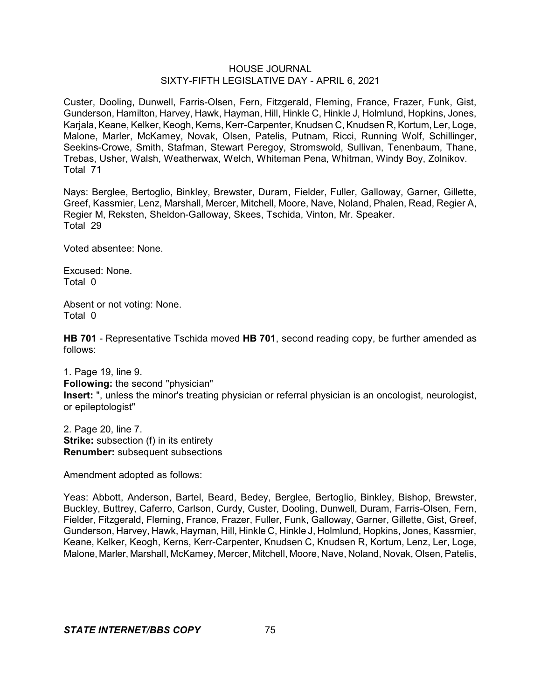Custer, Dooling, Dunwell, Farris-Olsen, Fern, Fitzgerald, Fleming, France, Frazer, Funk, Gist, Gunderson, Hamilton, Harvey, Hawk, Hayman, Hill, Hinkle C, Hinkle J, Holmlund, Hopkins, Jones, Karjala, Keane, Kelker, Keogh, Kerns, Kerr-Carpenter, Knudsen C, Knudsen R, Kortum, Ler, Loge, Malone, Marler, McKamey, Novak, Olsen, Patelis, Putnam, Ricci, Running Wolf, Schillinger, Seekins-Crowe, Smith, Stafman, Stewart Peregoy, Stromswold, Sullivan, Tenenbaum, Thane, Trebas, Usher, Walsh, Weatherwax, Welch, Whiteman Pena, Whitman, Windy Boy, Zolnikov. Total 71

Nays: Berglee, Bertoglio, Binkley, Brewster, Duram, Fielder, Fuller, Galloway, Garner, Gillette, Greef, Kassmier, Lenz, Marshall, Mercer, Mitchell, Moore, Nave, Noland, Phalen, Read, Regier A, Regier M, Reksten, Sheldon-Galloway, Skees, Tschida, Vinton, Mr. Speaker. Total 29

Voted absentee: None.

Excused: None. Total 0

Absent or not voting: None. Total 0

**HB 701** - Representative Tschida moved **HB 701**, second reading copy, be further amended as follows:

1. Page 19, line 9. **Following:** the second "physician" **Insert:** ", unless the minor's treating physician or referral physician is an oncologist, neurologist, or epileptologist"

2. Page 20, line 7. **Strike:** subsection (f) in its entirety **Renumber:** subsequent subsections

Amendment adopted as follows:

Yeas: Abbott, Anderson, Bartel, Beard, Bedey, Berglee, Bertoglio, Binkley, Bishop, Brewster, Buckley, Buttrey, Caferro, Carlson, Curdy, Custer, Dooling, Dunwell, Duram, Farris-Olsen, Fern, Fielder, Fitzgerald, Fleming, France, Frazer, Fuller, Funk, Galloway, Garner, Gillette, Gist, Greef, Gunderson, Harvey, Hawk, Hayman, Hill, Hinkle C, Hinkle J, Holmlund, Hopkins, Jones, Kassmier, Keane, Kelker, Keogh, Kerns, Kerr-Carpenter, Knudsen C, Knudsen R, Kortum, Lenz, Ler, Loge, Malone, Marler, Marshall, McKamey, Mercer, Mitchell, Moore, Nave, Noland, Novak, Olsen, Patelis,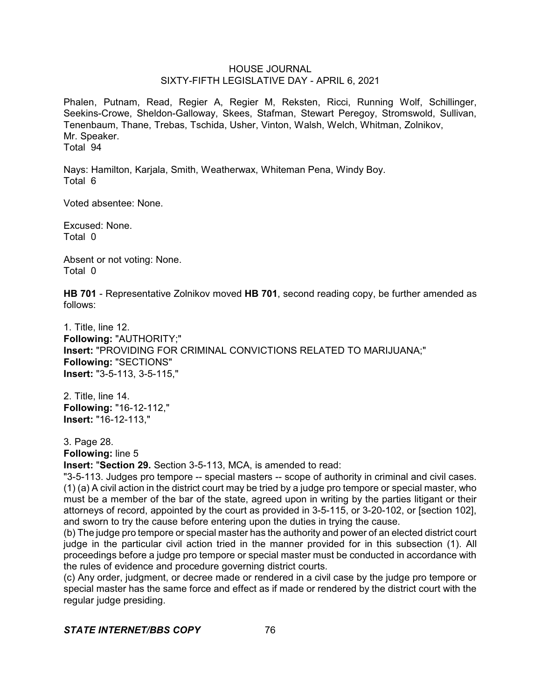Phalen, Putnam, Read, Regier A, Regier M, Reksten, Ricci, Running Wolf, Schillinger, Seekins-Crowe, Sheldon-Galloway, Skees, Stafman, Stewart Peregoy, Stromswold, Sullivan, Tenenbaum, Thane, Trebas, Tschida, Usher, Vinton, Walsh, Welch, Whitman, Zolnikov, Mr. Speaker. Total 94

Nays: Hamilton, Karjala, Smith, Weatherwax, Whiteman Pena, Windy Boy. Total 6

Voted absentee: None.

Excused: None. Total 0

Absent or not voting: None. Total 0

**HB 701** - Representative Zolnikov moved **HB 701**, second reading copy, be further amended as follows:

1. Title, line 12. **Following:** "AUTHORITY;" **Insert:** "PROVIDING FOR CRIMINAL CONVICTIONS RELATED TO MARIJUANA;" **Following:** "SECTIONS" **Insert:** "3-5-113, 3-5-115,"

2. Title, line 14. **Following:** "16-12-112," **Insert:** "16-12-113,"

3. Page 28.

**Following:** line 5

**Insert:** "**Section 29.** Section 3-5-113, MCA, is amended to read:

"3-5-113. Judges pro tempore -- special masters -- scope of authority in criminal and civil cases. (1) (a) A civil action in the district court may be tried by a judge pro tempore or special master, who must be a member of the bar of the state, agreed upon in writing by the parties litigant or their attorneys of record, appointed by the court as provided in 3-5-115, or 3-20-102, or [section 102], and sworn to try the cause before entering upon the duties in trying the cause.

(b) The judge pro tempore or special master has the authority and power of an elected district court judge in the particular civil action tried in the manner provided for in this subsection (1). All proceedings before a judge pro tempore or special master must be conducted in accordance with the rules of evidence and procedure governing district courts.

(c) Any order, judgment, or decree made or rendered in a civil case by the judge pro tempore or special master has the same force and effect as if made or rendered by the district court with the regular judge presiding.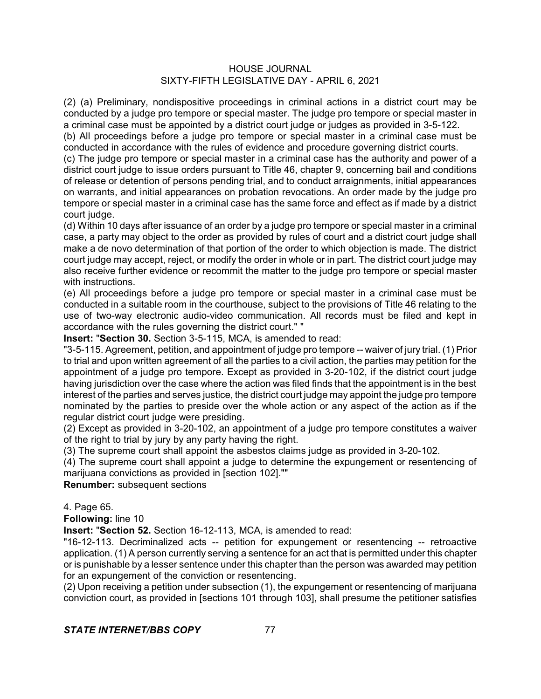(2) (a) Preliminary, nondispositive proceedings in criminal actions in a district court may be conducted by a judge pro tempore or special master. The judge pro tempore or special master in a criminal case must be appointed by a district court judge or judges as provided in 3-5-122.

(b) All proceedings before a judge pro tempore or special master in a criminal case must be conducted in accordance with the rules of evidence and procedure governing district courts.

(c) The judge pro tempore or special master in a criminal case has the authority and power of a district court judge to issue orders pursuant to Title 46, chapter 9, concerning bail and conditions of release or detention of persons pending trial, and to conduct arraignments, initial appearances on warrants, and initial appearances on probation revocations. An order made by the judge pro tempore or special master in a criminal case has the same force and effect as if made by a district court judge.

(d) Within 10 days after issuance of an order by a judge pro tempore or special master in a criminal case, a party may object to the order as provided by rules of court and a district court judge shall make a de novo determination of that portion of the order to which objection is made. The district court judge may accept, reject, or modify the order in whole or in part. The district court judge may also receive further evidence or recommit the matter to the judge pro tempore or special master with instructions.

(e) All proceedings before a judge pro tempore or special master in a criminal case must be conducted in a suitable room in the courthouse, subject to the provisions of Title 46 relating to the use of two-way electronic audio-video communication. All records must be filed and kept in accordance with the rules governing the district court." "

**Insert:** "**Section 30.** Section 3-5-115, MCA, is amended to read:

"3-5-115. Agreement, petition, and appointment of judge pro tempore -- waiver of jury trial. (1) Prior to trial and upon written agreement of all the parties to a civil action, the parties may petition for the appointment of a judge pro tempore. Except as provided in 3-20-102, if the district court judge having jurisdiction over the case where the action was filed finds that the appointment is in the best interest of the parties and serves justice, the district court judge may appoint the judge pro tempore nominated by the parties to preside over the whole action or any aspect of the action as if the regular district court judge were presiding.

(2) Except as provided in 3-20-102, an appointment of a judge pro tempore constitutes a waiver of the right to trial by jury by any party having the right.

(3) The supreme court shall appoint the asbestos claims judge as provided in 3-20-102.

(4) The supreme court shall appoint a judge to determine the expungement or resentencing of marijuana convictions as provided in [section 102].""

**Renumber:** subsequent sections

4. Page 65.

**Following:** line 10

**Insert:** "**Section 52.** Section 16-12-113, MCA, is amended to read:

"16-12-113. Decriminalized acts -- petition for expungement or resentencing -- retroactive application. (1) A person currently serving a sentence for an act that is permitted under this chapter or is punishable by a lesser sentence under this chapter than the person was awarded may petition for an expungement of the conviction or resentencing.

(2) Upon receiving a petition under subsection (1), the expungement or resentencing of marijuana conviction court, as provided in [sections 101 through 103], shall presume the petitioner satisfies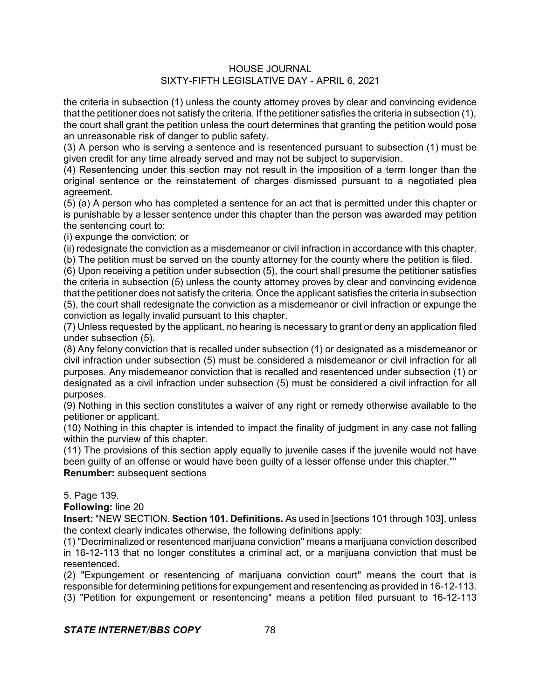the criteria in subsection (1) unless the county attorney proves by clear and convincing evidence that the petitioner does not satisfy the criteria. If the petitioner satisfies the criteria in subsection (1), the court shall grant the petition unless the court determines that granting the petition would pose an unreasonable risk of danger to public safety.

(3) A person who is serving a sentence and is resentenced pursuant to subsection (1) must be given credit for any time already served and may not be subject to supervision.

(4) Resentencing under this section may not result in the imposition of a term longer than the original sentence or the reinstatement of charges dismissed pursuant to a negotiated plea agreement.

(5) (a) A person who has completed a sentence for an act that is permitted under this chapter or is punishable by a lesser sentence under this chapter than the person was awarded may petition the sentencing court to:

(i) expunge the conviction; or

(ii) redesignate the conviction as a misdemeanor or civil infraction in accordance with this chapter.

(b) The petition must be served on the county attorney for the county where the petition is filed.

(6) Upon receiving a petition under subsection (5), the court shall presume the petitioner satisfies the criteria in subsection (5) unless the county attorney proves by clear and convincing evidence that the petitioner does not satisfy the criteria. Once the applicant satisfies the criteria in subsection (5), the court shall redesignate the conviction as a misdemeanor or civil infraction or expunge the conviction as legally invalid pursuant to this chapter.

(7) Unless requested by the applicant, no hearing is necessary to grant or deny an application filed under subsection (5).

(8) Any felony conviction that is recalled under subsection (1) or designated as a misdemeanor or civil infraction under subsection (5) must be considered a misdemeanor or civil infraction for all purposes. Any misdemeanor conviction that is recalled and resentenced under subsection (1) or designated as a civil infraction under subsection (5) must be considered a civil infraction for all purposes.

(9) Nothing in this section constitutes a waiver of any right or remedy otherwise available to the petitioner or applicant.

(10) Nothing in this chapter is intended to impact the finality of judgment in any case not falling within the purview of this chapter.

(11) The provisions of this section apply equally to juvenile cases if the juvenile would not have been guilty of an offense or would have been guilty of a lesser offense under this chapter.""

**Renumber:** subsequent sections

5. Page 139.

**Following:** line 20

**Insert:** "NEW SECTION. **Section 101. Definitions.** As used in [sections 101 through 103], unless the context clearly indicates otherwise, the following definitions apply:

(1) "Decriminalized or resentenced marijuana conviction" means a marijuana conviction described in 16-12-113 that no longer constitutes a criminal act, or a marijuana conviction that must be resentenced.

(2) "Expungement or resentencing of marijuana conviction court" means the court that is responsible for determining petitions for expungement and resentencing as provided in 16-12-113. (3) "Petition for expungement or resentencing" means a petition filed pursuant to 16-12-113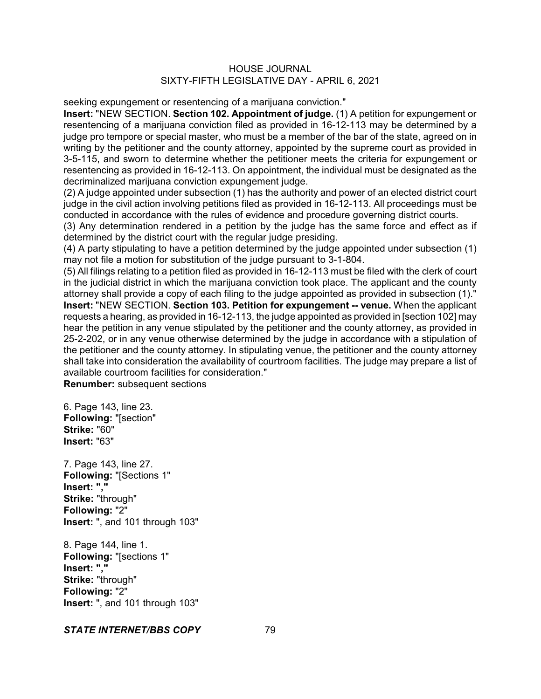seeking expungement or resentencing of a marijuana conviction."

**Insert:** "NEW SECTION. **Section 102. Appointment of judge.** (1) A petition for expungement or resentencing of a marijuana conviction filed as provided in 16-12-113 may be determined by a judge pro tempore or special master, who must be a member of the bar of the state, agreed on in writing by the petitioner and the county attorney, appointed by the supreme court as provided in 3-5-115, and sworn to determine whether the petitioner meets the criteria for expungement or resentencing as provided in 16-12-113. On appointment, the individual must be designated as the decriminalized marijuana conviction expungement judge.

(2) A judge appointed under subsection (1) has the authority and power of an elected district court judge in the civil action involving petitions filed as provided in 16-12-113. All proceedings must be conducted in accordance with the rules of evidence and procedure governing district courts.

(3) Any determination rendered in a petition by the judge has the same force and effect as if determined by the district court with the regular judge presiding.

(4) A party stipulating to have a petition determined by the judge appointed under subsection (1) may not file a motion for substitution of the judge pursuant to 3-1-804.

(5) All filings relating to a petition filed as provided in 16-12-113 must be filed with the clerk of court in the judicial district in which the marijuana conviction took place. The applicant and the county attorney shall provide a copy of each filing to the judge appointed as provided in subsection (1)." **Insert:** "NEW SECTION. **Section 103. Petition for expungement -- venue.** When the applicant requests a hearing, as provided in 16-12-113, the judge appointed as provided in [section 102] may hear the petition in any venue stipulated by the petitioner and the county attorney, as provided in 25-2-202, or in any venue otherwise determined by the judge in accordance with a stipulation of the petitioner and the county attorney. In stipulating venue, the petitioner and the county attorney shall take into consideration the availability of courtroom facilities. The judge may prepare a list of available courtroom facilities for consideration." **Renumber:** subsequent sections

6. Page 143, line 23. **Following:** "[section" **Strike:** "60" **Insert:** "63"

7. Page 143, line 27. **Following:** "[Sections 1" **Insert: "," Strike:** "through" **Following:** "2" **Insert:** ", and 101 through 103"

8. Page 144, line 1. **Following:** "[sections 1" **Insert: "," Strike:** "through" **Following:** "2" **Insert:** ", and 101 through 103"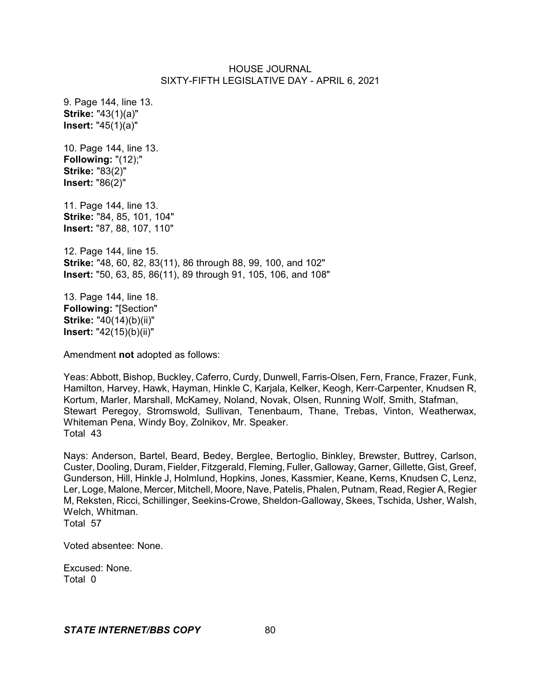9. Page 144, line 13. **Strike:** "43(1)(a)" **Insert:** "45(1)(a)" 10. Page 144, line 13. **Following:** "(12);" **Strike:** "83(2)" **Insert:** "86(2)" 11. Page 144, line 13. **Strike:** "84, 85, 101, 104" **Insert:** "87, 88, 107, 110" 12. Page 144, line 15. **Strike:** "48, 60, 82, 83(11), 86 through 88, 99, 100, and 102" **Insert:** "50, 63, 85, 86(11), 89 through 91, 105, 106, and 108" 13. Page 144, line 18. **Following:** "[Section" **Strike:** "40(14)(b)(ii)" **Insert:** "42(15)(b)(ii)"

Amendment **not** adopted as follows:

Yeas: Abbott, Bishop, Buckley, Caferro, Curdy, Dunwell, Farris-Olsen, Fern, France, Frazer, Funk, Hamilton, Harvey, Hawk, Hayman, Hinkle C, Karjala, Kelker, Keogh, Kerr-Carpenter, Knudsen R, Kortum, Marler, Marshall, McKamey, Noland, Novak, Olsen, Running Wolf, Smith, Stafman, Stewart Peregoy, Stromswold, Sullivan, Tenenbaum, Thane, Trebas, Vinton, Weatherwax, Whiteman Pena, Windy Boy, Zolnikov, Mr. Speaker. Total 43

Nays: Anderson, Bartel, Beard, Bedey, Berglee, Bertoglio, Binkley, Brewster, Buttrey, Carlson, Custer, Dooling, Duram, Fielder, Fitzgerald, Fleming, Fuller,Galloway, Garner, Gillette, Gist, Greef, Gunderson, Hill, Hinkle J, Holmlund, Hopkins, Jones, Kassmier, Keane, Kerns, Knudsen C, Lenz, Ler, Loge, Malone, Mercer, Mitchell, Moore, Nave, Patelis, Phalen, Putnam, Read, Regier A, Regier M, Reksten, Ricci, Schillinger, Seekins-Crowe, Sheldon-Galloway, Skees, Tschida, Usher, Walsh, Welch, Whitman. Total 57

Voted absentee: None.

Excused: None. Total 0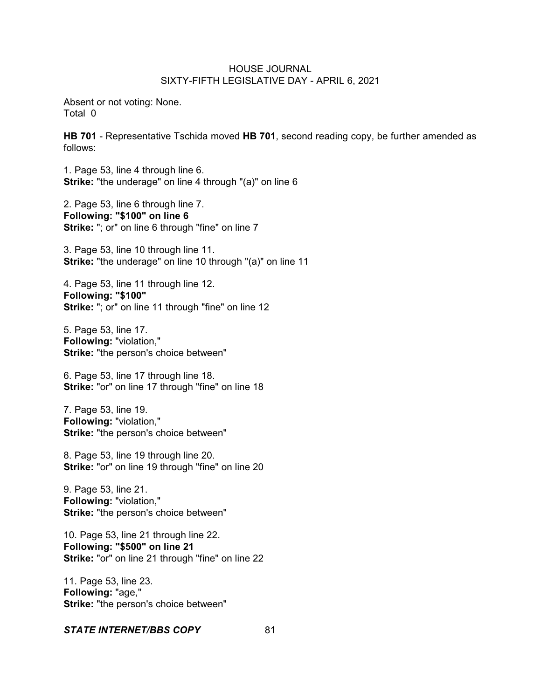Absent or not voting: None. Total 0

**HB 701** - Representative Tschida moved **HB 701**, second reading copy, be further amended as follows:

1. Page 53, line 4 through line 6. **Strike:** "the underage" on line 4 through "(a)" on line 6

2. Page 53, line 6 through line 7. **Following: "\$100" on line 6 Strike:** "; or" on line 6 through "fine" on line 7

3. Page 53, line 10 through line 11. **Strike:** "the underage" on line 10 through "(a)" on line 11

4. Page 53, line 11 through line 12. **Following: "\$100" Strike:** "; or" on line 11 through "fine" on line 12

5. Page 53, line 17. **Following:** "violation," **Strike:** "the person's choice between"

6. Page 53, line 17 through line 18. **Strike:** "or" on line 17 through "fine" on line 18

7. Page 53, line 19. **Following:** "violation," **Strike:** "the person's choice between"

8. Page 53, line 19 through line 20. **Strike:** "or" on line 19 through "fine" on line 20

9. Page 53, line 21. **Following:** "violation," **Strike:** "the person's choice between"

10. Page 53, line 21 through line 22. **Following: "\$500" on line 21 Strike:** "or" on line 21 through "fine" on line 22

11. Page 53, line 23. **Following:** "age," **Strike:** "the person's choice between"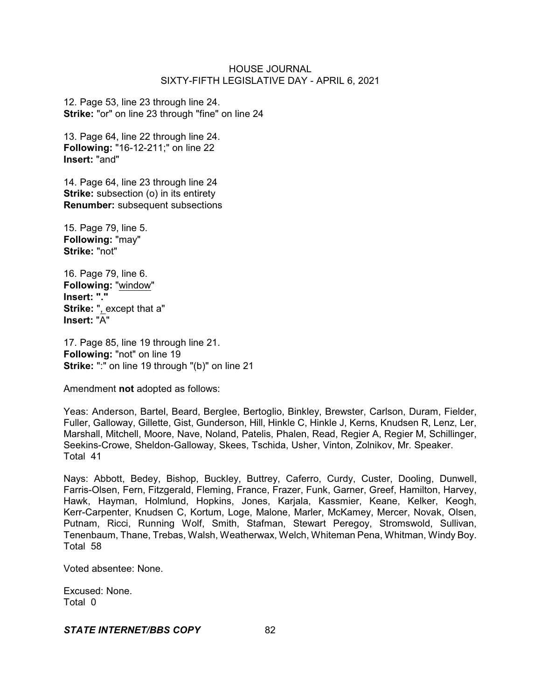12. Page 53, line 23 through line 24. **Strike:** "or" on line 23 through "fine" on line 24

13. Page 64, line 22 through line 24. **Following:** "16-12-211;" on line 22 **Insert:** "and"

14. Page 64, line 23 through line 24 **Strike:** subsection (o) in its entirety **Renumber:** subsequent subsections

15. Page 79, line 5. **Following:** "may" **Strike:** "not"

16. Page 79, line 6. **Following:** "window" **Insert: "." Strike:** ", except that a" **Insert:** "A"

17. Page 85, line 19 through line 21. **Following:** "not" on line 19 **Strike:** ":" on line 19 through "(b)" on line 21

Amendment **not** adopted as follows:

Yeas: Anderson, Bartel, Beard, Berglee, Bertoglio, Binkley, Brewster, Carlson, Duram, Fielder, Fuller, Galloway, Gillette, Gist, Gunderson, Hill, Hinkle C, Hinkle J, Kerns, Knudsen R, Lenz, Ler, Marshall, Mitchell, Moore, Nave, Noland, Patelis, Phalen, Read, Regier A, Regier M, Schillinger, Seekins-Crowe, Sheldon-Galloway, Skees, Tschida, Usher, Vinton, Zolnikov, Mr. Speaker. Total 41

Nays: Abbott, Bedey, Bishop, Buckley, Buttrey, Caferro, Curdy, Custer, Dooling, Dunwell, Farris-Olsen, Fern, Fitzgerald, Fleming, France, Frazer, Funk, Garner, Greef, Hamilton, Harvey, Hawk, Hayman, Holmlund, Hopkins, Jones, Karjala, Kassmier, Keane, Kelker, Keogh, Kerr-Carpenter, Knudsen C, Kortum, Loge, Malone, Marler, McKamey, Mercer, Novak, Olsen, Putnam, Ricci, Running Wolf, Smith, Stafman, Stewart Peregoy, Stromswold, Sullivan, Tenenbaum, Thane, Trebas, Walsh, Weatherwax, Welch, Whiteman Pena, Whitman, Windy Boy. Total 58

Voted absentee: None.

Excused: None. Total 0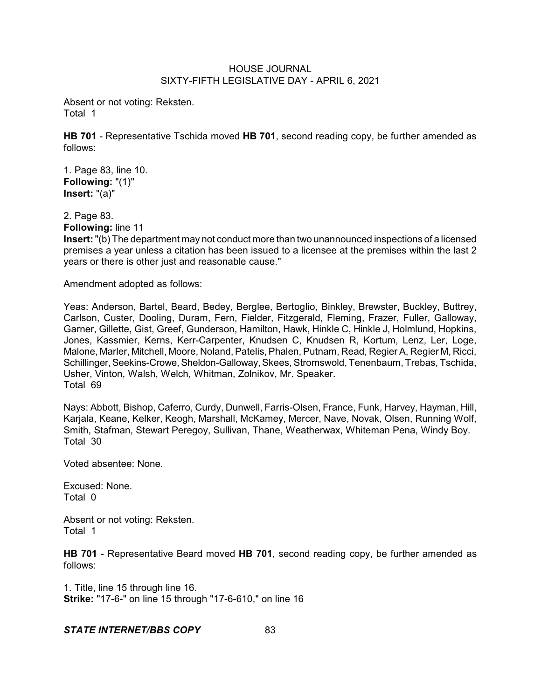Absent or not voting: Reksten. Total 1

**HB 701** - Representative Tschida moved **HB 701**, second reading copy, be further amended as follows:

1. Page 83, line 10. **Following:** "(1)" **Insert:** "(a)"

2. Page 83.

**Following:** line 11

**Insert:**"(b) The department may not conduct more than two unannounced inspections of a licensed premises a year unless a citation has been issued to a licensee at the premises within the last 2 years or there is other just and reasonable cause."

Amendment adopted as follows:

Yeas: Anderson, Bartel, Beard, Bedey, Berglee, Bertoglio, Binkley, Brewster, Buckley, Buttrey, Carlson, Custer, Dooling, Duram, Fern, Fielder, Fitzgerald, Fleming, Frazer, Fuller, Galloway, Garner, Gillette, Gist, Greef, Gunderson, Hamilton, Hawk, Hinkle C, Hinkle J, Holmlund, Hopkins, Jones, Kassmier, Kerns, Kerr-Carpenter, Knudsen C, Knudsen R, Kortum, Lenz, Ler, Loge, Malone, Marler, Mitchell, Moore, Noland, Patelis, Phalen, Putnam, Read, Regier A, Regier M, Ricci, Schillinger, Seekins-Crowe, Sheldon-Galloway, Skees, Stromswold, Tenenbaum, Trebas, Tschida, Usher, Vinton, Walsh, Welch, Whitman, Zolnikov, Mr. Speaker. Total 69

Nays: Abbott, Bishop, Caferro, Curdy, Dunwell, Farris-Olsen, France, Funk, Harvey, Hayman, Hill, Karjala, Keane, Kelker, Keogh, Marshall, McKamey, Mercer, Nave, Novak, Olsen, Running Wolf, Smith, Stafman, Stewart Peregoy, Sullivan, Thane, Weatherwax, Whiteman Pena, Windy Boy. Total 30

Voted absentee: None.

Excused: None. Total 0

Absent or not voting: Reksten. Total 1

**HB 701** - Representative Beard moved **HB 701**, second reading copy, be further amended as follows:

1. Title, line 15 through line 16. **Strike:** "17-6-" on line 15 through "17-6-610," on line 16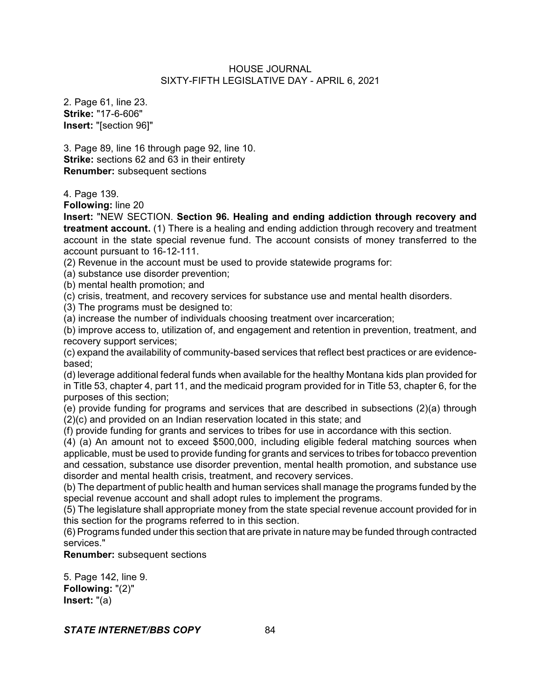2. Page 61, line 23. **Strike:** "17-6-606" **Insert:** "[section 96]"

3. Page 89, line 16 through page 92, line 10. **Strike:** sections 62 and 63 in their entirety **Renumber:** subsequent sections

4. Page 139.

**Following:** line 20

**Insert:** "NEW SECTION. **Section 96. Healing and ending addiction through recovery and treatment account.** (1) There is a healing and ending addiction through recovery and treatment account in the state special revenue fund. The account consists of money transferred to the account pursuant to 16-12-111.

(2) Revenue in the account must be used to provide statewide programs for:

(a) substance use disorder prevention;

(b) mental health promotion; and

(c) crisis, treatment, and recovery services for substance use and mental health disorders.

(3) The programs must be designed to:

(a) increase the number of individuals choosing treatment over incarceration;

(b) improve access to, utilization of, and engagement and retention in prevention, treatment, and recovery support services;

(c) expand the availability of community-based services that reflect best practices or are evidencebased;

(d) leverage additional federal funds when available for the healthy Montana kids plan provided for in Title 53, chapter 4, part 11, and the medicaid program provided for in Title 53, chapter 6, for the purposes of this section;

(e) provide funding for programs and services that are described in subsections (2)(a) through (2)(c) and provided on an Indian reservation located in this state; and

(f) provide funding for grants and services to tribes for use in accordance with this section.

(4) (a) An amount not to exceed \$500,000, including eligible federal matching sources when applicable, must be used to provide funding for grants and services to tribes for tobacco prevention and cessation, substance use disorder prevention, mental health promotion, and substance use disorder and mental health crisis, treatment, and recovery services.

(b) The department of public health and human services shall manage the programs funded by the special revenue account and shall adopt rules to implement the programs.

(5) The legislature shall appropriate money from the state special revenue account provided for in this section for the programs referred to in this section.

(6) Programs funded under this section that are private in nature may be funded through contracted services."

**Renumber:** subsequent sections

5. Page 142, line 9. **Following:** "(2)" **Insert:** "(a)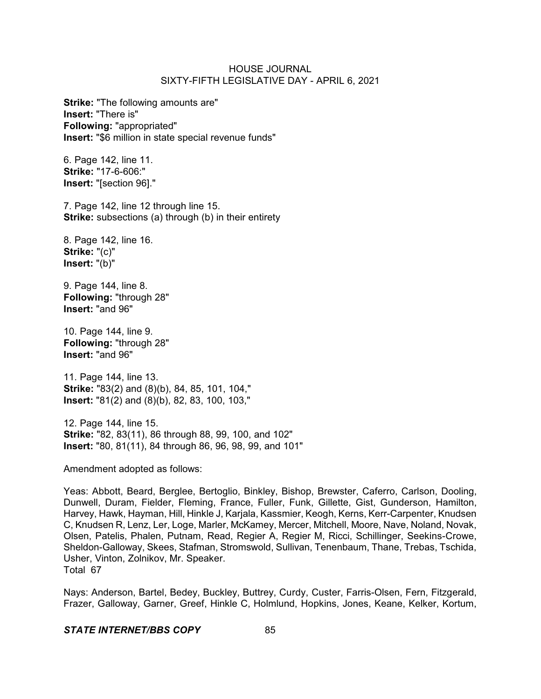**Strike:** "The following amounts are" **Insert:** "There is" **Following:** "appropriated" **Insert:** "\$6 million in state special revenue funds"

6. Page 142, line 11. **Strike:** "17-6-606:" **Insert:** "[section 96]."

7. Page 142, line 12 through line 15. **Strike:** subsections (a) through (b) in their entirety

8. Page 142, line 16. **Strike:** "(c)" **Insert:** "(b)"

9. Page 144, line 8. **Following:** "through 28" **Insert:** "and 96"

10. Page 144, line 9. **Following:** "through 28" **Insert:** "and 96"

11. Page 144, line 13. **Strike:** "83(2) and (8)(b), 84, 85, 101, 104," **Insert:** "81(2) and (8)(b), 82, 83, 100, 103,"

12. Page 144, line 15. **Strike:** "82, 83(11), 86 through 88, 99, 100, and 102" **Insert:** "80, 81(11), 84 through 86, 96, 98, 99, and 101"

Amendment adopted as follows:

Yeas: Abbott, Beard, Berglee, Bertoglio, Binkley, Bishop, Brewster, Caferro, Carlson, Dooling, Dunwell, Duram, Fielder, Fleming, France, Fuller, Funk, Gillette, Gist, Gunderson, Hamilton, Harvey, Hawk, Hayman, Hill, Hinkle J, Karjala, Kassmier, Keogh, Kerns, Kerr-Carpenter, Knudsen C, Knudsen R, Lenz, Ler, Loge, Marler, McKamey, Mercer, Mitchell, Moore, Nave, Noland, Novak, Olsen, Patelis, Phalen, Putnam, Read, Regier A, Regier M, Ricci, Schillinger, Seekins-Crowe, Sheldon-Galloway, Skees, Stafman, Stromswold, Sullivan, Tenenbaum, Thane, Trebas, Tschida, Usher, Vinton, Zolnikov, Mr. Speaker. Total 67

Nays: Anderson, Bartel, Bedey, Buckley, Buttrey, Curdy, Custer, Farris-Olsen, Fern, Fitzgerald, Frazer, Galloway, Garner, Greef, Hinkle C, Holmlund, Hopkins, Jones, Keane, Kelker, Kortum,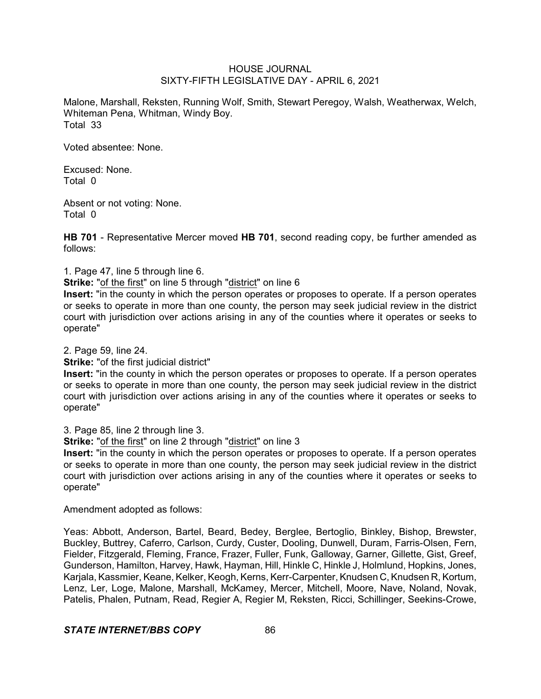Malone, Marshall, Reksten, Running Wolf, Smith, Stewart Peregoy, Walsh, Weatherwax, Welch, Whiteman Pena, Whitman, Windy Boy. Total 33

Voted absentee: None.

Excused: None. Total 0

Absent or not voting: None. Total 0

**HB 701** - Representative Mercer moved **HB 701**, second reading copy, be further amended as follows:

1. Page 47, line 5 through line 6.

**Strike:** "of the first" on line 5 through "district" on line 6

**Insert:** "in the county in which the person operates or proposes to operate. If a person operates or seeks to operate in more than one county, the person may seek judicial review in the district court with jurisdiction over actions arising in any of the counties where it operates or seeks to operate"

2. Page 59, line 24.

**Strike:** "of the first judicial district"

**Insert:** "in the county in which the person operates or proposes to operate. If a person operates or seeks to operate in more than one county, the person may seek judicial review in the district court with jurisdiction over actions arising in any of the counties where it operates or seeks to operate"

3. Page 85, line 2 through line 3.

**Strike:** "of the first" on line 2 through "district" on line 3

**Insert:** "in the county in which the person operates or proposes to operate. If a person operates or seeks to operate in more than one county, the person may seek judicial review in the district court with jurisdiction over actions arising in any of the counties where it operates or seeks to operate"

Amendment adopted as follows:

Yeas: Abbott, Anderson, Bartel, Beard, Bedey, Berglee, Bertoglio, Binkley, Bishop, Brewster, Buckley, Buttrey, Caferro, Carlson, Curdy, Custer, Dooling, Dunwell, Duram, Farris-Olsen, Fern, Fielder, Fitzgerald, Fleming, France, Frazer, Fuller, Funk, Galloway, Garner, Gillette, Gist, Greef, Gunderson, Hamilton, Harvey, Hawk, Hayman, Hill, Hinkle C, Hinkle J, Holmlund, Hopkins, Jones, Karjala, Kassmier, Keane, Kelker, Keogh, Kerns, Kerr-Carpenter, Knudsen C, Knudsen R, Kortum, Lenz, Ler, Loge, Malone, Marshall, McKamey, Mercer, Mitchell, Moore, Nave, Noland, Novak, Patelis, Phalen, Putnam, Read, Regier A, Regier M, Reksten, Ricci, Schillinger, Seekins-Crowe,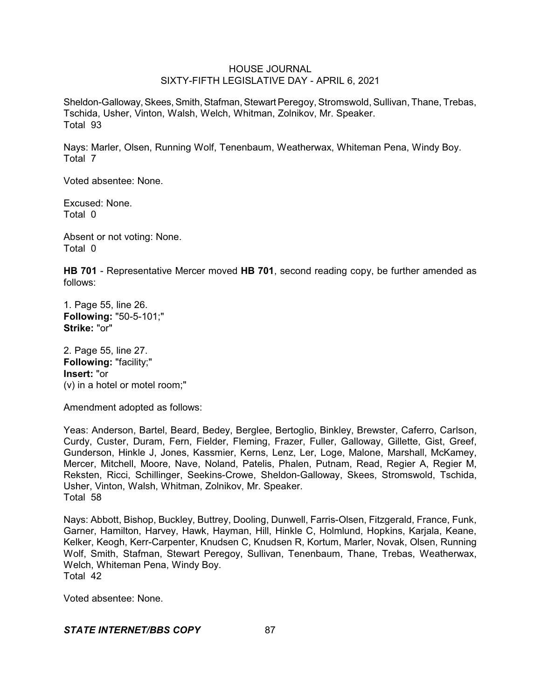Sheldon-Galloway, Skees, Smith, Stafman, Stewart Peregoy, Stromswold, Sullivan, Thane, Trebas, Tschida, Usher, Vinton, Walsh, Welch, Whitman, Zolnikov, Mr. Speaker. Total 93

Nays: Marler, Olsen, Running Wolf, Tenenbaum, Weatherwax, Whiteman Pena, Windy Boy. Total 7

Voted absentee: None.

Excused: None. Total 0

Absent or not voting: None. Total 0

**HB 701** - Representative Mercer moved **HB 701**, second reading copy, be further amended as follows:

1. Page 55, line 26. **Following:** "50-5-101;" **Strike:** "or"

2. Page 55, line 27. **Following:** "facility;" **Insert:** "or (v) in a hotel or motel room;"

Amendment adopted as follows:

Yeas: Anderson, Bartel, Beard, Bedey, Berglee, Bertoglio, Binkley, Brewster, Caferro, Carlson, Curdy, Custer, Duram, Fern, Fielder, Fleming, Frazer, Fuller, Galloway, Gillette, Gist, Greef, Gunderson, Hinkle J, Jones, Kassmier, Kerns, Lenz, Ler, Loge, Malone, Marshall, McKamey, Mercer, Mitchell, Moore, Nave, Noland, Patelis, Phalen, Putnam, Read, Regier A, Regier M, Reksten, Ricci, Schillinger, Seekins-Crowe, Sheldon-Galloway, Skees, Stromswold, Tschida, Usher, Vinton, Walsh, Whitman, Zolnikov, Mr. Speaker. Total 58

Nays: Abbott, Bishop, Buckley, Buttrey, Dooling, Dunwell, Farris-Olsen, Fitzgerald, France, Funk, Garner, Hamilton, Harvey, Hawk, Hayman, Hill, Hinkle C, Holmlund, Hopkins, Karjala, Keane, Kelker, Keogh, Kerr-Carpenter, Knudsen C, Knudsen R, Kortum, Marler, Novak, Olsen, Running Wolf, Smith, Stafman, Stewart Peregoy, Sullivan, Tenenbaum, Thane, Trebas, Weatherwax, Welch, Whiteman Pena, Windy Boy. Total 42

Voted absentee: None.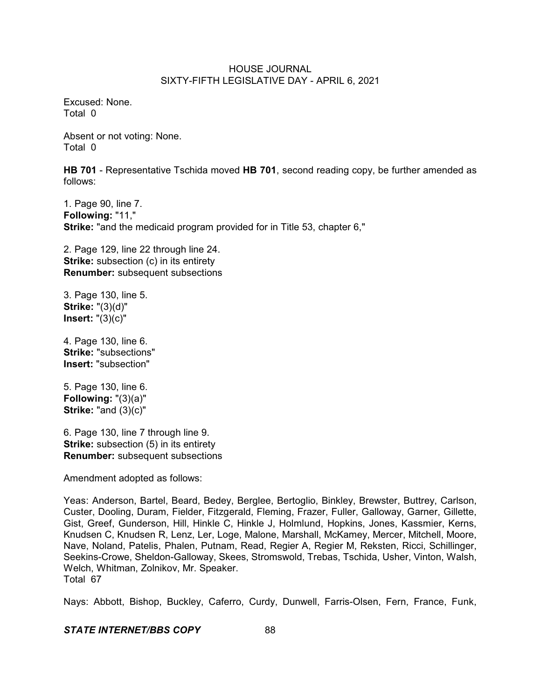Excused: None. Total 0

Absent or not voting: None. Total 0

**HB 701** - Representative Tschida moved **HB 701**, second reading copy, be further amended as follows:

1. Page 90, line 7. **Following:** "11," **Strike:** "and the medicaid program provided for in Title 53, chapter 6,"

2. Page 129, line 22 through line 24. **Strike:** subsection (c) in its entirety **Renumber:** subsequent subsections

3. Page 130, line 5. **Strike:** "(3)(d)" **Insert:** "(3)(c)"

4. Page 130, line 6. **Strike:** "subsections" **Insert:** "subsection"

5. Page 130, line 6. **Following:** "(3)(a)" **Strike:** "and (3)(c)"

6. Page 130, line 7 through line 9. **Strike:** subsection (5) in its entirety **Renumber:** subsequent subsections

Amendment adopted as follows:

Yeas: Anderson, Bartel, Beard, Bedey, Berglee, Bertoglio, Binkley, Brewster, Buttrey, Carlson, Custer, Dooling, Duram, Fielder, Fitzgerald, Fleming, Frazer, Fuller, Galloway, Garner, Gillette, Gist, Greef, Gunderson, Hill, Hinkle C, Hinkle J, Holmlund, Hopkins, Jones, Kassmier, Kerns, Knudsen C, Knudsen R, Lenz, Ler, Loge, Malone, Marshall, McKamey, Mercer, Mitchell, Moore, Nave, Noland, Patelis, Phalen, Putnam, Read, Regier A, Regier M, Reksten, Ricci, Schillinger, Seekins-Crowe, Sheldon-Galloway, Skees, Stromswold, Trebas, Tschida, Usher, Vinton, Walsh, Welch, Whitman, Zolnikov, Mr. Speaker. Total 67

Nays: Abbott, Bishop, Buckley, Caferro, Curdy, Dunwell, Farris-Olsen, Fern, France, Funk,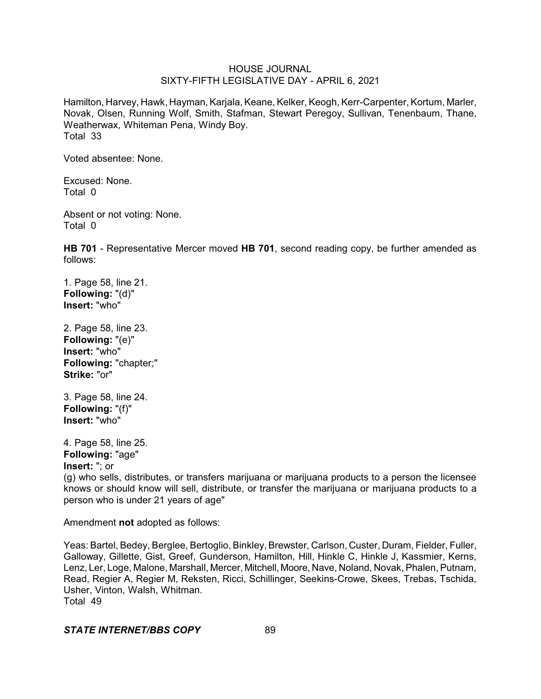Hamilton, Harvey, Hawk, Hayman, Karjala, Keane, Kelker, Keogh, Kerr-Carpenter, Kortum, Marler, Novak, Olsen, Running Wolf, Smith, Stafman, Stewart Peregoy, Sullivan, Tenenbaum, Thane, Weatherwax, Whiteman Pena, Windy Boy. Total 33

Voted absentee: None.

Excused: None. Total 0

Absent or not voting: None. Total 0

**HB 701** - Representative Mercer moved **HB 701**, second reading copy, be further amended as follows:

1. Page 58, line 21. **Following:** "(d)" **Insert:** "who"

2. Page 58, line 23. **Following:** "(e)" **Insert:** "who" **Following:** "chapter;" **Strike:** "or"

3. Page 58, line 24. **Following:** "(f)" **Insert:** "who"

4. Page 58, line 25. **Following:** "age" **Insert:** "; or

(g) who sells, distributes, or transfers marijuana or marijuana products to a person the licensee knows or should know will sell, distribute, or transfer the marijuana or marijuana products to a person who is under 21 years of age"

Amendment **not** adopted as follows:

Yeas: Bartel, Bedey, Berglee, Bertoglio, Binkley, Brewster, Carlson, Custer, Duram, Fielder, Fuller, Galloway, Gillette, Gist, Greef, Gunderson, Hamilton, Hill, Hinkle C, Hinkle J, Kassmier, Kerns, Lenz, Ler, Loge, Malone, Marshall, Mercer, Mitchell, Moore, Nave, Noland, Novak, Phalen, Putnam, Read, Regier A, Regier M, Reksten, Ricci, Schillinger, Seekins-Crowe, Skees, Trebas, Tschida, Usher, Vinton, Walsh, Whitman. Total 49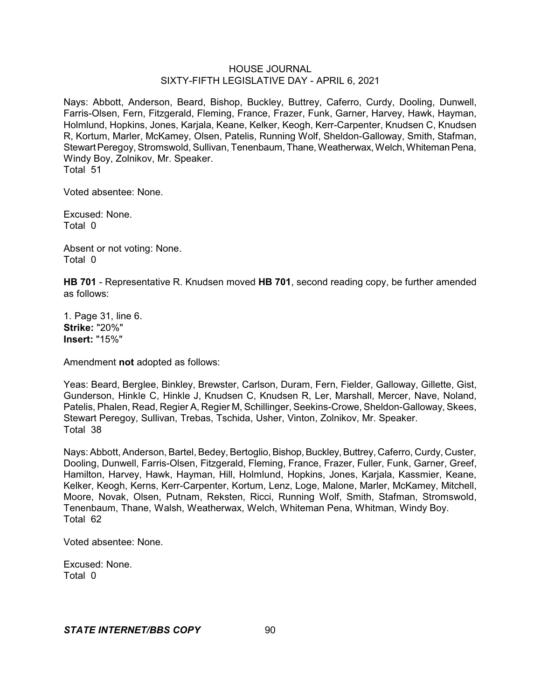Nays: Abbott, Anderson, Beard, Bishop, Buckley, Buttrey, Caferro, Curdy, Dooling, Dunwell, Farris-Olsen, Fern, Fitzgerald, Fleming, France, Frazer, Funk, Garner, Harvey, Hawk, Hayman, Holmlund, Hopkins, Jones, Karjala, Keane, Kelker, Keogh, Kerr-Carpenter, Knudsen C, Knudsen R, Kortum, Marler, McKamey, Olsen, Patelis, Running Wolf, Sheldon-Galloway, Smith, Stafman, Stewart Peregoy, Stromswold, Sullivan, Tenenbaum, Thane, Weatherwax, Welch, Whiteman Pena, Windy Boy, Zolnikov, Mr. Speaker. Total 51

Voted absentee: None.

Excused: None. Total 0

Absent or not voting: None. Total 0

**HB 701** - Representative R. Knudsen moved **HB 701**, second reading copy, be further amended as follows:

1. Page 31, line 6. **Strike:** "20%" **Insert:** "15%"

Amendment **not** adopted as follows:

Yeas: Beard, Berglee, Binkley, Brewster, Carlson, Duram, Fern, Fielder, Galloway, Gillette, Gist, Gunderson, Hinkle C, Hinkle J, Knudsen C, Knudsen R, Ler, Marshall, Mercer, Nave, Noland, Patelis, Phalen, Read, Regier A, Regier M, Schillinger, Seekins-Crowe, Sheldon-Galloway, Skees, Stewart Peregoy, Sullivan, Trebas, Tschida, Usher, Vinton, Zolnikov, Mr. Speaker. Total 38

Nays: Abbott, Anderson, Bartel, Bedey, Bertoglio, Bishop, Buckley, Buttrey, Caferro, Curdy, Custer, Dooling, Dunwell, Farris-Olsen, Fitzgerald, Fleming, France, Frazer, Fuller, Funk, Garner, Greef, Hamilton, Harvey, Hawk, Hayman, Hill, Holmlund, Hopkins, Jones, Karjala, Kassmier, Keane, Kelker, Keogh, Kerns, Kerr-Carpenter, Kortum, Lenz, Loge, Malone, Marler, McKamey, Mitchell, Moore, Novak, Olsen, Putnam, Reksten, Ricci, Running Wolf, Smith, Stafman, Stromswold, Tenenbaum, Thane, Walsh, Weatherwax, Welch, Whiteman Pena, Whitman, Windy Boy. Total 62

Voted absentee: None.

Excused: None. Total 0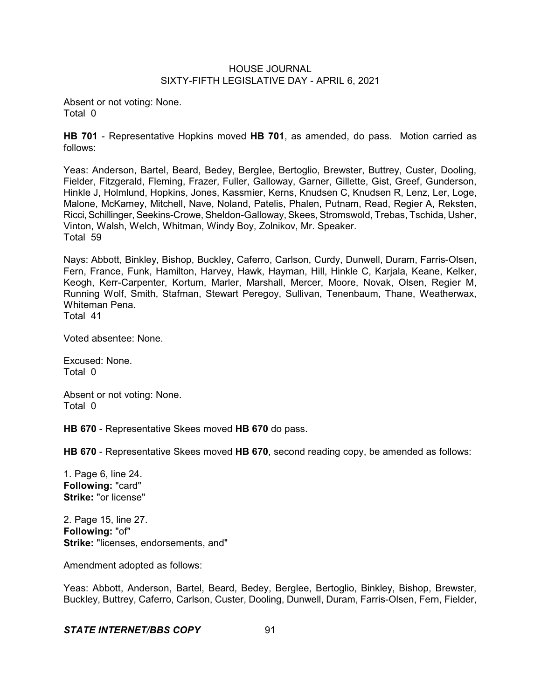Absent or not voting: None. Total 0

**HB 701** - Representative Hopkins moved **HB 701**, as amended, do pass. Motion carried as follows:

Yeas: Anderson, Bartel, Beard, Bedey, Berglee, Bertoglio, Brewster, Buttrey, Custer, Dooling, Fielder, Fitzgerald, Fleming, Frazer, Fuller, Galloway, Garner, Gillette, Gist, Greef, Gunderson, Hinkle J, Holmlund, Hopkins, Jones, Kassmier, Kerns, Knudsen C, Knudsen R, Lenz, Ler, Loge, Malone, McKamey, Mitchell, Nave, Noland, Patelis, Phalen, Putnam, Read, Regier A, Reksten, Ricci, Schillinger, Seekins-Crowe, Sheldon-Galloway, Skees, Stromswold, Trebas, Tschida, Usher, Vinton, Walsh, Welch, Whitman, Windy Boy, Zolnikov, Mr. Speaker. Total 59

Nays: Abbott, Binkley, Bishop, Buckley, Caferro, Carlson, Curdy, Dunwell, Duram, Farris-Olsen, Fern, France, Funk, Hamilton, Harvey, Hawk, Hayman, Hill, Hinkle C, Karjala, Keane, Kelker, Keogh, Kerr-Carpenter, Kortum, Marler, Marshall, Mercer, Moore, Novak, Olsen, Regier M, Running Wolf, Smith, Stafman, Stewart Peregoy, Sullivan, Tenenbaum, Thane, Weatherwax, Whiteman Pena. Total 41

Voted absentee: None.

Excused: None. Total 0

Absent or not voting: None. Total 0

**HB 670** - Representative Skees moved **HB 670** do pass.

**HB 670** - Representative Skees moved **HB 670**, second reading copy, be amended as follows:

1. Page 6, line 24. **Following:** "card" **Strike:** "or license"

2. Page 15, line 27. **Following:** "of" **Strike:** "licenses, endorsements, and"

Amendment adopted as follows:

Yeas: Abbott, Anderson, Bartel, Beard, Bedey, Berglee, Bertoglio, Binkley, Bishop, Brewster, Buckley, Buttrey, Caferro, Carlson, Custer, Dooling, Dunwell, Duram, Farris-Olsen, Fern, Fielder,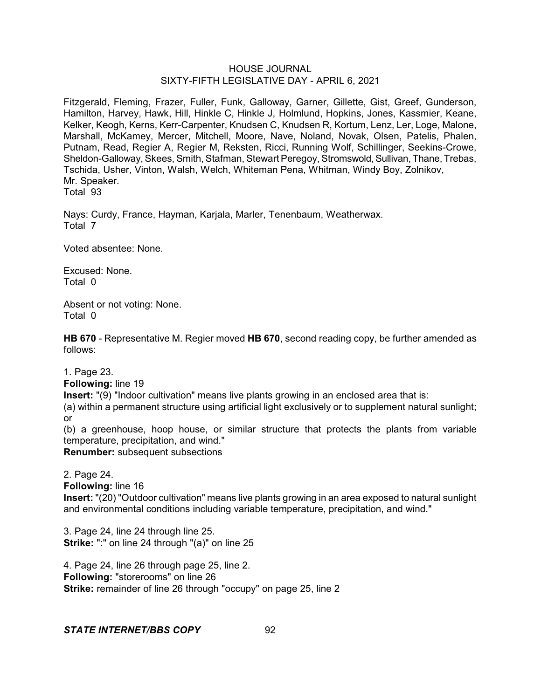Fitzgerald, Fleming, Frazer, Fuller, Funk, Galloway, Garner, Gillette, Gist, Greef, Gunderson, Hamilton, Harvey, Hawk, Hill, Hinkle C, Hinkle J, Holmlund, Hopkins, Jones, Kassmier, Keane, Kelker, Keogh, Kerns, Kerr-Carpenter, Knudsen C, Knudsen R, Kortum, Lenz, Ler, Loge, Malone, Marshall, McKamey, Mercer, Mitchell, Moore, Nave, Noland, Novak, Olsen, Patelis, Phalen, Putnam, Read, Regier A, Regier M, Reksten, Ricci, Running Wolf, Schillinger, Seekins-Crowe, Sheldon-Galloway, Skees, Smith, Stafman, Stewart Peregoy, Stromswold, Sullivan, Thane, Trebas, Tschida, Usher, Vinton, Walsh, Welch, Whiteman Pena, Whitman, Windy Boy, Zolnikov, Mr. Speaker.

Total 93

Nays: Curdy, France, Hayman, Karjala, Marler, Tenenbaum, Weatherwax. Total 7

Voted absentee: None.

Excused: None. Total 0

Absent or not voting: None. Total 0

**HB 670** - Representative M. Regier moved **HB 670**, second reading copy, be further amended as follows:

1. Page 23.

**Following:** line 19

**Insert:** "(9) "Indoor cultivation" means live plants growing in an enclosed area that is:

(a) within a permanent structure using artificial light exclusively or to supplement natural sunlight; or

(b) a greenhouse, hoop house, or similar structure that protects the plants from variable temperature, precipitation, and wind."

**Renumber:** subsequent subsections

2. Page 24. **Following:** line 16 **Insert:** "(20) "Outdoor cultivation" means live plants growing in an area exposed to natural sunlight and environmental conditions including variable temperature, precipitation, and wind."

3. Page 24, line 24 through line 25. **Strike:** ":" on line 24 through "(a)" on line 25

4. Page 24, line 26 through page 25, line 2. **Following:** "storerooms" on line 26 **Strike:** remainder of line 26 through "occupy" on page 25, line 2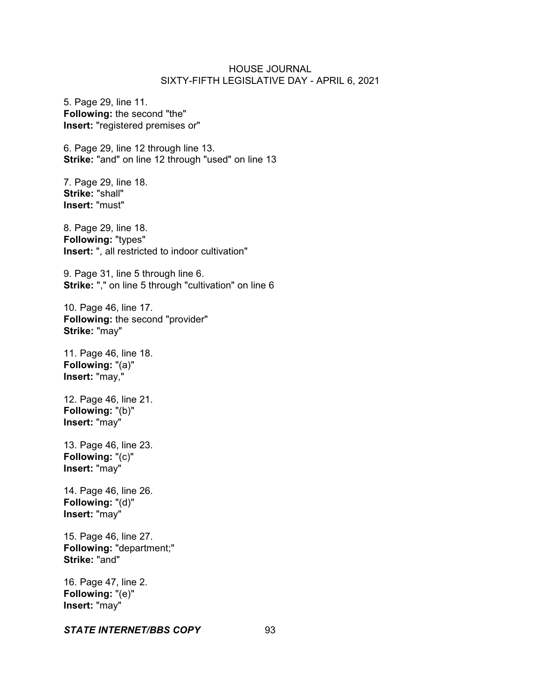5. Page 29, line 11. **Following:** the second "the" **Insert:** "registered premises or"

6. Page 29, line 12 through line 13. **Strike:** "and" on line 12 through "used" on line 13

7. Page 29, line 18. **Strike:** "shall" **Insert:** "must"

8. Page 29, line 18. **Following:** "types" **Insert:** ", all restricted to indoor cultivation"

9. Page 31, line 5 through line 6. **Strike:** "," on line 5 through "cultivation" on line 6

10. Page 46, line 17. **Following:** the second "provider" **Strike:** "may"

11. Page 46, line 18. **Following:** "(a)" **Insert:** "may,"

12. Page 46, line 21. **Following:** "(b)" **Insert:** "may"

13. Page 46, line 23. **Following:** "(c)" **Insert:** "may"

14. Page 46, line 26. **Following:** "(d)" **Insert:** "may"

15. Page 46, line 27. **Following:** "department;" **Strike:** "and"

16. Page 47, line 2. **Following:** "(e)" **Insert:** "may"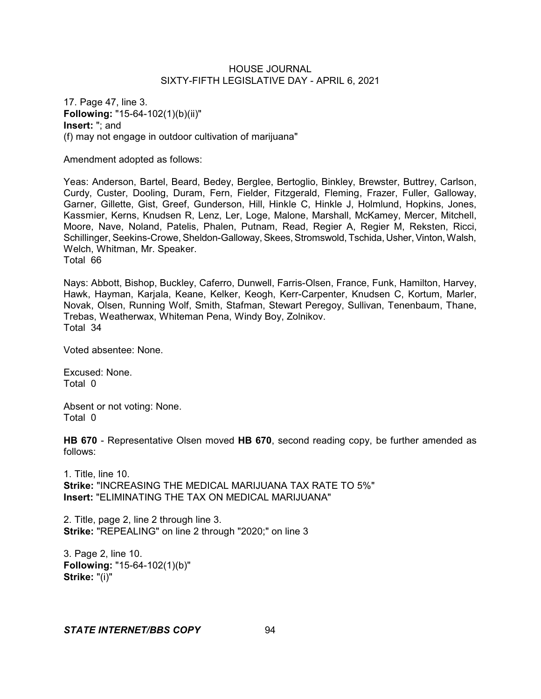17. Page 47, line 3. **Following:** "15-64-102(1)(b)(ii)" **Insert:** "; and (f) may not engage in outdoor cultivation of marijuana"

Amendment adopted as follows:

Yeas: Anderson, Bartel, Beard, Bedey, Berglee, Bertoglio, Binkley, Brewster, Buttrey, Carlson, Curdy, Custer, Dooling, Duram, Fern, Fielder, Fitzgerald, Fleming, Frazer, Fuller, Galloway, Garner, Gillette, Gist, Greef, Gunderson, Hill, Hinkle C, Hinkle J, Holmlund, Hopkins, Jones, Kassmier, Kerns, Knudsen R, Lenz, Ler, Loge, Malone, Marshall, McKamey, Mercer, Mitchell, Moore, Nave, Noland, Patelis, Phalen, Putnam, Read, Regier A, Regier M, Reksten, Ricci, Schillinger, Seekins-Crowe, Sheldon-Galloway, Skees, Stromswold, Tschida, Usher, Vinton, Walsh, Welch, Whitman, Mr. Speaker. Total 66

Nays: Abbott, Bishop, Buckley, Caferro, Dunwell, Farris-Olsen, France, Funk, Hamilton, Harvey, Hawk, Hayman, Karjala, Keane, Kelker, Keogh, Kerr-Carpenter, Knudsen C, Kortum, Marler, Novak, Olsen, Running Wolf, Smith, Stafman, Stewart Peregoy, Sullivan, Tenenbaum, Thane, Trebas, Weatherwax, Whiteman Pena, Windy Boy, Zolnikov. Total 34

Voted absentee: None.

Excused: None. Total 0

Absent or not voting: None. Total 0

**HB 670** - Representative Olsen moved **HB 670**, second reading copy, be further amended as follows:

1. Title, line 10. **Strike:** "INCREASING THE MEDICAL MARIJUANA TAX RATE TO 5%" **Insert:** "ELIMINATING THE TAX ON MEDICAL MARIJUANA"

2. Title, page 2, line 2 through line 3. **Strike:** "REPEALING" on line 2 through "2020;" on line 3

3. Page 2, line 10. **Following:** "15-64-102(1)(b)" **Strike:** "(i)"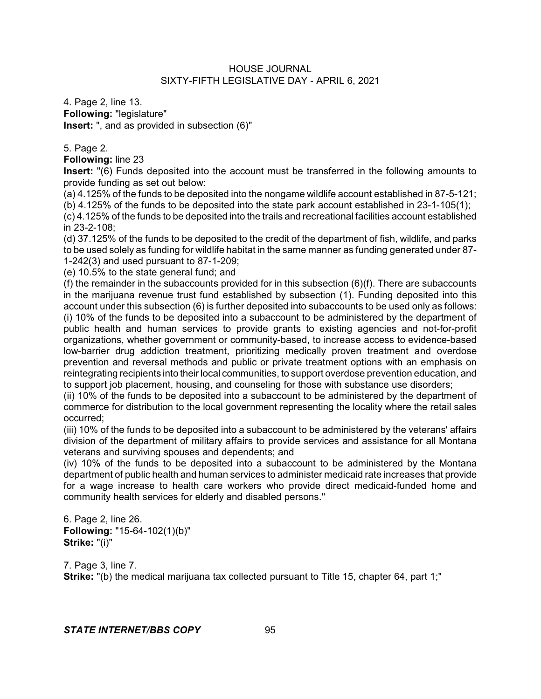4. Page 2, line 13. **Following:** "legislature" **Insert:** ", and as provided in subsection (6)"

5. Page 2.

**Following:** line 23

**Insert:** "(6) Funds deposited into the account must be transferred in the following amounts to provide funding as set out below:

(a) 4.125% of the funds to be deposited into the nongame wildlife account established in 87-5-121;

(b) 4.125% of the funds to be deposited into the state park account established in 23-1-105(1);

(c) 4.125% of the funds to be deposited into the trails and recreational facilities account established in 23-2-108;

(d) 37.125% of the funds to be deposited to the credit of the department of fish, wildlife, and parks to be used solely as funding for wildlife habitat in the same manner as funding generated under 87- 1-242(3) and used pursuant to 87-1-209;

(e) 10.5% to the state general fund; and

(f) the remainder in the subaccounts provided for in this subsection (6)(f). There are subaccounts in the marijuana revenue trust fund established by subsection (1). Funding deposited into this account under this subsection (6) is further deposited into subaccounts to be used only as follows: (i) 10% of the funds to be deposited into a subaccount to be administered by the department of public health and human services to provide grants to existing agencies and not-for-profit organizations, whether government or community-based, to increase access to evidence-based low-barrier drug addiction treatment, prioritizing medically proven treatment and overdose prevention and reversal methods and public or private treatment options with an emphasis on reintegrating recipients into their local communities, to support overdose prevention education, and to support job placement, housing, and counseling for those with substance use disorders;

(ii) 10% of the funds to be deposited into a subaccount to be administered by the department of commerce for distribution to the local government representing the locality where the retail sales occurred;

(iii) 10% of the funds to be deposited into a subaccount to be administered by the veterans' affairs division of the department of military affairs to provide services and assistance for all Montana veterans and surviving spouses and dependents; and

(iv) 10% of the funds to be deposited into a subaccount to be administered by the Montana department of public health and human services to administer medicaid rate increases that provide for a wage increase to health care workers who provide direct medicaid-funded home and community health services for elderly and disabled persons."

6. Page 2, line 26. **Following:** "15-64-102(1)(b)" **Strike:** "(i)"

7. Page 3, line 7. **Strike:** "(b) the medical marijuana tax collected pursuant to Title 15, chapter 64, part 1;"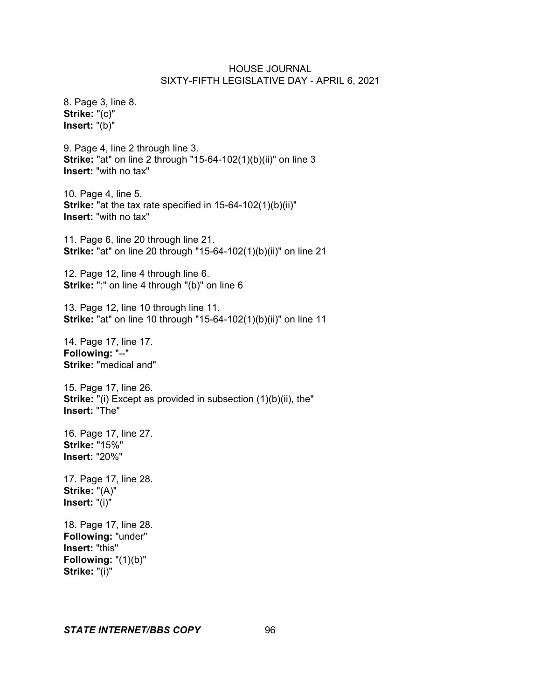8. Page 3, line 8. **Strike:** "(c)" **Insert:** "(b)"

9. Page 4, line 2 through line 3. **Strike:** "at" on line 2 through "15-64-102(1)(b)(ii)" on line 3 **Insert:** "with no tax"

10. Page 4, line 5. **Strike:** "at the tax rate specified in 15-64-102(1)(b)(ii)" **Insert:** "with no tax"

11. Page 6, line 20 through line 21. **Strike:** "at" on line 20 through "15-64-102(1)(b)(ii)" on line 21

12. Page 12, line 4 through line 6. **Strike:** ":" on line 4 through "(b)" on line 6

13. Page 12, line 10 through line 11. **Strike:** "at" on line 10 through "15-64-102(1)(b)(ii)" on line 11

14. Page 17, line 17. **Following:** "--" **Strike:** "medical and"

15. Page 17, line 26. **Strike:** "(i) Except as provided in subsection (1)(b)(ii), the" **Insert:** "The"

16. Page 17, line 27. **Strike:** "15%" **Insert:** "20%"

17. Page 17, line 28. **Strike:** "(A)" **Insert:** "(i)"

18. Page 17, line 28. **Following:** "under" **Insert:** "this" **Following:** "(1)(b)" **Strike:** "(i)"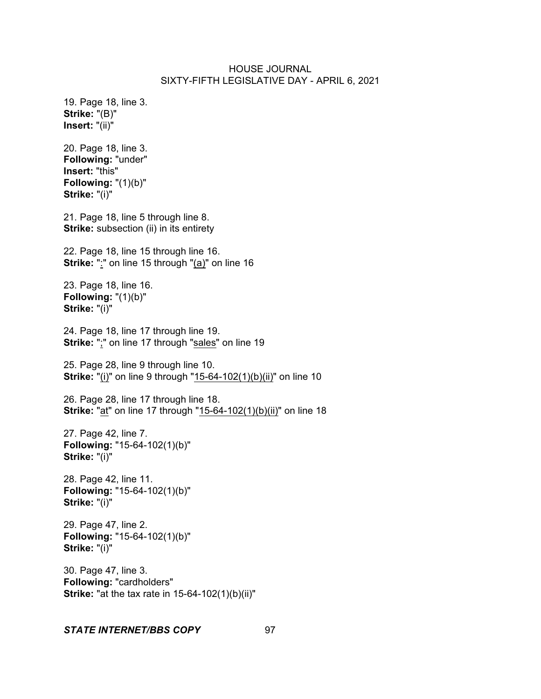19. Page 18, line 3. **Strike:** "(B)" **Insert:** "(ii)"

20. Page 18, line 3. **Following:** "under" **Insert:** "this" **Following:** "(1)(b)" **Strike:** "(i)"

21. Page 18, line 5 through line 8. **Strike:** subsection (ii) in its entirety

22. Page 18, line 15 through line 16. **Strike:** ":" on line 15 through "(a)" on line 16

23. Page 18, line 16. **Following:** "(1)(b)" **Strike:** "(i)"

24. Page 18, line 17 through line 19. **Strike:** ";" on line 17 through "sales" on line 19

25. Page 28, line 9 through line 10. **Strike:** "(i)" on line 9 through "15-64-102(1)(b)(ii)" on line 10

26. Page 28, line 17 through line 18. **Strike:** "at" on line 17 through "15-64-102(1)(b)(ii)" on line 18

27. Page 42, line 7. **Following:** "15-64-102(1)(b)" **Strike:** "(i)"

28. Page 42, line 11. **Following:** "15-64-102(1)(b)" **Strike:** "(i)"

29. Page 47, line 2. **Following:** "15-64-102(1)(b)" **Strike:** "(i)"

30. Page 47, line 3. **Following:** "cardholders" **Strike:** "at the tax rate in 15-64-102(1)(b)(ii)"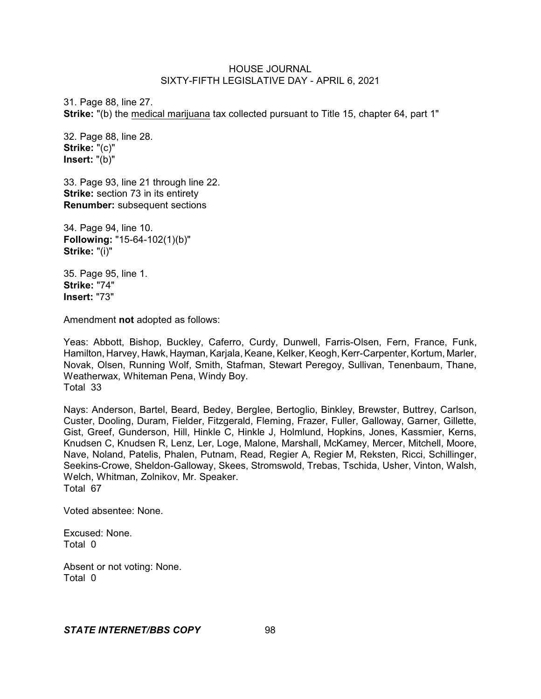31. Page 88, line 27. **Strike:** "(b) the medical marijuana tax collected pursuant to Title 15, chapter 64, part 1"

32. Page 88, line 28. **Strike:** "(c)" **Insert:** "(b)"

33. Page 93, line 21 through line 22. **Strike:** section 73 in its entirety **Renumber:** subsequent sections

34. Page 94, line 10. **Following:** "15-64-102(1)(b)" **Strike:** "(i)"

35. Page 95, line 1. **Strike:** "74" **Insert:** "73"

Amendment **not** adopted as follows:

Yeas: Abbott, Bishop, Buckley, Caferro, Curdy, Dunwell, Farris-Olsen, Fern, France, Funk, Hamilton, Harvey, Hawk, Hayman, Karjala, Keane, Kelker, Keogh, Kerr-Carpenter, Kortum, Marler, Novak, Olsen, Running Wolf, Smith, Stafman, Stewart Peregoy, Sullivan, Tenenbaum, Thane, Weatherwax, Whiteman Pena, Windy Boy. Total 33

Nays: Anderson, Bartel, Beard, Bedey, Berglee, Bertoglio, Binkley, Brewster, Buttrey, Carlson, Custer, Dooling, Duram, Fielder, Fitzgerald, Fleming, Frazer, Fuller, Galloway, Garner, Gillette, Gist, Greef, Gunderson, Hill, Hinkle C, Hinkle J, Holmlund, Hopkins, Jones, Kassmier, Kerns, Knudsen C, Knudsen R, Lenz, Ler, Loge, Malone, Marshall, McKamey, Mercer, Mitchell, Moore, Nave, Noland, Patelis, Phalen, Putnam, Read, Regier A, Regier M, Reksten, Ricci, Schillinger, Seekins-Crowe, Sheldon-Galloway, Skees, Stromswold, Trebas, Tschida, Usher, Vinton, Walsh, Welch, Whitman, Zolnikov, Mr. Speaker. Total 67

Voted absentee: None.

Excused: None. Total 0

Absent or not voting: None. Total 0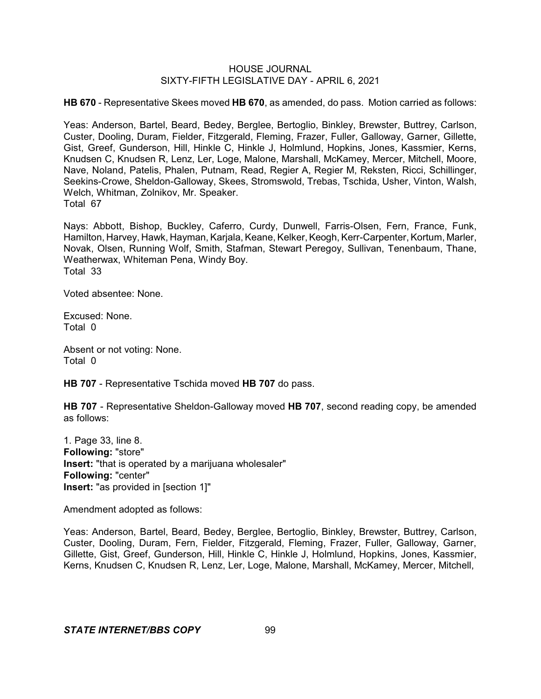**HB 670** - Representative Skees moved **HB 670**, as amended, do pass. Motion carried as follows:

Yeas: Anderson, Bartel, Beard, Bedey, Berglee, Bertoglio, Binkley, Brewster, Buttrey, Carlson, Custer, Dooling, Duram, Fielder, Fitzgerald, Fleming, Frazer, Fuller, Galloway, Garner, Gillette, Gist, Greef, Gunderson, Hill, Hinkle C, Hinkle J, Holmlund, Hopkins, Jones, Kassmier, Kerns, Knudsen C, Knudsen R, Lenz, Ler, Loge, Malone, Marshall, McKamey, Mercer, Mitchell, Moore, Nave, Noland, Patelis, Phalen, Putnam, Read, Regier A, Regier M, Reksten, Ricci, Schillinger, Seekins-Crowe, Sheldon-Galloway, Skees, Stromswold, Trebas, Tschida, Usher, Vinton, Walsh, Welch, Whitman, Zolnikov, Mr. Speaker. Total 67

Nays: Abbott, Bishop, Buckley, Caferro, Curdy, Dunwell, Farris-Olsen, Fern, France, Funk, Hamilton, Harvey, Hawk, Hayman, Karjala, Keane, Kelker, Keogh, Kerr-Carpenter, Kortum, Marler, Novak, Olsen, Running Wolf, Smith, Stafman, Stewart Peregoy, Sullivan, Tenenbaum, Thane, Weatherwax, Whiteman Pena, Windy Boy. Total 33

Voted absentee: None.

Excused: None. Total 0

Absent or not voting: None. Total 0

**HB 707** - Representative Tschida moved **HB 707** do pass.

**HB 707** - Representative Sheldon-Galloway moved **HB 707**, second reading copy, be amended as follows:

1. Page 33, line 8. **Following:** "store" **Insert:** "that is operated by a marijuana wholesaler" **Following:** "center" **Insert:** "as provided in [section 1]"

Amendment adopted as follows:

Yeas: Anderson, Bartel, Beard, Bedey, Berglee, Bertoglio, Binkley, Brewster, Buttrey, Carlson, Custer, Dooling, Duram, Fern, Fielder, Fitzgerald, Fleming, Frazer, Fuller, Galloway, Garner, Gillette, Gist, Greef, Gunderson, Hill, Hinkle C, Hinkle J, Holmlund, Hopkins, Jones, Kassmier, Kerns, Knudsen C, Knudsen R, Lenz, Ler, Loge, Malone, Marshall, McKamey, Mercer, Mitchell,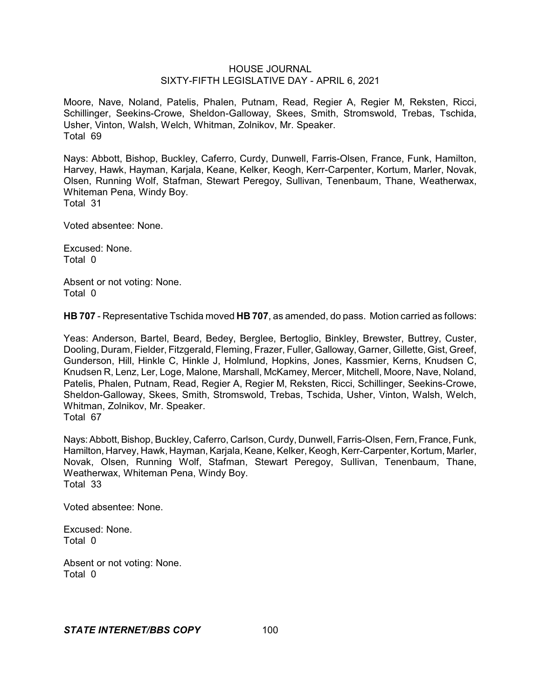Moore, Nave, Noland, Patelis, Phalen, Putnam, Read, Regier A, Regier M, Reksten, Ricci, Schillinger, Seekins-Crowe, Sheldon-Galloway, Skees, Smith, Stromswold, Trebas, Tschida, Usher, Vinton, Walsh, Welch, Whitman, Zolnikov, Mr. Speaker. Total 69

Nays: Abbott, Bishop, Buckley, Caferro, Curdy, Dunwell, Farris-Olsen, France, Funk, Hamilton, Harvey, Hawk, Hayman, Karjala, Keane, Kelker, Keogh, Kerr-Carpenter, Kortum, Marler, Novak, Olsen, Running Wolf, Stafman, Stewart Peregoy, Sullivan, Tenenbaum, Thane, Weatherwax, Whiteman Pena, Windy Boy. Total 31

Voted absentee: None.

Excused: None. Total 0

Absent or not voting: None. Total 0

**HB 707** - Representative Tschida moved **HB 707**, as amended, do pass. Motion carried as follows:

Yeas: Anderson, Bartel, Beard, Bedey, Berglee, Bertoglio, Binkley, Brewster, Buttrey, Custer, Dooling, Duram, Fielder, Fitzgerald, Fleming, Frazer, Fuller, Galloway, Garner, Gillette, Gist, Greef, Gunderson, Hill, Hinkle C, Hinkle J, Holmlund, Hopkins, Jones, Kassmier, Kerns, Knudsen C, Knudsen R, Lenz, Ler, Loge, Malone, Marshall, McKamey, Mercer, Mitchell, Moore, Nave, Noland, Patelis, Phalen, Putnam, Read, Regier A, Regier M, Reksten, Ricci, Schillinger, Seekins-Crowe, Sheldon-Galloway, Skees, Smith, Stromswold, Trebas, Tschida, Usher, Vinton, Walsh, Welch, Whitman, Zolnikov, Mr. Speaker. Total 67

Nays: Abbott, Bishop, Buckley, Caferro, Carlson, Curdy, Dunwell, Farris-Olsen, Fern, France, Funk, Hamilton, Harvey, Hawk, Hayman, Karjala, Keane, Kelker, Keogh, Kerr-Carpenter, Kortum, Marler, Novak, Olsen, Running Wolf, Stafman, Stewart Peregoy, Sullivan, Tenenbaum, Thane, Weatherwax, Whiteman Pena, Windy Boy. Total 33

Voted absentee: None.

Excused: None. Total 0

Absent or not voting: None. Total 0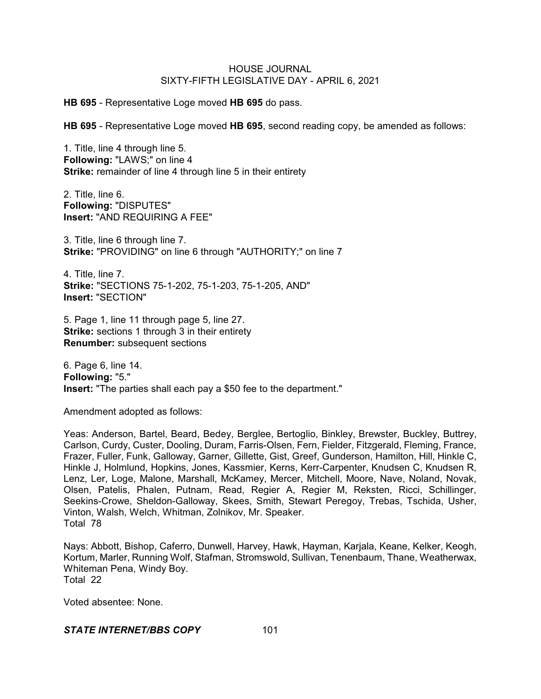**HB 695** - Representative Loge moved **HB 695** do pass.

**HB 695** - Representative Loge moved **HB 695**, second reading copy, be amended as follows:

1. Title, line 4 through line 5. **Following:** "LAWS;" on line 4 **Strike:** remainder of line 4 through line 5 in their entirety

2. Title, line 6. **Following:** "DISPUTES" **Insert:** "AND REQUIRING A FEE"

3. Title, line 6 through line 7. **Strike:** "PROVIDING" on line 6 through "AUTHORITY;" on line 7

4. Title, line 7. **Strike:** "SECTIONS 75-1-202, 75-1-203, 75-1-205, AND" **Insert:** "SECTION"

5. Page 1, line 11 through page 5, line 27. **Strike:** sections 1 through 3 in their entirety **Renumber:** subsequent sections

6. Page 6, line 14. **Following:** "5." **Insert:** "The parties shall each pay a \$50 fee to the department."

Amendment adopted as follows:

Yeas: Anderson, Bartel, Beard, Bedey, Berglee, Bertoglio, Binkley, Brewster, Buckley, Buttrey, Carlson, Curdy, Custer, Dooling, Duram, Farris-Olsen, Fern, Fielder, Fitzgerald, Fleming, France, Frazer, Fuller, Funk, Galloway, Garner, Gillette, Gist, Greef, Gunderson, Hamilton, Hill, Hinkle C, Hinkle J, Holmlund, Hopkins, Jones, Kassmier, Kerns, Kerr-Carpenter, Knudsen C, Knudsen R, Lenz, Ler, Loge, Malone, Marshall, McKamey, Mercer, Mitchell, Moore, Nave, Noland, Novak, Olsen, Patelis, Phalen, Putnam, Read, Regier A, Regier M, Reksten, Ricci, Schillinger, Seekins-Crowe, Sheldon-Galloway, Skees, Smith, Stewart Peregoy, Trebas, Tschida, Usher, Vinton, Walsh, Welch, Whitman, Zolnikov, Mr. Speaker. Total 78

Nays: Abbott, Bishop, Caferro, Dunwell, Harvey, Hawk, Hayman, Karjala, Keane, Kelker, Keogh, Kortum, Marler, Running Wolf, Stafman, Stromswold, Sullivan, Tenenbaum, Thane, Weatherwax, Whiteman Pena, Windy Boy. Total 22

Voted absentee: None.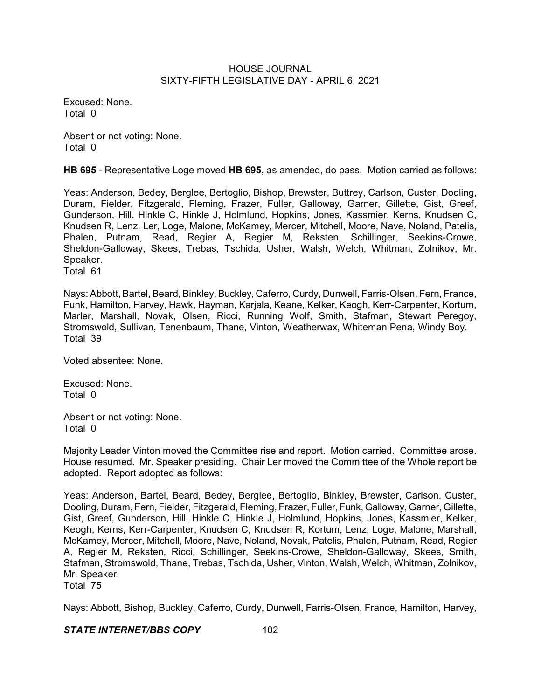Excused: None. Total 0

Absent or not voting: None. Total 0

**HB 695** - Representative Loge moved **HB 695**, as amended, do pass. Motion carried as follows:

Yeas: Anderson, Bedey, Berglee, Bertoglio, Bishop, Brewster, Buttrey, Carlson, Custer, Dooling, Duram, Fielder, Fitzgerald, Fleming, Frazer, Fuller, Galloway, Garner, Gillette, Gist, Greef, Gunderson, Hill, Hinkle C, Hinkle J, Holmlund, Hopkins, Jones, Kassmier, Kerns, Knudsen C, Knudsen R, Lenz, Ler, Loge, Malone, McKamey, Mercer, Mitchell, Moore, Nave, Noland, Patelis, Phalen, Putnam, Read, Regier A, Regier M, Reksten, Schillinger, Seekins-Crowe, Sheldon-Galloway, Skees, Trebas, Tschida, Usher, Walsh, Welch, Whitman, Zolnikov, Mr. Speaker. Total 61

Nays: Abbott, Bartel, Beard, Binkley, Buckley, Caferro, Curdy, Dunwell, Farris-Olsen, Fern, France, Funk, Hamilton, Harvey, Hawk, Hayman, Karjala, Keane, Kelker, Keogh, Kerr-Carpenter, Kortum, Marler, Marshall, Novak, Olsen, Ricci, Running Wolf, Smith, Stafman, Stewart Peregoy, Stromswold, Sullivan, Tenenbaum, Thane, Vinton, Weatherwax, Whiteman Pena, Windy Boy. Total 39

Voted absentee: None.

Excused: None. Total 0

Absent or not voting: None. Total 0

Majority Leader Vinton moved the Committee rise and report. Motion carried. Committee arose. House resumed. Mr. Speaker presiding. Chair Ler moved the Committee of the Whole report be adopted. Report adopted as follows:

Yeas: Anderson, Bartel, Beard, Bedey, Berglee, Bertoglio, Binkley, Brewster, Carlson, Custer, Dooling, Duram, Fern, Fielder, Fitzgerald, Fleming, Frazer, Fuller, Funk, Galloway, Garner, Gillette, Gist, Greef, Gunderson, Hill, Hinkle C, Hinkle J, Holmlund, Hopkins, Jones, Kassmier, Kelker, Keogh, Kerns, Kerr-Carpenter, Knudsen C, Knudsen R, Kortum, Lenz, Loge, Malone, Marshall, McKamey, Mercer, Mitchell, Moore, Nave, Noland, Novak, Patelis, Phalen, Putnam, Read, Regier A, Regier M, Reksten, Ricci, Schillinger, Seekins-Crowe, Sheldon-Galloway, Skees, Smith, Stafman, Stromswold, Thane, Trebas, Tschida, Usher, Vinton, Walsh, Welch, Whitman, Zolnikov, Mr. Speaker.

Total 75

Nays: Abbott, Bishop, Buckley, Caferro, Curdy, Dunwell, Farris-Olsen, France, Hamilton, Harvey,